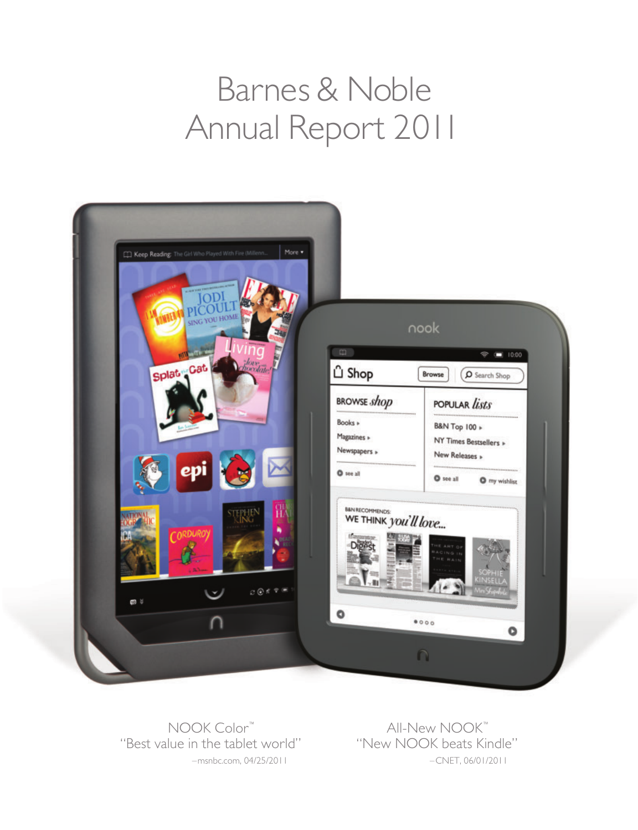# Barnes & Noble Annual Report 2011



NOOK Color™ "Best value in the tablet world" –msnbc.com, 04/25/2011

All-New NOOK™ "New NOOK beats Kindle" –CNET, 06/01/2011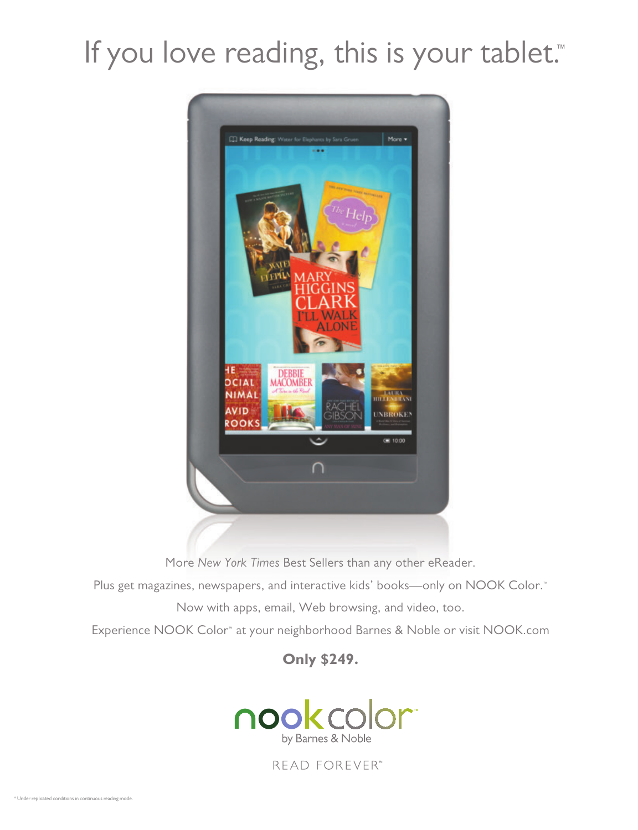# If you love reading, this is your tablet.<sup>™</sup>



More *New York Times* Best Sellers than any other eReader. Plus get magazines, newspapers, and interactive kids' books—only on NOOK Color.<sup>™</sup> Now with apps, email, Web browsing, and video, too. Experience NOOK Color™ at your neighborhood Barnes & Noble or visit NOOK.com

**Only \$249.**



**READ FOREVER™**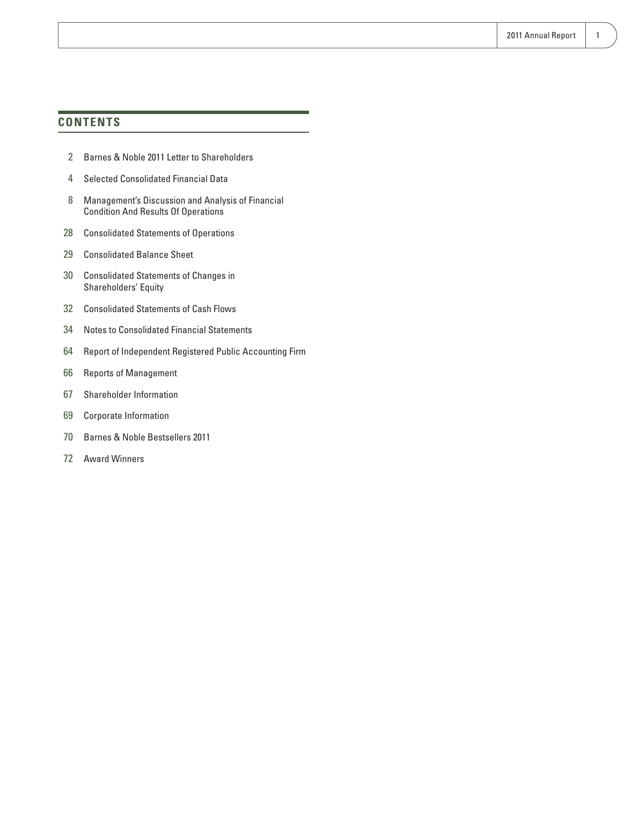# **CONTENTS**

- 2 Barnes & Noble 2011 Letter to Shareholders
- 4 Selected Consolidated Financial Data
- 8 Management's Discussion and Analysis of Financial Condition And Results Of Operations
- 28 Consolidated Statements of Operations
- 29 Consolidated Balance Sheet
- 30 Consolidated Statements of Changes in Shareholders' Equity
- 32 Consolidated Statements of Cash Flows
- 34 Notes to Consolidated Financial Statements
- 64 Report of Independent Registered Public Accounting Firm
- 66 Reports of Management
- 67 Shareholder Information
- 69 Corporate Information
- 70 Barnes & Noble Bestsellers 2011
- 72 Award Winners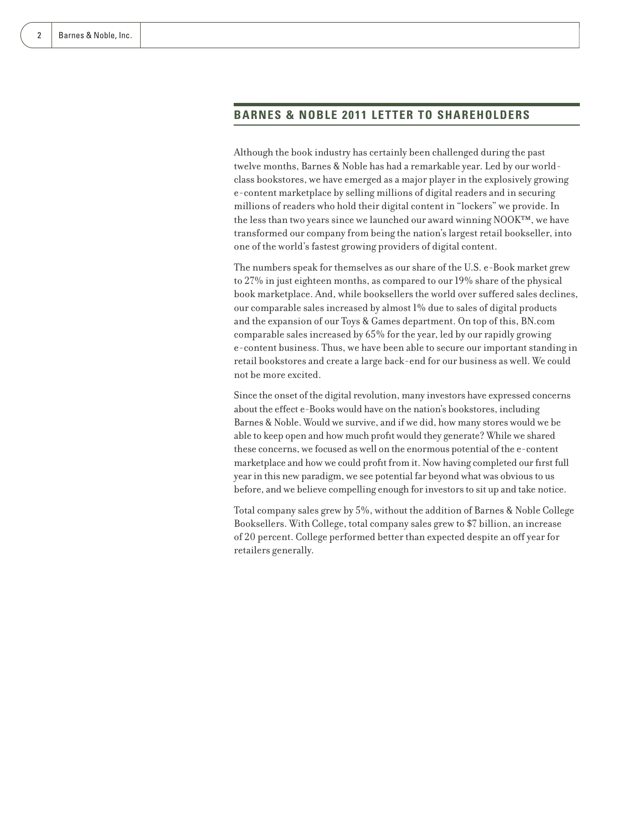# **BARNES & NOBLE 2011 LETTER TO SHAREHOLDERS**

Although the book industry has certainly been challenged during the past twelve months, Barnes & Noble has had a remarkable year. Led by our worldclass bookstores, we have emerged as a major player in the explosively growing e-content marketplace by selling millions of digital readers and in securing millions of readers who hold their digital content in "lockers" we provide. In the less than two years since we launched our award winning NOOK™, we have transformed our company from being the nation's largest retail bookseller, into one of the world's fastest growing providers of digital content.

The numbers speak for themselves as our share of the U.S. e-Book market grew to 27% in just eighteen months, as compared to our 19% share of the physical book marketplace. And, while booksellers the world over suffered sales declines, our comparable sales increased by almost 1% due to sales of digital products and the expansion of our Toys & Games department. On top of this, BN.com comparable sales increased by 65% for the year, led by our rapidly growing e-content business. Thus, we have been able to secure our important standing in retail bookstores and create a large back-end for our business as well. We could not be more excited.

Since the onset of the digital revolution, many investors have expressed concerns about the effect e-Books would have on the nation's bookstores, including Barnes & Noble. Would we survive, and if we did, how many stores would we be able to keep open and how much profi t would they generate? While we shared these concerns, we focused as well on the enormous potential of the e-content marketplace and how we could profit from it. Now having completed our first full year in this new paradigm, we see potential far beyond what was obvious to us before, and we believe compelling enough for investors to sit up and take notice.

Total company sales grew by 5%, without the addition of Barnes & Noble College Booksellers. With College, total company sales grew to \$7 billion, an increase of 20 percent. College performed better than expected despite an off year for retailers generally.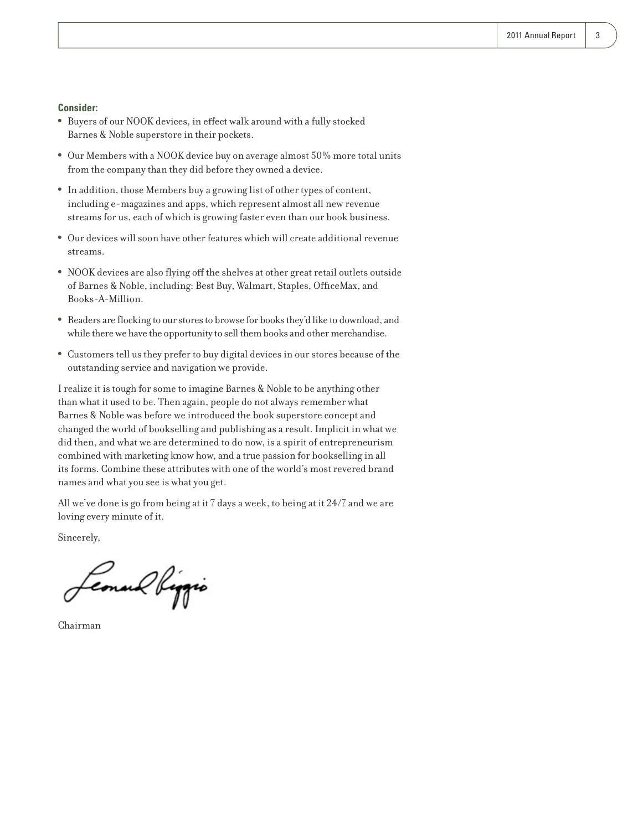#### **Consider:**

- Buyers of our NOOK devices, in effect walk around with a fully stocked Barnes & Noble superstore in their pockets.
- Our Members with a NOOK device buy on average almost 50% more total units from the company than they did before they owned a device.
- In addition, those Members buy a growing list of other types of content, including e-magazines and apps, which represent almost all new revenue streams for us, each of which is growing faster even than our book business.
- Our devices will soon have other features which will create additional revenue streams.
- NOOK devices are also flying off the shelves at other great retail outlets outside of Barnes & Noble, including: Best Buy, Walmart, Staples, OfficeMax, and Books-A-Million.
- Readers are flocking to our stores to browse for books they'd like to download, and while there we have the opportunity to sell them books and other merchandise.
- Customers tell us they prefer to buy digital devices in our stores because of the outstanding service and navigation we provide.

I realize it is tough for some to imagine Barnes & Noble to be anything other than what it used to be. Then again, people do not always remember what Barnes & Noble was before we introduced the book superstore concept and changed the world of bookselling and publishing as a result. Implicit in what we did then, and what we are determined to do now, is a spirit of entrepreneurism combined with marketing know how, and a true passion for bookselling in all its forms. Combine these attributes with one of the world's most revered brand names and what you see is what you get.

All we've done is go from being at it 7 days a week, to being at it 24/7 and we are loving every minute of it.

Sincerely,

conail liggio

Chairman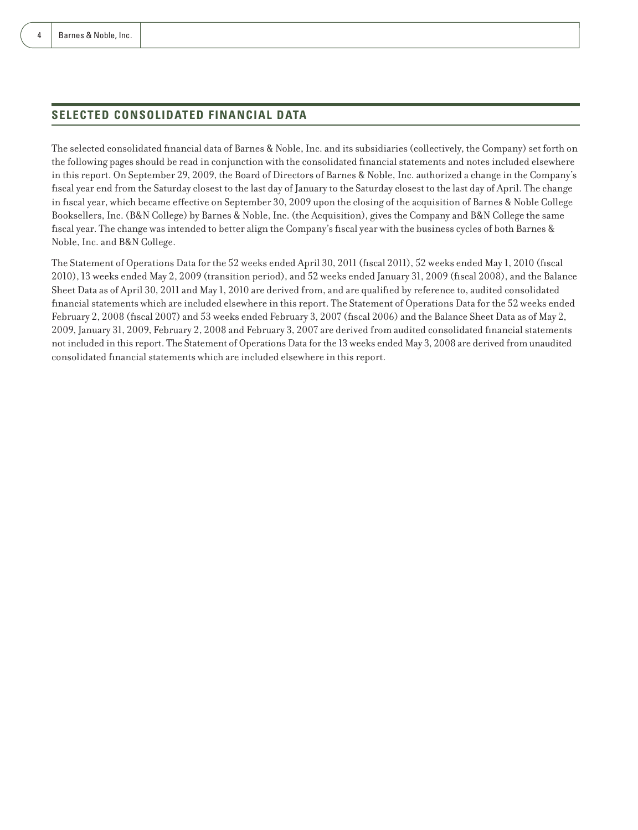# **SELECTED CONSOLIDATED FINANCIAL DATA**

The selected consolidated financial data of Barnes & Noble, Inc. and its subsidiaries (collectively, the Company) set forth on the following pages should be read in conjunction with the consolidated financial statements and notes included elsewhere in this report. On September 29, 2009, the Board of Directors of Barnes & Noble, Inc. authorized a change in the Company's fiscal year end from the Saturday closest to the last day of January to the Saturday closest to the last day of April. The change in fiscal year, which became effective on September 30, 2009 upon the closing of the acquisition of Barnes & Noble College Booksellers, Inc. (B&N College) by Barnes & Noble, Inc. (the Acquisition), gives the Company and B&N College the same fiscal year. The change was intended to better align the Company's fiscal year with the business cycles of both Barnes & Noble, Inc. and B&N College.

The Statement of Operations Data for the 52 weeks ended April 30, 2011 (fiscal 2011), 52 weeks ended May 1, 2010 (fiscal 2010), 13 weeks ended May 2, 2009 (transition period), and 52 weeks ended January 31, 2009 (fiscal 2008), and the Balance Sheet Data as of April 30, 2011 and May 1, 2010 are derived from, and are qualified by reference to, audited consolidated financial statements which are included elsewhere in this report. The Statement of Operations Data for the 52 weeks ended February 2, 2008 (fiscal 2007) and 53 weeks ended February 3, 2007 (fiscal 2006) and the Balance Sheet Data as of May 2, 2009, January 31, 2009, February 2, 2008 and February 3, 2007 are derived from audited consolidated financial statements not included in this report. The Statement of Operations Data for the 13 weeks ended May 3, 2008 are derived from unaudited consolidated financial statements which are included elsewhere in this report.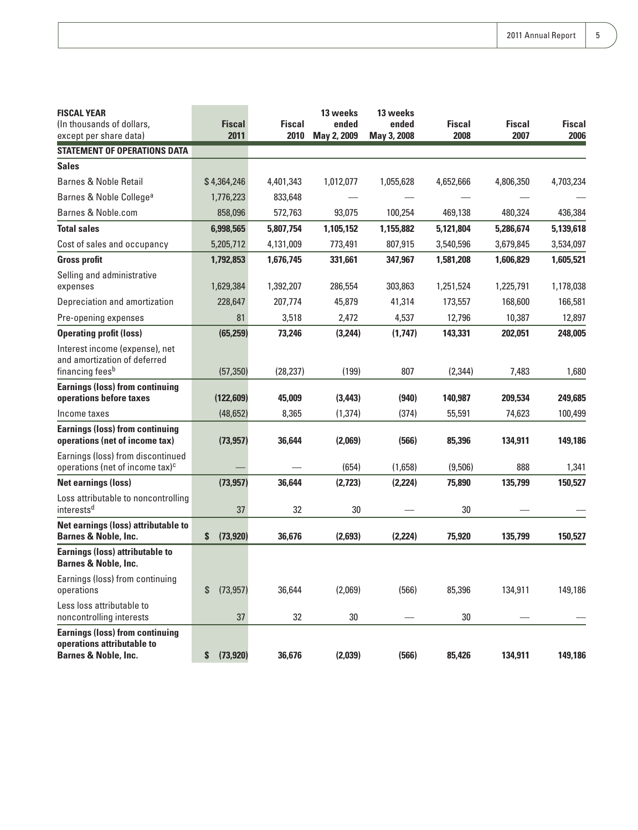| <b>FISCAL YEAR</b>                                                                                      |                 |           | 13 weeks    | 13 weeks    |               |               |               |
|---------------------------------------------------------------------------------------------------------|-----------------|-----------|-------------|-------------|---------------|---------------|---------------|
| (In thousands of dollars,                                                                               | <b>Fiscal</b>   | Fiscal    | ended       | ended       | <b>Fiscal</b> | <b>Fiscal</b> | <b>Fiscal</b> |
| except per share data)                                                                                  | 2011            | 2010      | May 2, 2009 | May 3, 2008 | 2008          | 2007          | 2006          |
| <b>STATEMENT OF OPERATIONS DATA</b>                                                                     |                 |           |             |             |               |               |               |
| <b>Sales</b>                                                                                            |                 |           |             |             |               |               |               |
| <b>Barnes &amp; Noble Retail</b>                                                                        | \$4,364,246     | 4,401,343 | 1,012,077   | 1,055,628   | 4,652,666     | 4,806,350     | 4,703,234     |
| Barnes & Noble College <sup>a</sup>                                                                     | 1,776,223       | 833,648   |             |             |               |               |               |
| Barnes & Noble.com                                                                                      | 858,096         | 572,763   | 93,075      | 100,254     | 469,138       | 480,324       | 436,384       |
| <b>Total sales</b>                                                                                      | 6,998,565       | 5,807,754 | 1,105,152   | 1,155,882   | 5,121,804     | 5,286,674     | 5,139,618     |
| Cost of sales and occupancy                                                                             | 5,205,712       | 4,131,009 | 773,491     | 807,915     | 3,540,596     | 3,679,845     | 3,534,097     |
| <b>Gross profit</b>                                                                                     | 1,792,853       | 1,676,745 | 331,661     | 347,967     | 1,581,208     | 1,606,829     | 1,605,521     |
| Selling and administrative<br>expenses                                                                  | 1,629,384       | 1,392,207 | 286,554     | 303,863     | 1,251,524     | 1,225,791     | 1,178,038     |
| Depreciation and amortization                                                                           | 228,647         | 207,774   | 45,879      | 41,314      | 173,557       | 168,600       | 166,581       |
| Pre-opening expenses                                                                                    | 81              | 3,518     | 2,472       | 4,537       | 12,796        | 10,387        | 12,897        |
| <b>Operating profit (loss)</b>                                                                          | (65, 259)       | 73,246    | (3,244)     | (1, 747)    | 143,331       | 202,051       | 248,005       |
| Interest income (expense), net<br>and amortization of deferred<br>financing fees <sup>b</sup>           | (57, 350)       | (28, 237) | (199)       | 807         | (2, 344)      | 7,483         | 1,680         |
| <b>Earnings (loss) from continuing</b>                                                                  |                 |           |             |             |               |               |               |
| operations before taxes                                                                                 | (122, 609)      | 45,009    | (3, 443)    | (940)       | 140.987       | 209,534       | 249,685       |
| Income taxes                                                                                            | (48, 652)       | 8,365     | (1, 374)    | (374)       | 55,591        | 74,623        | 100,499       |
| <b>Earnings (loss) from continuing</b><br>operations (net of income tax)                                | (73, 957)       | 36,644    | (2,069)     | (566)       | 85,396        | 134,911       | 149,186       |
| Earnings (loss) from discontinued<br>operations (net of income tax) <sup>c</sup>                        |                 |           | (654)       | (1,658)     | (9,506)       | 888           | 1,341         |
| <b>Net earnings (loss)</b>                                                                              | (73, 957)       | 36.644    | (2,723)     | (2, 224)    | 75,890        | 135.799       | 150.527       |
| Loss attributable to noncontrolling<br>interests <sup>d</sup>                                           | 37              | 32        | 30          |             | 30            |               |               |
| Net earnings (loss) attributable to<br><b>Barnes &amp; Noble, Inc.</b>                                  | \$<br>(73, 920) | 36,676    | (2,693)     | (2,224)     | 75,920        | 135,799       | 150,527       |
| <b>Earnings (loss) attributable to</b><br><b>Barnes &amp; Noble, Inc.</b>                               |                 |           |             |             |               |               |               |
| Earnings (loss) from continuing<br>operations                                                           | \$<br>(73, 957) | 36,644    | (2,069)     | (566)       | 85,396        | 134,911       | 149,186       |
| Less loss attributable to<br>noncontrolling interests                                                   | 37              | 32        | 30          |             | 30            |               |               |
| <b>Earnings (loss) from continuing</b><br>operations attributable to<br><b>Barnes &amp; Noble, Inc.</b> | (73, 920)<br>\$ | 36.676    | (2,039)     | (566)       | 85.426        | 134,911       | 149,186       |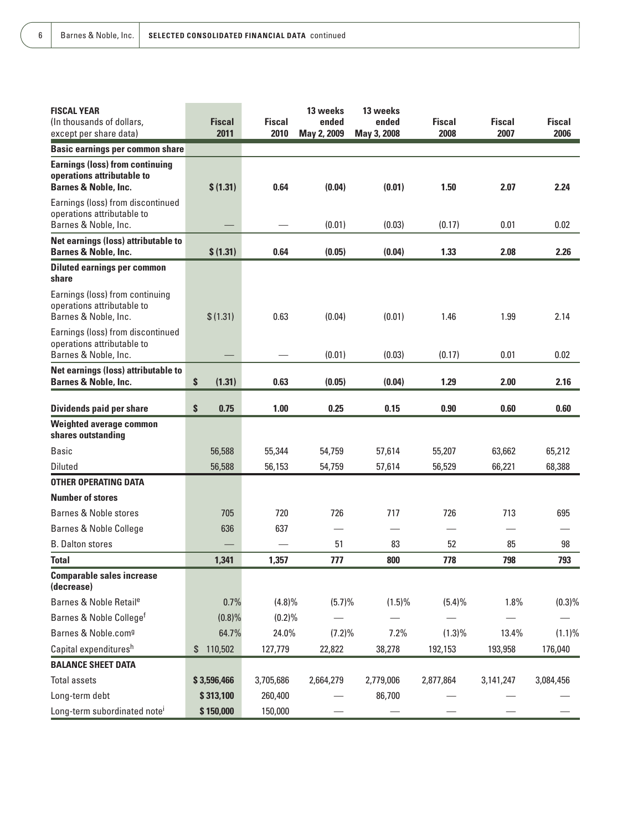| <b>FISCAL YEAR</b><br>(In thousands of dollars,<br>except per share data)                               | <b>Fiscal</b><br>2011 | <b>Fiscal</b><br>2010 | 13 weeks<br>ended<br>May 2, 2009 | 13 weeks<br>ended<br>May 3, 2008 | <b>Fiscal</b><br>2008 | <b>Fiscal</b><br>2007 | <b>Fiscal</b><br>2006 |
|---------------------------------------------------------------------------------------------------------|-----------------------|-----------------------|----------------------------------|----------------------------------|-----------------------|-----------------------|-----------------------|
| Basic earnings per common share                                                                         |                       |                       |                                  |                                  |                       |                       |                       |
| <b>Earnings (loss) from continuing</b><br>operations attributable to<br><b>Barnes &amp; Noble, Inc.</b> | \$ (1.31)             | 0.64                  | (0.04)                           | (0.01)                           | 1.50                  | 2.07                  | 2.24                  |
| Earnings (loss) from discontinued<br>operations attributable to<br>Barnes & Noble, Inc.                 |                       |                       | (0.01)                           | (0.03)                           | (0.17)                | 0.01                  | 0.02                  |
| Net earnings (loss) attributable to<br><b>Barnes &amp; Noble, Inc.</b>                                  | \$(1.31)              | 0.64                  | (0.05)                           | (0.04)                           | 1.33                  | 2.08                  | 2.26                  |
| <b>Diluted earnings per common</b><br>share                                                             |                       |                       |                                  |                                  |                       |                       |                       |
| Earnings (loss) from continuing<br>operations attributable to<br>Barnes & Noble, Inc.                   | \$(1.31)              | 0.63                  | (0.04)                           | (0.01)                           | 1.46                  | 1.99                  | 2.14                  |
| Earnings (loss) from discontinued<br>operations attributable to<br>Barnes & Noble, Inc.                 |                       |                       | (0.01)                           | (0.03)                           | (0.17)                | 0.01                  | 0.02                  |
| Net earnings (loss) attributable to<br><b>Barnes &amp; Noble, Inc.</b>                                  | \$<br>(1.31)          | 0.63                  | (0.05)                           | (0.04)                           | 1.29                  | 2.00                  | 2.16                  |
| Dividends paid per share                                                                                | \$<br>0.75            | 1.00                  | 0.25                             | 0.15                             | 0.90                  | 0.60                  | 0.60                  |
| Weighted average common<br>shares outstanding                                                           |                       |                       |                                  |                                  |                       |                       |                       |
| <b>Basic</b>                                                                                            | 56,588                | 55,344                | 54,759                           | 57,614                           | 55,207                | 63,662                | 65,212                |
| Diluted                                                                                                 | 56,588                | 56,153                | 54,759                           | 57,614                           | 56,529                | 66,221                | 68,388                |
| <b>OTHER OPERATING DATA</b>                                                                             |                       |                       |                                  |                                  |                       |                       |                       |
| <b>Number of stores</b>                                                                                 |                       |                       |                                  |                                  |                       |                       |                       |
| <b>Barnes &amp; Noble stores</b>                                                                        | 705                   | 720                   | 726                              | 717                              | 726                   | 713                   | 695                   |
| Barnes & Noble College                                                                                  | 636                   | 637                   |                                  |                                  |                       |                       |                       |
| <b>B. Dalton stores</b>                                                                                 |                       |                       | 51                               | 83                               | 52                    | 85                    | 98                    |
| <b>Total</b>                                                                                            | 1,341                 | 1,357                 | 777                              | 800                              | 778                   | 798                   | 793                   |
| <b>Comparable sales increase</b><br>(decrease)                                                          |                       |                       |                                  |                                  |                       |                       |                       |
| Barnes & Noble Retail <sup>e</sup>                                                                      | 0.7%                  | $(4.8)\%$             | (5.7)%                           | $(1.5)\%$                        | $(5.4)\%$             | 1.8%                  | $(0.3)\%$             |
| Barnes & Noble College <sup>f</sup>                                                                     | $(0.8)\%$             | $(0.2)\%$             |                                  |                                  |                       |                       |                       |
| Barnes & Noble.com <sup>g</sup>                                                                         | 64.7%                 | 24.0%                 | $(7.2)\%$                        | 7.2%                             | $(1.3)\%$             | 13.4%                 | $(1.1)\%$             |
| Capital expendituresh                                                                                   | \$110,502             | 127,779               | 22,822                           | 38,278                           | 192,153               | 193,958               | 176,040               |
| <b>BALANCE SHEET DATA</b>                                                                               |                       |                       |                                  |                                  |                       |                       |                       |
| <b>Total assets</b>                                                                                     | \$3,596,466           | 3,705,686             | 2,664,279                        | 2,779,006                        | 2,877,864             | 3,141,247             | 3,084,456             |
| Long-term debt                                                                                          | \$313,100             | 260,400               |                                  | 86,700                           |                       |                       |                       |
| Long-term subordinated note <sup>i</sup>                                                                | \$150,000             | 150,000               |                                  |                                  |                       |                       |                       |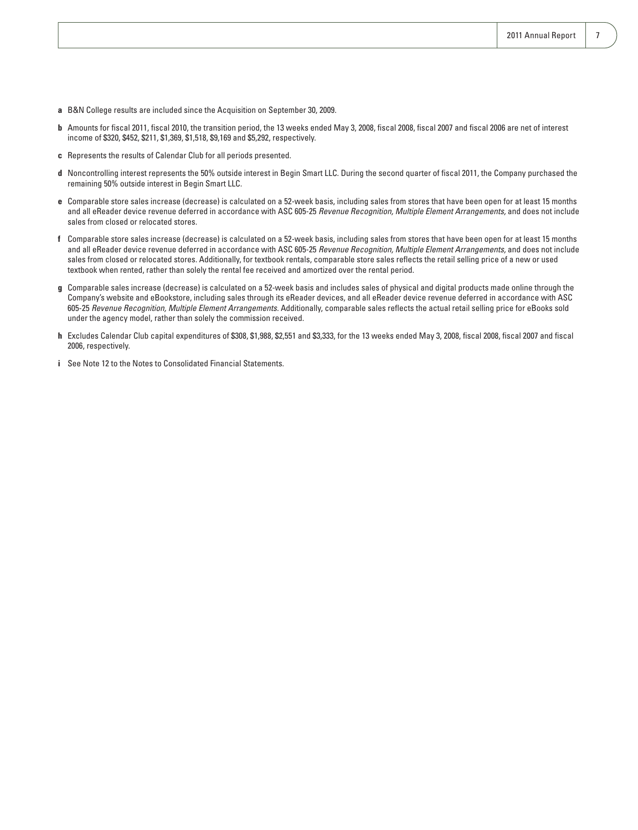- **a** B&N College results are included since the Acquisition on September 30, 2009.
- **b** Amounts for fiscal 2011, fiscal 2010, the transition period, the 13 weeks ended May 3, 2008, fiscal 2008, fiscal 2007 and fiscal 2006 are net of interest income of \$320, \$452, \$211, \$1,369, \$1,518, \$9,169 and \$5,292, respectively.
- **c** Represents the results of Calendar Club for all periods presented.
- d Noncontrolling interest represents the 50% outside interest in Begin Smart LLC. During the second quarter of fiscal 2011, the Company purchased the remaining 50% outside interest in Begin Smart LLC.
- **e** Comparable store sales increase (decrease) is calculated on a 52-week basis, including sales from stores that have been open for at least 15 months and all eReader device revenue deferred in accordance with ASC 605-25 Revenue Recognition, Multiple Element Arrangements, and does not include sales from closed or relocated stores.
- **f** Comparable store sales increase (decrease) is calculated on a 52-week basis, including sales from stores that have been open for at least 15 months and all eReader device revenue deferred in accordance with ASC 605-25 Revenue Recognition, Multiple Element Arrangements, and does not include sales from closed or relocated stores. Additionally, for textbook rentals, comparable store sales reflects the retail selling price of a new or used textbook when rented, rather than solely the rental fee received and amortized over the rental period.
- **g** Comparable sales increase (decrease) is calculated on a 52-week basis and includes sales of physical and digital products made online through the Company's website and eBookstore, including sales through its eReader devices, and all eReader device revenue deferred in accordance with ASC 605-25 Revenue Recognition, Multiple Element Arrangements. Additionally, comparable sales reflects the actual retail selling price for eBooks sold under the agency model, rather than solely the commission received.
- h Excludes Calendar Club capital expenditures of \$308, \$1,988, \$2,551 and \$3,333, for the 13 weeks ended May 3, 2008, fiscal 2008, fiscal 2007 and fiscal 2006, respectively.
- **i** See Note 12 to the Notes to Consolidated Financial Statements.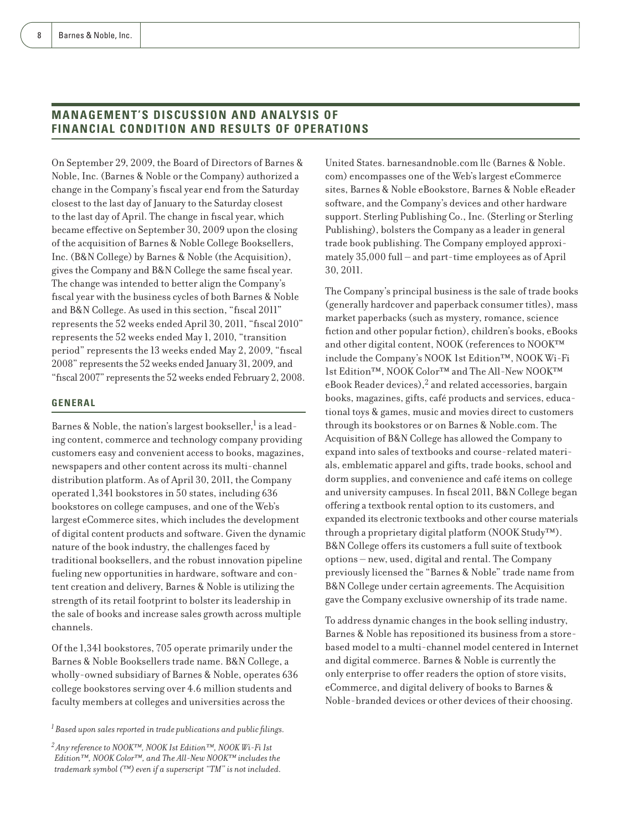# **MANAGEMENT'S DISCUSSION AND ANALYSIS OF FINANCIAL CONDITION AND RESULTS OF OPERATIONS**

On September 29, 2009, the Board of Directors of Barnes & Noble, Inc. (Barnes & Noble or the Company) authorized a change in the Company's fiscal year end from the Saturday closest to the last day of January to the Saturday closest to the last day of April. The change in fiscal year, which became effective on September 30, 2009 upon the closing of the acquisition of Barnes & Noble College Booksellers, Inc. (B&N College) by Barnes & Noble (the Acquisition), gives the Company and B&N College the same fiscal year. The change was intended to better align the Company's fiscal year with the business cycles of both Barnes & Noble and B&N College. As used in this section, "fiscal 2011" represents the 52 weeks ended April 30, 2011, "fiscal 2010" represents the 52 weeks ended May 1, 2010, "transition period" represents the 13 weeks ended May 2, 2009, "fiscal 2008" represents the 52 weeks ended January 31, 2009, and "fiscal 2007" represents the 52 weeks ended February 2, 2008.

## **GENERAL**

Barnes & Noble, the nation's largest bookseller, $^{\rm l}$  is a leading content, commerce and technology company providing customers easy and convenient access to books, magazines, newspapers and other content across its multi-channel distribution platform. As of April 30, 2011, the Company operated 1,341 bookstores in 50 states, including 636 bookstores on college campuses, and one of the Web's largest eCommerce sites, which includes the development of digital content products and software. Given the dynamic nature of the book industry, the challenges faced by traditional booksellers, and the robust innovation pipeline fueling new opportunities in hardware, software and content creation and delivery, Barnes & Noble is utilizing the strength of its retail footprint to bolster its leadership in the sale of books and increase sales growth across multiple channels.

Of the 1,341 bookstores, 705 operate primarily under the Barnes & Noble Booksellers trade name. B&N College, a wholly-owned subsidiary of Barnes & Noble, operates 636 college bookstores serving over 4.6 million students and faculty members at colleges and universities across the

# $^l$  Based upon sales reported in trade publications and public filings.

*2 Any reference to NOOK™, NOOK 1st Edition™, NOOK Wi-Fi 1st Edition™, NOOK Color™, and The All-New NOOK™ includes the trademark symbol (™) even if a superscript "TM" is not included.* United States. barnesandnoble.com llc (Barnes & Noble. com) encompasses one of the Web's largest eCommerce sites, Barnes & Noble eBookstore, Barnes & Noble eReader software, and the Company's devices and other hardware support. Sterling Publishing Co., Inc. (Sterling or Sterling Publishing), bolsters the Company as a leader in general trade book publishing. The Company employed approximately 35,000 full – and part-time employees as of April 30, 2011.

The Company's principal business is the sale of trade books (generally hardcover and paperback consumer titles), mass market paperbacks (such as mystery, romance, science fiction and other popular fiction), children's books, eBooks and other digital content, NOOK (references to NOOK™ include the Company's NOOK 1st Edition™, NOOK Wi-Fi 1st Edition™, NOOK Color™ and The All-New NOOK™ eBook Reader devices),<sup>2</sup> and related accessories, bargain books, magazines, gifts, café products and services, educational toys & games, music and movies direct to customers through its bookstores or on Barnes & Noble.com. The Acquisition of B&N College has allowed the Company to expand into sales of textbooks and course-related materials, emblematic apparel and gifts, trade books, school and dorm supplies, and convenience and café items on college and university campuses. In fiscal 2011, B&N College began offering a textbook rental option to its customers, and expanded its electronic textbooks and other course materials through a proprietary digital platform (NOOK Study™). B&N College offers its customers a full suite of textbook options – new, used, digital and rental. The Company previously licensed the "Barnes & Noble" trade name from B&N College under certain agreements. The Acquisition gave the Company exclusive ownership of its trade name.

To address dynamic changes in the book selling industry, Barnes & Noble has repositioned its business from a storebased model to a multi-channel model centered in Internet and digital commerce. Barnes & Noble is currently the only enterprise to offer readers the option of store visits, eCommerce, and digital delivery of books to Barnes & Noble-branded devices or other devices of their choosing.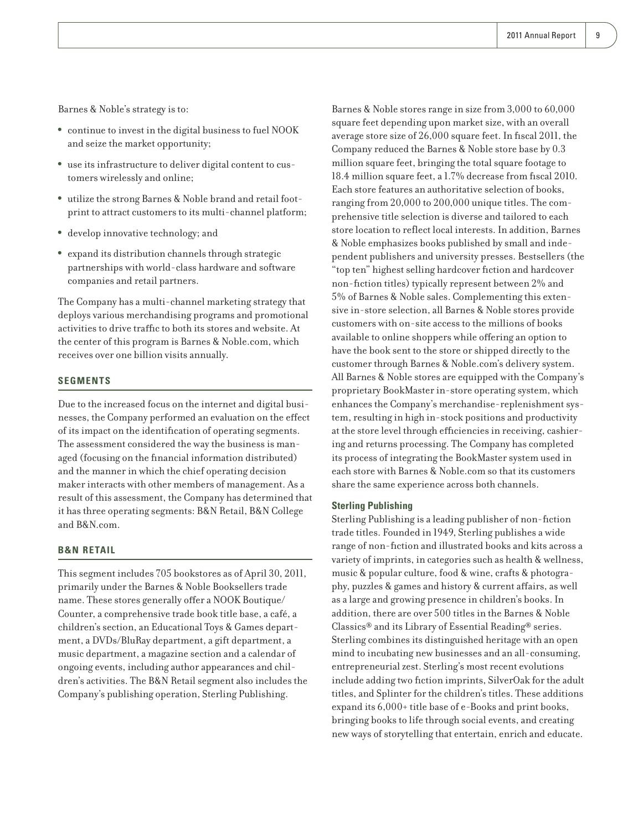Barnes & Noble's strategy is to:

- continue to invest in the digital business to fuel NOOK and seize the market opportunity;
- use its infrastructure to deliver digital content to customers wirelessly and online;
- utilize the strong Barnes & Noble brand and retail footprint to attract customers to its multi-channel platform;
- develop innovative technology; and
- expand its distribution channels through strategic partnerships with world-class hardware and software companies and retail partners.

The Company has a multi-channel marketing strategy that deploys various merchandising programs and promotional activities to drive traffic to both its stores and website. At the center of this program is Barnes & Noble.com, which receives over one billion visits annually.

# **SEGMENTS**

Due to the increased focus on the internet and digital businesses, the Company performed an evaluation on the effect of its impact on the identification of operating segments. The assessment considered the way the business is managed (focusing on the financial information distributed) and the manner in which the chief operating decision maker interacts with other members of management. As a result of this assessment, the Company has determined that it has three operating segments: B&N Retail, B&N College and B&N.com.

# **B&N RETAIL**

This segment includes 705 bookstores as of April 30, 2011, primarily under the Barnes & Noble Booksellers trade name. These stores generally offer a NOOK Boutique/ Counter, a comprehensive trade book title base, a café, a children's section, an Educational Toys & Games department, a DVDs/BluRay department, a gift department, a music department, a magazine section and a calendar of ongoing events, including author appearances and children's activities. The B&N Retail segment also includes the Company's publishing operation, Sterling Publishing.

Barnes & Noble stores range in size from 3,000 to 60,000 square feet depending upon market size, with an overall average store size of 26,000 square feet. In fiscal 2011, the Company reduced the Barnes & Noble store base by 0.3 million square feet, bringing the total square footage to 18.4 million square feet, a 1.7% decrease from fiscal 2010. Each store features an authoritative selection of books, ranging from 20,000 to 200,000 unique titles. The comprehensive title selection is diverse and tailored to each store location to reflect local interests. In addition, Barnes & Noble emphasizes books published by small and independent publishers and university presses. Bestsellers (the "top ten" highest selling hardcover fiction and hardcover non-fiction titles) typically represent between 2% and 5% of Barnes & Noble sales. Complementing this extensive in-store selection, all Barnes & Noble stores provide customers with on-site access to the millions of books available to online shoppers while offering an option to have the book sent to the store or shipped directly to the customer through Barnes & Noble.com's delivery system. All Barnes & Noble stores are equipped with the Company's proprietary BookMaster in-store operating system, which enhances the Company's merchandise-replenishment system, resulting in high in-stock positions and productivity at the store level through efficiencies in receiving, cashiering and returns processing. The Company has completed its process of integrating the BookMaster system used in each store with Barnes & Noble.com so that its customers share the same experience across both channels.

## **Sterling Publishing**

Sterling Publishing is a leading publisher of non-fiction trade titles. Founded in 1949, Sterling publishes a wide range of non-fiction and illustrated books and kits across a variety of imprints, in categories such as health & wellness, music & popular culture, food & wine, crafts & photography, puzzles & games and history & current affairs, as well as a large and growing presence in children's books. In addition, there are over 500 titles in the Barnes & Noble Classics® and its Library of Essential Reading® series. Sterling combines its distinguished heritage with an open mind to incubating new businesses and an all-consuming, entrepreneurial zest. Sterling's most recent evolutions include adding two fiction imprints, SilverOak for the adult titles, and Splinter for the children's titles. These additions expand its 6,000+ title base of e-Books and print books, bringing books to life through social events, and creating new ways of storytelling that entertain, enrich and educate.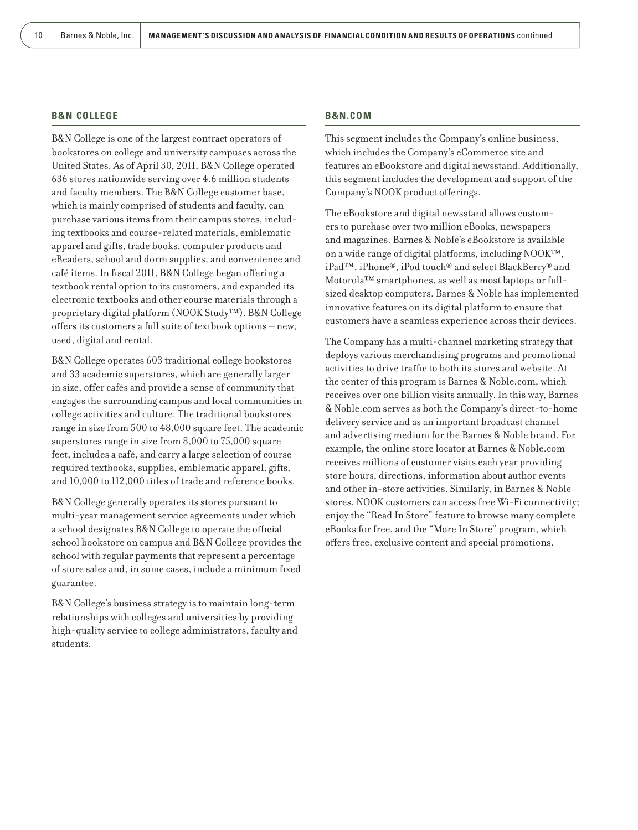# **B&N COLLEGE**

B&N College is one of the largest contract operators of bookstores on college and university campuses across the United States. As of April 30, 2011, B&N College operated 636 stores nationwide serving over 4.6 million students and faculty members. The B&N College customer base, which is mainly comprised of students and faculty, can purchase various items from their campus stores, including textbooks and course-related materials, emblematic apparel and gifts, trade books, computer products and eReaders, school and dorm supplies, and convenience and café items. In fiscal 2011, B&N College began offering a textbook rental option to its customers, and expanded its electronic textbooks and other course materials through a proprietary digital platform (NOOK Study™). B&N College offers its customers a full suite of textbook options - new, used, digital and rental.

B&N College operates 603 traditional college bookstores and 33 academic superstores, which are generally larger in size, offer cafés and provide a sense of community that engages the surrounding campus and local communities in college activities and culture. The traditional bookstores range in size from 500 to 48,000 square feet. The academic superstores range in size from 8,000 to 75,000 square feet, includes a café, and carry a large selection of course required textbooks, supplies, emblematic apparel, gifts, and 10,000 to 112,000 titles of trade and reference books.

B&N College generally operates its stores pursuant to multi-year management service agreements under which a school designates B&N College to operate the official school bookstore on campus and B&N College provides the school with regular payments that represent a percentage of store sales and, in some cases, include a minimum fixed guarantee.

B&N College's business strategy is to maintain long-term relationships with colleges and universities by providing high-quality service to college administrators, faculty and students.

#### **B&N.COM**

This segment includes the Company's online business, which includes the Company's eCommerce site and features an eBookstore and digital newsstand. Additionally, this segment includes the development and support of the Company's NOOK product offerings.

The eBookstore and digital newsstand allows customers to purchase over two million eBooks, newspapers and magazines. Barnes & Noble's eBookstore is available on a wide range of digital platforms, including NOOK™, iPad™, iPhone®, iPod touch® and select BlackBerry® and Motorola™ smartphones, as well as most laptops or fullsized desktop computers. Barnes & Noble has implemented innovative features on its digital platform to ensure that customers have a seamless experience across their devices.

The Company has a multi-channel marketing strategy that deploys various merchandising programs and promotional activities to drive traffic to both its stores and website. At the center of this program is Barnes & Noble.com, which receives over one billion visits annually. In this way, Barnes & Noble.com serves as both the Company's direct-to-home delivery service and as an important broadcast channel and advertising medium for the Barnes & Noble brand. For example, the online store locator at Barnes & Noble.com receives millions of customer visits each year providing store hours, directions, information about author events and other in-store activities. Similarly, in Barnes & Noble stores, NOOK customers can access free Wi-Fi connectivity; enjoy the "Read In Store" feature to browse many complete eBooks for free, and the "More In Store" program, which offers free, exclusive content and special promotions.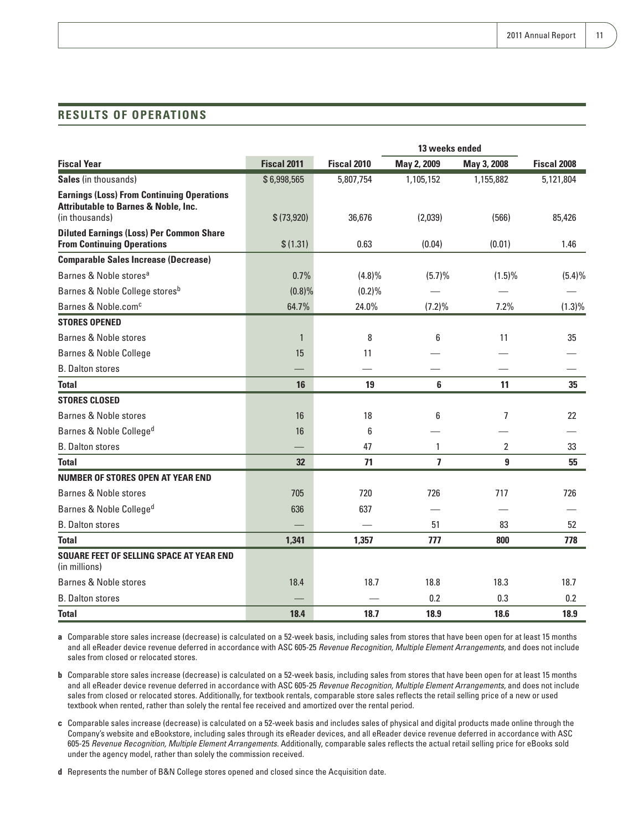# **RESULTS OF OPERATIONS**

|                                                                                                                        |              |             | 13 weeks ended          |             |             |
|------------------------------------------------------------------------------------------------------------------------|--------------|-------------|-------------------------|-------------|-------------|
| <b>Fiscal Year</b>                                                                                                     | Fiscal 2011  | Fiscal 2010 | May 2, 2009             | May 3, 2008 | Fiscal 2008 |
| Sales (in thousands)                                                                                                   | \$6,998,565  | 5,807,754   | 1,105,152               | 1,155,882   | 5,121,804   |
| <b>Earnings (Loss) From Continuing Operations</b><br><b>Attributable to Barnes &amp; Noble, Inc.</b><br>(in thousands) | \$(73,920)   | 36,676      | (2,039)                 | (566)       | 85,426      |
| <b>Diluted Earnings (Loss) Per Common Share</b><br><b>From Continuing Operations</b>                                   | \$(1.31)     | 0.63        | (0.04)                  | (0.01)      | 1.46        |
| <b>Comparable Sales Increase (Decrease)</b>                                                                            |              |             |                         |             |             |
| Barnes & Noble stores <sup>a</sup>                                                                                     | 0.7%         | $(4.8)\%$   | (5.7)%                  | $(1.5)\%$   | (5.4)%      |
| Barnes & Noble College stores <sup>b</sup>                                                                             | $(0.8)\%$    | $(0.2)\%$   |                         |             |             |
| Barnes & Noble.com <sup>c</sup>                                                                                        | 64.7%        | 24.0%       | $(7.2)\%$               | 7.2%        | $(1.3)\%$   |
| <b>STORES OPENED</b>                                                                                                   |              |             |                         |             |             |
| <b>Barnes &amp; Noble stores</b>                                                                                       | $\mathbf{1}$ | 8           | 6                       | 11          | 35          |
| Barnes & Noble College                                                                                                 | 15           | 11          |                         |             |             |
| <b>B. Dalton stores</b>                                                                                                |              |             |                         |             |             |
| <b>Total</b>                                                                                                           | 16           | 19          | 6                       | 11          | 35          |
| <b>STORES CLOSED</b>                                                                                                   |              |             |                         |             |             |
| <b>Barnes &amp; Noble stores</b>                                                                                       | 16           | 18          | 6                       | 7           | 22          |
| Barnes & Noble College <sup>d</sup>                                                                                    | 16           | 6           |                         |             |             |
| <b>B.</b> Dalton stores                                                                                                |              | 47          | 1                       | 2           | 33          |
| <b>Total</b>                                                                                                           | 32           | 71          | $\overline{\mathbf{z}}$ | 9           | 55          |
| <b>NUMBER OF STORES OPEN AT YEAR END</b>                                                                               |              |             |                         |             |             |
| Barnes & Noble stores                                                                                                  | 705          | 720         | 726                     | 717         | 726         |
| Barnes & Noble College <sup>d</sup>                                                                                    | 636          | 637         |                         |             |             |
| <b>B.</b> Dalton stores                                                                                                |              |             | 51                      | 83          | 52          |
| <b>Total</b>                                                                                                           | 1,341        | 1,357       | 777                     | 800         | 778         |
| SQUARE FEET OF SELLING SPACE AT YEAR END<br>(in millions)                                                              |              |             |                         |             |             |
| Barnes & Noble stores                                                                                                  | 18.4         | 18.7        | 18.8                    | 18.3        | 18.7        |
| <b>B.</b> Dalton stores                                                                                                |              |             | 0.2                     | 0.3         | 0.2         |
| Total                                                                                                                  | 18.4         | 18.7        | 18.9                    | 18.6        | 18.9        |

**a** Comparable store sales increase (decrease) is calculated on a 52-week basis, including sales from stores that have been open for at least 15 months and all eReader device revenue deferred in accordance with ASC 605-25 Revenue Recognition, Multiple Element Arrangements, and does not include sales from closed or relocated stores.

**b** Comparable store sales increase (decrease) is calculated on a 52-week basis, including sales from stores that have been open for at least 15 months and all eReader device revenue deferred in accordance with ASC 605-25 Revenue Recognition, Multiple Element Arrangements, and does not include sales from closed or relocated stores. Additionally, for textbook rentals, comparable store sales reflects the retail selling price of a new or used textbook when rented, rather than solely the rental fee received and amortized over the rental period.

- **c** Comparable sales increase (decrease) is calculated on a 52-week basis and includes sales of physical and digital products made online through the Company's website and eBookstore, including sales through its eReader devices, and all eReader device revenue deferred in accordance with ASC 605-25 Revenue Recognition, Multiple Element Arrangements. Additionally, comparable sales reflects the actual retail selling price for eBooks sold under the agency model, rather than solely the commission received.
- **d** Represents the number of B&N College stores opened and closed since the Acquisition date.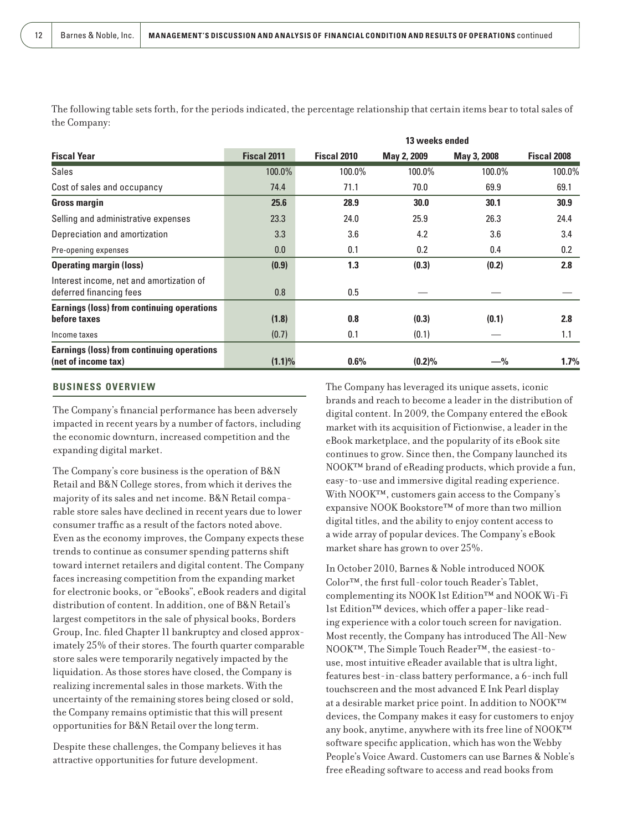The following table sets forth, for the periods indicated, the percentage relationship that certain items bear to total sales of the Company:

|                                                                          | 13 weeks ended     |             |             |             |             |  |  |
|--------------------------------------------------------------------------|--------------------|-------------|-------------|-------------|-------------|--|--|
| <b>Fiscal Year</b>                                                       | <b>Fiscal 2011</b> | Fiscal 2010 | May 2, 2009 | May 3, 2008 | Fiscal 2008 |  |  |
| <b>Sales</b>                                                             | 100.0%             | 100.0%      | 100.0%      | 100.0%      | 100.0%      |  |  |
| Cost of sales and occupancy                                              | 74.4               | 71.1        | 70.0        | 69.9        | 69.1        |  |  |
| <b>Gross margin</b>                                                      | 25.6               | 28.9        | 30.0        | 30.1        | 30.9        |  |  |
| Selling and administrative expenses                                      | 23.3               | 24.0        | 25.9        | 26.3        | 24.4        |  |  |
| Depreciation and amortization                                            | 3.3                | 3.6         | 4.2         | 3.6         | 3.4         |  |  |
| Pre-opening expenses                                                     | 0.0                | 0.1         | 0.2         | 0.4         | 0.2         |  |  |
| <b>Operating margin (loss)</b>                                           | (0.9)              | 1.3         | (0.3)       | (0.2)       | 2.8         |  |  |
| Interest income, net and amortization of<br>deferred financing fees      | 0.8                | 0.5         |             |             |             |  |  |
| <b>Earnings (loss) from continuing operations</b><br>before taxes        | (1.8)              | 0.8         | (0.3)       | (0.1)       | 2.8         |  |  |
| Income taxes                                                             | (0.7)              | 0.1         | (0.1)       |             | 1.1         |  |  |
| <b>Earnings (loss) from continuing operations</b><br>(net of income tax) | (1.1)%             | 0.6%        | (0.2)%      | $-\%$       | 1.7%        |  |  |

# **BUSINESS OVERVIEW**

The Company's financial performance has been adversely impacted in recent years by a number of factors, including the economic downturn, increased competition and the expanding digital market.

The Company's core business is the operation of B&N Retail and B&N College stores, from which it derives the majority of its sales and net income. B&N Retail comparable store sales have declined in recent years due to lower consumer traffic as a result of the factors noted above. Even as the economy improves, the Company expects these trends to continue as consumer spending patterns shift toward internet retailers and digital content. The Company faces increasing competition from the expanding market for electronic books, or "eBooks", eBook readers and digital distribution of content. In addition, one of B&N Retail's largest competitors in the sale of physical books, Borders Group, Inc. filed Chapter 11 bankruptcy and closed approximately 25% of their stores. The fourth quarter comparable store sales were temporarily negatively impacted by the liquidation. As those stores have closed, the Company is realizing incremental sales in those markets. With the uncertainty of the remaining stores being closed or sold, the Company remains optimistic that this will present opportunities for B&N Retail over the long term.

Despite these challenges, the Company believes it has attractive opportunities for future development.

The Company has leveraged its unique assets, iconic brands and reach to become a leader in the distribution of digital content. In 2009, the Company entered the eBook market with its acquisition of Fictionwise, a leader in the eBook marketplace, and the popularity of its eBook site continues to grow. Since then, the Company launched its NOOK™ brand of eReading products, which provide a fun, easy-to-use and immersive digital reading experience. With NOOK™, customers gain access to the Company's expansive NOOK Bookstore™ of more than two million digital titles, and the ability to enjoy content access to a wide array of popular devices. The Company's eBook market share has grown to over 25%.

In October 2010, Barnes & Noble introduced NOOK Color™, the first full-color touch Reader's Tablet, complementing its NOOK 1st Edition™ and NOOK Wi-Fi lst Edition™ devices, which offer a paper-like reading experience with a color touch screen for navigation. Most recently, the Company has introduced The All-New NOOK™, The Simple Touch Reader™, the easiest-touse, most intuitive eReader available that is ultra light, features best-in-class battery performance, a 6-inch full touchscreen and the most advanced E Ink Pearl display at a desirable market price point. In addition to NOOK™ devices, the Company makes it easy for customers to enjoy any book, anytime, anywhere with its free line of NOOK™ software specific application, which has won the Webby People's Voice Award. Customers can use Barnes & Noble's free eReading software to access and read books from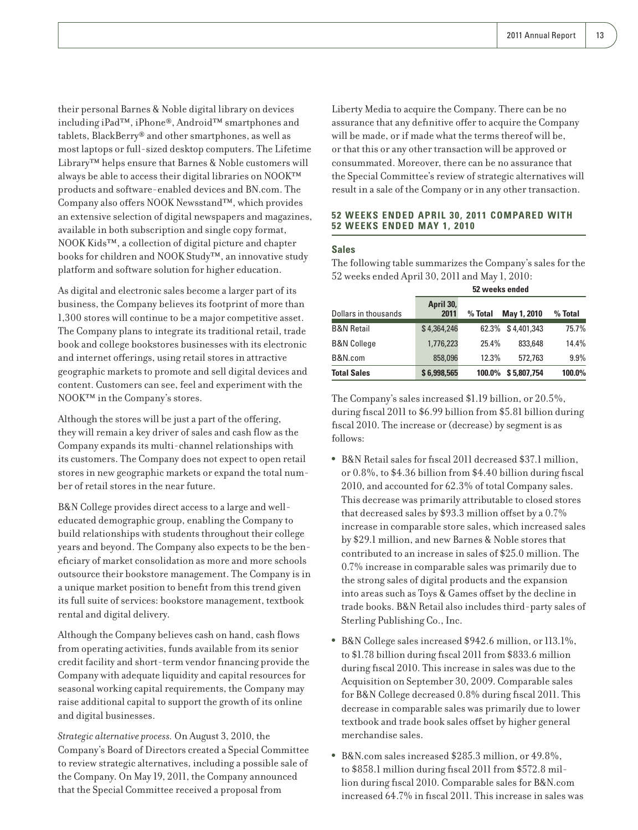their personal Barnes & Noble digital library on devices including iPad™, iPhone®, Android™ smartphones and tablets, BlackBerry® and other smartphones, as well as most laptops or full-sized desktop computers. The Lifetime Library™ helps ensure that Barnes & Noble customers will always be able to access their digital libraries on NOOK™ products and software-enabled devices and BN.com. The Company also offers NOOK Newsstand™, which provides an extensive selection of digital newspapers and magazines, available in both subscription and single copy format, NOOK Kids™, a collection of digital picture and chapter books for children and NOOK Study™, an innovative study platform and software solution for higher education.

As digital and electronic sales become a larger part of its business, the Company believes its footprint of more than 1,300 stores will continue to be a major competitive asset. The Company plans to integrate its traditional retail, trade book and college bookstores businesses with its electronic and internet offerings, using retail stores in attractive geographic markets to promote and sell digital devices and content. Customers can see, feel and experiment with the NOOK™ in the Company's stores.

Although the stores will be just a part of the offering, they will remain a key driver of sales and cash flow as the Company expands its multi-channel relationships with its customers. The Company does not expect to open retail stores in new geographic markets or expand the total number of retail stores in the near future.

B&N College provides direct access to a large and welleducated demographic group, enabling the Company to build relationships with students throughout their college years and beyond. The Company also expects to be the beneficiary of market consolidation as more and more schools outsource their bookstore management. The Company is in a unique market position to benefit from this trend given its full suite of services: bookstore management, textbook rental and digital delivery.

Although the Company believes cash on hand, cash flows from operating activities, funds available from its senior credit facility and short-term vendor financing provide the Company with adequate liquidity and capital resources for seasonal working capital requirements, the Company may raise additional capital to support the growth of its online and digital businesses.

*Strategic alternative process.* On August 3, 2010, the Company's Board of Directors created a Special Committee to review strategic alternatives, including a possible sale of the Company. On May 19, 2011, the Company announced that the Special Committee received a proposal from

Liberty Media to acquire the Company. There can be no assurance that any definitive offer to acquire the Company will be made, or if made what the terms thereof will be, or that this or any other transaction will be approved or consummated. Moreover, there can be no assurance that the Special Committee's review of strategic alternatives will result in a sale of the Company or in any other transaction.

# **52 WEEKS ENDED APRIL 30, 2011 COMPARED WITH 52 WEEKS ENDED MAY 1, 2010**

## **Sales**

The following table summarizes the Company's sales for the 52 weeks ended April 30, 2011 and May 1, 2010:

|                        |                   | 52 weeks ended |             |         |  |  |
|------------------------|-------------------|----------------|-------------|---------|--|--|
| Dollars in thousands   | April 30,<br>2011 | % Total        | May 1, 2010 | % Total |  |  |
| <b>B&amp;N Retail</b>  | \$4,364,246       | 62.3%          | \$4,401,343 | 75.7%   |  |  |
| <b>B&amp;N College</b> | 1,776,223         | 25.4%          | 833.648     | 14.4%   |  |  |
| B&N.com                | 858,096           | 12.3%          | 572,763     | $9.9\%$ |  |  |
| <b>Total Sales</b>     | \$6.998.565       | 100.0%         | \$5,807.754 | 100.0%  |  |  |

The Company's sales increased \$1.19 billion, or 20.5%, during fiscal 2011 to \$6.99 billion from \$5.81 billion during fiscal 2010. The increase or (decrease) by segment is as follows:

- B&N Retail sales for fiscal 2011 decreased \$37.1 million, or  $0.8\%$ , to \$4.36 billion from \$4.40 billion during fiscal 2010, and accounted for 62.3% of total Company sales. This decrease was primarily attributable to closed stores that decreased sales by \$93.3 million offset by a  $0.7\%$ increase in comparable store sales, which increased sales by \$29.1 million, and new Barnes & Noble stores that contributed to an increase in sales of \$25.0 million. The 0.7% increase in comparable sales was primarily due to the strong sales of digital products and the expansion into areas such as Toys & Games offset by the decline in trade books. B&N Retail also includes third-party sales of Sterling Publishing Co., Inc.
- B&N College sales increased \$942.6 million, or 113.1%, to \$1.78 billion during fiscal 2011 from \$833.6 million during fiscal 2010. This increase in sales was due to the Acquisition on September 30, 2009. Comparable sales for B&N College decreased 0.8% during fiscal 2011. This decrease in comparable sales was primarily due to lower textbook and trade book sales offset by higher general merchandise sales.
- B&N.com sales increased \$285.3 million, or 49.8%, to \$858.1 million during fiscal 2011 from \$572.8 million during fiscal 2010. Comparable sales for B&N.com increased 64.7% in fiscal 2011. This increase in sales was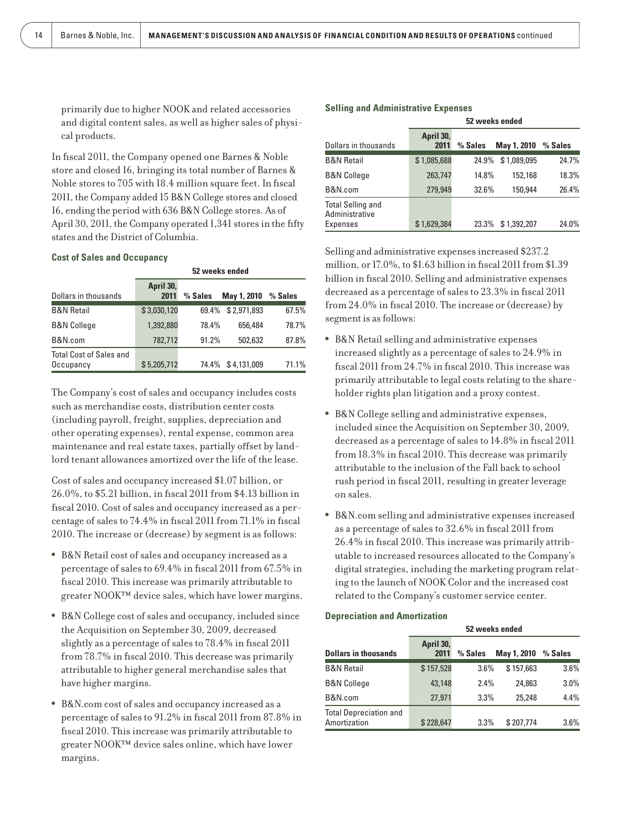primarily due to higher NOOK and related accessories and digital content sales, as well as higher sales of physical products.

In fiscal 2011, the Company opened one Barnes & Noble store and closed 16, bringing its total number of Barnes & Noble stores to 705 with 18.4 million square feet. In fiscal 2011, the Company added 15 B&N College stores and closed 16, ending the period with 636 B&N College stores. As of April 30, 2011, the Company operated 1,341 stores in the fifty states and the District of Columbia.

# **Cost of Sales and Occupancy**

|                                             | 52 weeks ended    |         |             |         |  |  |
|---------------------------------------------|-------------------|---------|-------------|---------|--|--|
| Dollars in thousands                        | April 30,<br>2011 | % Sales | May 1, 2010 | % Sales |  |  |
| <b>B&amp;N Retail</b>                       | \$3,030,120       | 69.4%   | \$2,971,893 | 67.5%   |  |  |
| <b>B&amp;N College</b>                      | 1.392.880         | 78.4%   | 656,484     | 78.7%   |  |  |
| B&N.com                                     | 782,712           | 91.2%   | 502,632     | 87.8%   |  |  |
| <b>Total Cost of Sales and</b><br>Occupancy | \$5,205,712       | 74.4%   | \$4,131,009 | 71.1%   |  |  |

The Company's cost of sales and occupancy includes costs such as merchandise costs, distribution center costs (including payroll, freight, supplies, depreciation and other operating expenses), rental expense, common area maintenance and real estate taxes, partially offset by landlord tenant allowances amortized over the life of the lease.

Cost of sales and occupancy increased \$1.07 billion, or 26.0%, to \$5.21 billion, in fiscal 2011 from \$4.13 billion in fiscal 2010. Cost of sales and occupancy increased as a percentage of sales to 74.4% in fiscal 2011 from 71.1% in fiscal 2010. The increase or (decrease) by segment is as follows:

- B&N Retail cost of sales and occupancy increased as a percentage of sales to  $69.4\%$  in fiscal 2011 from  $67.5\%$  in fiscal 2010. This increase was primarily attributable to greater NOOK™ device sales, which have lower margins.
- B&N College cost of sales and occupancy, included since the Acquisition on September 30, 2009, decreased slightly as a percentage of sales to  $78.4\%$  in fiscal  $2011$ from 78.7% in fiscal 2010. This decrease was primarily attributable to higher general merchandise sales that have higher margins.
- B&N.com cost of sales and occupancy increased as a percentage of sales to 91.2% in fiscal 2011 from 87.8% in fiscal 2010. This increase was primarily attributable to greater NOOK™ device sales online, which have lower margins.

#### **Selling and Administrative Expenses**

|                                                        | 52 weeks ended    |         |             |         |  |  |
|--------------------------------------------------------|-------------------|---------|-------------|---------|--|--|
| Dollars in thousands                                   | April 30,<br>2011 | % Sales | May 1, 2010 | % Sales |  |  |
| <b>B&amp;N Retail</b>                                  | \$1,085,688       | 24.9%   | \$1,089,095 | 24.7%   |  |  |
| <b>B&amp;N College</b>                                 | 263,747           | 14.8%   | 152.168     | 18.3%   |  |  |
| B&N.com                                                | 279,949           | 32.6%   | 150.944     | 26.4%   |  |  |
| <b>Total Selling and</b><br>Administrative<br>Expenses | \$1,629,384       | 23.3%   | \$1,392,207 | 24.0%   |  |  |

Selling and administrative expenses increased \$237.2 million, or  $17.0\%$ , to \$1.63 billion in fiscal 2011 from \$1.39 billion in fiscal 2010. Selling and administrative expenses decreased as a percentage of sales to 23.3% in fiscal 2011 from 24.0% in fiscal 2010. The increase or (decrease) by segment is as follows:

- B&N Retail selling and administrative expenses increased slightly as a percentage of sales to 24.9% in fiscal 2011 from 24.7% in fiscal 2010. This increase was primarily attributable to legal costs relating to the shareholder rights plan litigation and a proxy contest.
- B&N College selling and administrative expenses, included since the Acquisition on September 30, 2009, decreased as a percentage of sales to 14.8% in fiscal 2011 from 18.3% in fiscal 2010. This decrease was primarily attributable to the inclusion of the Fall back to school rush period in fiscal 2011, resulting in greater leverage on sales.
- B&N.com selling and administrative expenses increased as a percentage of sales to 32.6% in fiscal 2011 from  $26.4\%$  in fiscal 2010. This increase was primarily attributable to increased resources allocated to the Company's digital strategies, including the marketing program relating to the launch of NOOK Color and the increased cost related to the Company's customer service center.

#### **Depreciation and Amortization**

|                                               | 52 weeks ended    |         |             |         |  |  |
|-----------------------------------------------|-------------------|---------|-------------|---------|--|--|
| <b>Dollars in thousands</b>                   | April 30,<br>2011 | % Sales | May 1, 2010 | % Sales |  |  |
| <b>B&amp;N Retail</b>                         | \$157,528         | 3.6%    | \$157.663   | $3.6\%$ |  |  |
| <b>B&amp;N College</b>                        | 43.148            | 2.4%    | 24.863      | 3.0%    |  |  |
| B&N.com                                       | 27,971            | 3.3%    | 25,248      | 4.4%    |  |  |
| <b>Total Depreciation and</b><br>Amortization | \$228,647         | 3.3%    | \$207,774   | $3.6\%$ |  |  |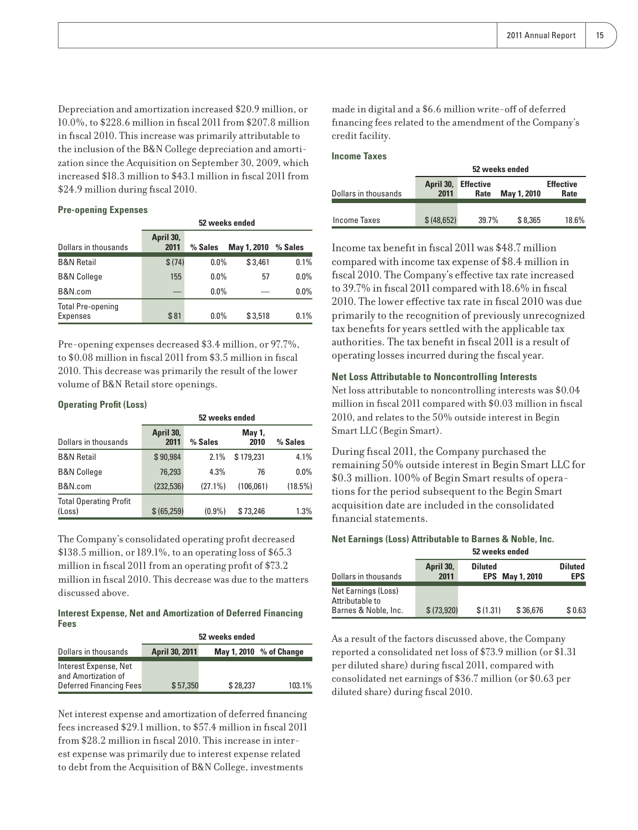Depreciation and amortization increased \$20.9 million, or  $10.0\%$ , to \$228.6 million in fiscal 2011 from \$207.8 million in fiscal 2010. This increase was primarily attributable to the inclusion of the B&N College depreciation and amortization since the Acquisition on September 30, 2009, which increased \$18.3 million to \$43.1 million in fiscal 2011 from \$24.9 million during fiscal 2010.

### **Pre-opening Expenses**

|                                      | 52 weeks ended    |         |             |         |  |  |
|--------------------------------------|-------------------|---------|-------------|---------|--|--|
| Dollars in thousands                 | April 30,<br>2011 | % Sales | May 1, 2010 | % Sales |  |  |
| <b>B&amp;N Retail</b>                | \$(74)            | $0.0\%$ | \$3.461     | 0.1%    |  |  |
| <b>B&amp;N College</b>               | 155               | $0.0\%$ | 57          | $0.0\%$ |  |  |
| B&N.com                              |                   | $0.0\%$ |             | $0.0\%$ |  |  |
| <b>Total Pre-opening</b><br>Expenses | \$81              | $0.0\%$ | \$3,518     | 0.1%    |  |  |

Pre-opening expenses decreased \$3.4 million, or 97.7%, to \$0.08 million in fiscal 2011 from \$3.5 million in fiscal 2010. This decrease was primarily the result of the lower volume of B&N Retail store openings.

## **Operating Profit (Loss)**

|                                         | 52 weeks ended    |            |                |            |  |  |
|-----------------------------------------|-------------------|------------|----------------|------------|--|--|
| Dollars in thousands                    | April 30,<br>2011 | % Sales    | May 1,<br>2010 | % Sales    |  |  |
| <b>B&amp;N Retail</b>                   | \$90,984          | 2.1%       | \$179.231      | 4.1%       |  |  |
| <b>B&amp;N College</b>                  | 76.293            | 4.3%       | 76             | 0.0%       |  |  |
| B&N.com                                 | (232, 536)        | $(27.1\%)$ | (106, 061)     | $(18.5\%)$ |  |  |
| <b>Total Operating Profit</b><br>(Loss) | \$ (65, 259)      | $(0.9\%)$  | \$73.246       | 1.3%       |  |  |

The Company's consolidated operating profit decreased \$138.5 million, or 189.1%, to an operating loss of \$65.3 million in fiscal 2011 from an operating profit of \$73.2 million in fiscal 2010. This decrease was due to the matters discussed above.

# **Interest Expense, Net and Amortization of Deferred Financing Fees**

|                                              | 52 weeks ended |          |                         |  |  |
|----------------------------------------------|----------------|----------|-------------------------|--|--|
| Dollars in thousands                         | April 30, 2011 |          | May 1, 2010 % of Change |  |  |
| Interest Expense, Net<br>and Amortization of |                |          |                         |  |  |
| Deferred Financing Fees                      | \$57.350       | \$28,237 | 103.1%                  |  |  |

Net interest expense and amortization of deferred financing fees increased \$29.1 million, to \$57.4 million in fiscal 2011 from \$28.2 million in fiscal 2010. This increase in interest expense was primarily due to interest expense related to debt from the Acquisition of B&N College, investments

made in digital and a \$6.6 million write-off of deferred financing fees related to the amendment of the Company's credit facility.

# **Income Taxes**

|                      | 52 weeks ended |                             |             |                          |  |  |
|----------------------|----------------|-----------------------------|-------------|--------------------------|--|--|
| Dollars in thousands | 2011           | April 30, Effective<br>Rate | May 1, 2010 | <b>Effective</b><br>Rate |  |  |
| Income Taxes         | \$ (48.652)    | 39.7%                       | \$8.365     | 18.6%                    |  |  |

Income tax benefit in fiscal 2011 was \$48.7 million compared with income tax expense of \$8.4 million in fiscal 2010. The Company's effective tax rate increased to 39.7% in fiscal 2011 compared with 18.6% in fiscal 2010. The lower effective tax rate in fiscal 2010 was due primarily to the recognition of previously unrecognized tax benefits for years settled with the applicable tax authorities. The tax benefit in fiscal 2011 is a result of operating losses incurred during the fiscal year.

## **Net Loss Attributable to Noncontrolling Interests**

Net loss attributable to noncontrolling interests was \$0.04 million in fiscal 2011 compared with \$0.03 million in fiscal 2010, and relates to the 50% outside interest in Begin Smart LLC (Begin Smart).

During fiscal 2011, the Company purchased the remaining 50% outside interest in Begin Smart LLC for \$0.3 million. 100% of Begin Smart results of operations for the period subsequent to the Begin Smart acquisition date are included in the consolidated financial statements.

## **Net Earnings (Loss) Attributable to Barnes & Noble, Inc.**

|                                                                |                   | 52 weeks ended |                        |                       |
|----------------------------------------------------------------|-------------------|----------------|------------------------|-----------------------|
| Dollars in thousands                                           | April 30,<br>2011 | <b>Diluted</b> | <b>EPS May 1, 2010</b> | <b>Diluted</b><br>EPS |
| Net Earnings (Loss)<br>Attributable to<br>Barnes & Noble, Inc. | \$(73,920)        | \$(1.31)       | \$36,676               | \$0.63                |

As a result of the factors discussed above, the Company reported a consolidated net loss of \$73.9 million (or \$1.31 per diluted share) during fiscal 2011, compared with consolidated net earnings of \$36.7 million (or \$0.63 per diluted share) during fiscal 2010.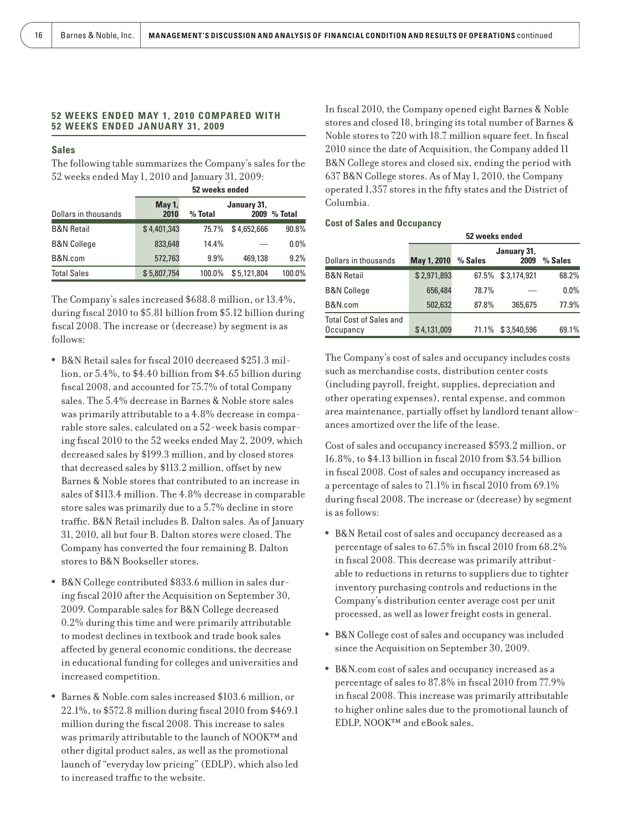# **52 WEEKS ENDED MAY 1, 2010 COMPARED WITH 52 WEEKS ENDED JANUARY 31, 2009**

## **Sales**

The following table summarizes the Company's sales for the 52 weeks ended May 1, 2010 and January 31, 2009:

|                        | 52 weeks ended        |                                        |             |         |  |
|------------------------|-----------------------|----------------------------------------|-------------|---------|--|
| Dollars in thousands   | <b>May 1,</b><br>2010 | January 31,<br>% Total<br>2009 % Total |             |         |  |
| <b>B&amp;N Retail</b>  | \$4,401,343           | 75.7%                                  | \$4,652,666 | 90.8%   |  |
| <b>B&amp;N College</b> | 833.648               | 14.4%                                  |             | $0.0\%$ |  |
| B&N.com                | 572,763               | 9.9%                                   | 469,138     | 9.2%    |  |
| <b>Total Sales</b>     | \$5,807,754           | 100.0%                                 | \$5,121,804 | 100.0%  |  |

The Company's sales increased \$688.8 million, or 13.4%, during fiscal 2010 to \$5.81 billion from \$5.12 billion during fiscal 2008. The increase or (decrease) by segment is as follows:

- B&N Retail sales for fiscal 2010 decreased \$251.3 million, or 5.4%, to \$4.40 billion from \$4.65 billion during fiscal 2008, and accounted for 75.7% of total Company sales. The 5.4% decrease in Barnes & Noble store sales was primarily attributable to a 4.8% decrease in comparable store sales, calculated on a 52-week basis comparing fiscal 2010 to the 52 weeks ended May 2, 2009, which decreased sales by \$199.3 million, and by closed stores that decreased sales by \$113.2 million, offset by new Barnes & Noble stores that contributed to an increase in sales of \$113.4 million. The 4.8% decrease in comparable store sales was primarily due to a 5.7% decline in store traffic. B&N Retail includes B. Dalton sales. As of January 31, 2010, all but four B. Dalton stores were closed. The Company has converted the four remaining B. Dalton stores to B&N Bookseller stores.
- B&N College contributed \$833.6 million in sales during fiscal 2010 after the Acquisition on September 30, 2009. Comparable sales for B&N College decreased 0.2% during this time and were primarily attributable to modest declines in textbook and trade book sales affected by general economic conditions, the decrease in educational funding for colleges and universities and increased competition.
- Barnes & Noble.com sales increased \$103.6 million, or 22.1%, to \$572.8 million during fiscal 2010 from \$469.1 million during the fiscal 2008. This increase to sales was primarily attributable to the launch of NOOK™ and other digital product sales, as well as the promotional launch of "everyday low pricing" (EDLP), which also led to increased traffic to the website.

In fiscal 2010, the Company opened eight Barnes & Noble stores and closed 18, bringing its total number of Barnes & Noble stores to 720 with 18.7 million square feet. In fiscal 2010 since the date of Acquisition, the Company added 11 B&N College stores and closed six, ending the period with 637 B&N College stores. As of May 1, 2010, the Company operated 1,357 stores in the fifty states and the District of Columbia.

## **Cost of Sales and Occupancy**

|                                             | 52 weeks ended |         |                     |         |  |
|---------------------------------------------|----------------|---------|---------------------|---------|--|
| Dollars in thousands                        | May 1, 2010    | % Sales | January 31,<br>2009 | % Sales |  |
| <b>B&amp;N Retail</b>                       | \$2,971,893    | 67.5%   | \$3,174,921         | 68.2%   |  |
| <b>B&amp;N College</b>                      | 656,484        | 78.7%   |                     | 0.0%    |  |
| B&N.com                                     | 502,632        | 87.8%   | 365,675             | 77.9%   |  |
| <b>Total Cost of Sales and</b><br>Occupancy | \$4,131,009    | 71.1%   | \$3,540,596         | 69.1%   |  |

The Company's cost of sales and occupancy includes costs such as merchandise costs, distribution center costs (including payroll, freight, supplies, depreciation and other operating expenses), rental expense, and common area maintenance, partially offset by landlord tenant allowances amortized over the life of the lease.

Cost of sales and occupancy increased \$593.2 million, or 16.8%, to \$4.13 billion in fiscal 2010 from \$3.54 billion in fiscal 2008. Cost of sales and occupancy increased as a percentage of sales to 71.1% in fiscal 2010 from 69.1% during fiscal 2008. The increase or (decrease) by segment is as follows:

- B&N Retail cost of sales and occupancy decreased as a percentage of sales to  $67.5\%$  in fiscal 2010 from  $68.2\%$ in fiscal 2008. This decrease was primarily attributable to reductions in returns to suppliers due to tighter inventory purchasing controls and reductions in the Company's distribution center average cost per unit processed, as well as lower freight costs in general.
- B&N College cost of sales and occupancy was included since the Acquisition on September 30, 2009.
- B&N.com cost of sales and occupancy increased as a percentage of sales to  $87.8\%$  in fiscal  $2010$  from  $77.9\%$ in fiscal 2008. This increase was primarily attributable to higher online sales due to the promotional launch of EDLP, NOOK™ and eBook sales.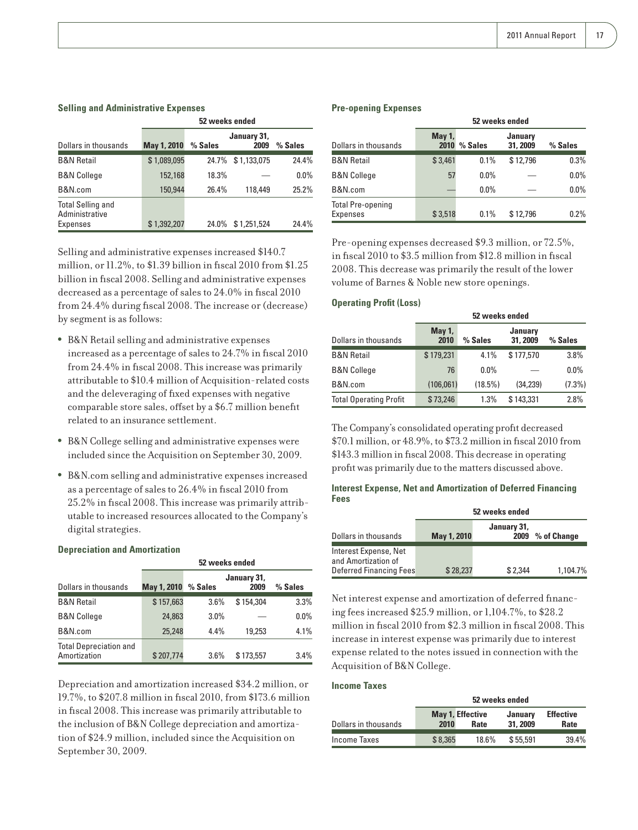# **Selling and Administrative Expenses**

|                                                        |             | 52 weeks ended |                     |         |
|--------------------------------------------------------|-------------|----------------|---------------------|---------|
| Dollars in thousands                                   | May 1, 2010 | % Sales        | January 31,<br>2009 | % Sales |
| <b>B&amp;N Retail</b>                                  | \$1,089,095 | 24.7%          | \$1,133,075         | 24.4%   |
| <b>B&amp;N College</b>                                 | 152,168     | 18.3%          |                     | $0.0\%$ |
| B&N.com                                                | 150,944     | 26.4%          | 118.449             | 25.2%   |
| <b>Total Selling and</b><br>Administrative<br>Expenses | \$1,392,207 | 24.0%          | \$1,251,524         | 24.4%   |

Selling and administrative expenses increased \$140.7 million, or  $11.2\%$ , to \$1.39 billion in fiscal 2010 from \$1.25 billion in fiscal 2008. Selling and administrative expenses decreased as a percentage of sales to  $24.0\%$  in fiscal  $2010$ from 24.4% during fiscal 2008. The increase or (decrease) by segment is as follows:

- B&N Retail selling and administrative expenses increased as a percentage of sales to  $24.7\%$  in fiscal  $2010$ from  $24.4\%$  in fiscal  $2008$ . This increase was primarily attributable to \$10.4 million of Acquisition-related costs and the deleveraging of fixed expenses with negative comparable store sales, offset by a \$6.7 million benefit related to an insurance settlement.
- B&N College selling and administrative expenses were included since the Acquisition on September 30, 2009.
- B&N.com selling and administrative expenses increased as a percentage of sales to  $26.4\%$  in fiscal  $2010$  from  $25.2\%$  in fiscal  $2008$ . This increase was primarily attributable to increased resources allocated to the Company's digital strategies.

#### **Depreciation and Amortization**

|                                               | 52 weeks ended |         |                     |         |
|-----------------------------------------------|----------------|---------|---------------------|---------|
| Dollars in thousands                          | May 1, 2010    | % Sales | January 31,<br>2009 | % Sales |
| <b>B&amp;N Retail</b>                         | \$157,663      | $3.6\%$ | \$154.304           | 3.3%    |
| <b>B&amp;N College</b>                        | 24,863         | 3.0%    |                     | $0.0\%$ |
| B&N.com                                       | 25,248         | 4.4%    | 19.253              | 4.1%    |
| <b>Total Depreciation and</b><br>Amortization | \$207,774      | 3.6%    | \$173,557           | 3.4%    |

Depreciation and amortization increased \$34.2 million, or 19.7%, to \$207.8 million in fiscal 2010, from \$173.6 million in fiscal 2008. This increase was primarily attributable to the inclusion of B&N College depreciation and amortization of \$24.9 million, included since the Acquisition on September 30, 2009.

## **Pre-opening Expenses**

|                                      |                       |         | 52 weeks ended      |         |
|--------------------------------------|-----------------------|---------|---------------------|---------|
| Dollars in thousands                 | <b>May 1,</b><br>2010 | % Sales | January<br>31, 2009 | % Sales |
| <b>B&amp;N Retail</b>                | \$3,461               | 0.1%    | \$12,796            | 0.3%    |
| <b>B&amp;N College</b>               | 57                    | $0.0\%$ |                     | $0.0\%$ |
| B&N.com                              |                       | $0.0\%$ |                     | $0.0\%$ |
| <b>Total Pre-opening</b><br>Expenses | \$3,518               | 0.1%    | \$12,796            | 0.2%    |

Pre-opening expenses decreased \$9.3 million, or 72.5%, in fiscal  $2010$  to \$3.5 million from \$12.8 million in fiscal 2008. This decrease was primarily the result of the lower volume of Barnes & Noble new store openings.

## **Operating Profit (Loss)**

| Dollars in thousands          | <b>May 1,</b><br>2010 | % Sales    | January<br>31, 2009 | % Sales   |
|-------------------------------|-----------------------|------------|---------------------|-----------|
| <b>B&amp;N Retail</b>         | \$179,231             | 4.1%       | \$177.570           | 3.8%      |
| <b>B&amp;N College</b>        | 76                    | $0.0\%$    |                     | $0.0\%$   |
| B&N.com                       | (106, 061)            | $(18.5\%)$ | (34.239)            | $(7.3\%)$ |
| <b>Total Operating Profit</b> | \$73,246              | 1.3%       | \$143.331           | 2.8%      |

The Company's consolidated operating profit decreased \$70.1 million, or 48.9%, to \$73.2 million in fiscal 2010 from \$143.3 million in fiscal 2008. This decrease in operating profit was primarily due to the matters discussed above.

# **Interest Expense, Net and Amortization of Deferred Financing Fees**

|                                              | 52 weeks ended |             |                  |  |  |
|----------------------------------------------|----------------|-------------|------------------|--|--|
| Dollars in thousands                         | May 1, 2010    | January 31, | 2009 % of Change |  |  |
| Interest Expense, Net<br>and Amortization of |                |             |                  |  |  |
| <b>Deferred Financing Fees</b>               | \$28,237       | \$2.344     | 1.104.7%         |  |  |

Net interest expense and amortization of deferred financing fees increased \$25.9 million, or 1,104.7%, to \$28.2 million in fiscal 2010 from \$2.3 million in fiscal 2008. This increase in interest expense was primarily due to interest expense related to the notes issued in connection with the Acquisition of B&N College.

#### **Income Taxes**

|                      | 52 weeks ended |                                 |                    |                          |
|----------------------|----------------|---------------------------------|--------------------|--------------------------|
| Dollars in thousands | 2010           | <b>May 1, Effective</b><br>Rate | January<br>31.2009 | <b>Effective</b><br>Rate |
| Income Taxes         | \$8.365        | 18.6%                           | \$55.591           | 39.4%                    |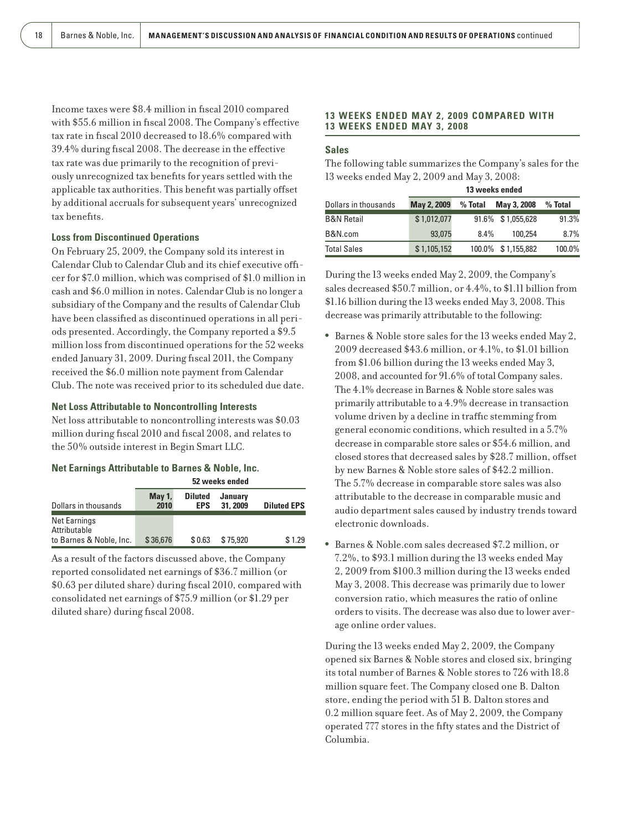Income taxes were \$8.4 million in fiscal 2010 compared with \$55.6 million in fiscal 2008. The Company's effective tax rate in fiscal 2010 decreased to 18.6% compared with 39.4% during fiscal 2008. The decrease in the effective tax rate was due primarily to the recognition of previously unrecognized tax benefits for years settled with the applicable tax authorities. This benefit was partially offset by additional accruals for subsequent years' unrecognized tax benefits.

## **Loss from Discontinued Operations**

On February 25, 2009, the Company sold its interest in Calendar Club to Calendar Club and its chief executive offi cer for \$7.0 million, which was comprised of \$1.0 million in cash and \$6.0 million in notes. Calendar Club is no longer a subsidiary of the Company and the results of Calendar Club have been classified as discontinued operations in all periods presented. Accordingly, the Company reported a \$9.5 million loss from discontinued operations for the 52 weeks ended January 31, 2009. During fiscal 2011, the Company received the \$6.0 million note payment from Calendar Club. The note was received prior to its scheduled due date.

#### **Net Loss Attributable to Noncontrolling Interests**

Net loss attributable to noncontrolling interests was \$0.03 million during fiscal 2010 and fiscal 2008, and relates to the 50% outside interest in Begin Smart LLC.

## **Net Earnings Attributable to Barnes & Noble, Inc.**

|                                                                | 52 weeks ended                                                                                     |        |          |        |  |  |
|----------------------------------------------------------------|----------------------------------------------------------------------------------------------------|--------|----------|--------|--|--|
| Dollars in thousands                                           | <b>May 1,</b><br><b>Diluted</b><br>January<br><b>Diluted EPS</b><br>2010<br><b>EPS</b><br>31, 2009 |        |          |        |  |  |
| <b>Net Earnings</b><br>Attributable<br>to Barnes & Noble, Inc. | \$36,676                                                                                           | \$0.63 | \$75,920 | \$1.29 |  |  |

As a result of the factors discussed above, the Company reported consolidated net earnings of \$36.7 million (or \$0.63 per diluted share) during fiscal 2010, compared with consolidated net earnings of \$75.9 million (or \$1.29 per diluted share) during fiscal 2008.

## **13 WEEKS ENDED MAY 2, 2009 COMPARED WITH 13 WEEKS ENDED MAY 3, 2008**

# **Sales**

The following table summarizes the Company's sales for the 13 weeks ended May 2, 2009 and May 3, 2008:

|                       | 13 weeks ended |         |                    |         |
|-----------------------|----------------|---------|--------------------|---------|
| Dollars in thousands  | May 2, 2009    | % Total | May 3, 2008        | % Total |
| <b>B&amp;N Retail</b> | \$1,012,077    |         | 91.6% \$1,055,628  | 91.3%   |
| B&N.com               | 93.075         | $8.4\%$ | 100.254            | 8.7%    |
| <b>Total Sales</b>    | \$1,105,152    |         | 100.0% \$1,155,882 | 100.0%  |

During the 13 weeks ended May 2, 2009, the Company's sales decreased \$50.7 million, or 4.4%, to \$1.11 billion from \$1.16 billion during the 13 weeks ended May 3, 2008. This decrease was primarily attributable to the following:

- Barnes & Noble store sales for the 13 weeks ended May 2, 2009 decreased \$43.6 million, or 4.1%, to \$1.01 billion from \$1.06 billion during the 13 weeks ended May 3, 2008, and accounted for 91.6% of total Company sales. The 4.1% decrease in Barnes & Noble store sales was primarily attributable to a 4.9% decrease in transaction volume driven by a decline in traffic stemming from general economic conditions, which resulted in a 5.7% decrease in comparable store sales or \$54.6 million, and closed stores that decreased sales by \$28.7 million, offset by new Barnes & Noble store sales of \$42.2 million. The 5.7% decrease in comparable store sales was also attributable to the decrease in comparable music and audio department sales caused by industry trends toward electronic downloads.
- Barnes & Noble.com sales decreased \$7.2 million, or 7.2%, to \$93.1 million during the 13 weeks ended May 2, 2009 from \$100.3 million during the 13 weeks ended May 3, 2008. This decrease was primarily due to lower conversion ratio, which measures the ratio of online orders to visits. The decrease was also due to lower average online order values.

During the 13 weeks ended May 2, 2009, the Company opened six Barnes & Noble stores and closed six, bringing its total number of Barnes & Noble stores to 726 with 18.8 million square feet. The Company closed one B. Dalton store, ending the period with 51 B. Dalton stores and 0.2 million square feet. As of May 2, 2009, the Company operated 777 stores in the fifty states and the District of Columbia.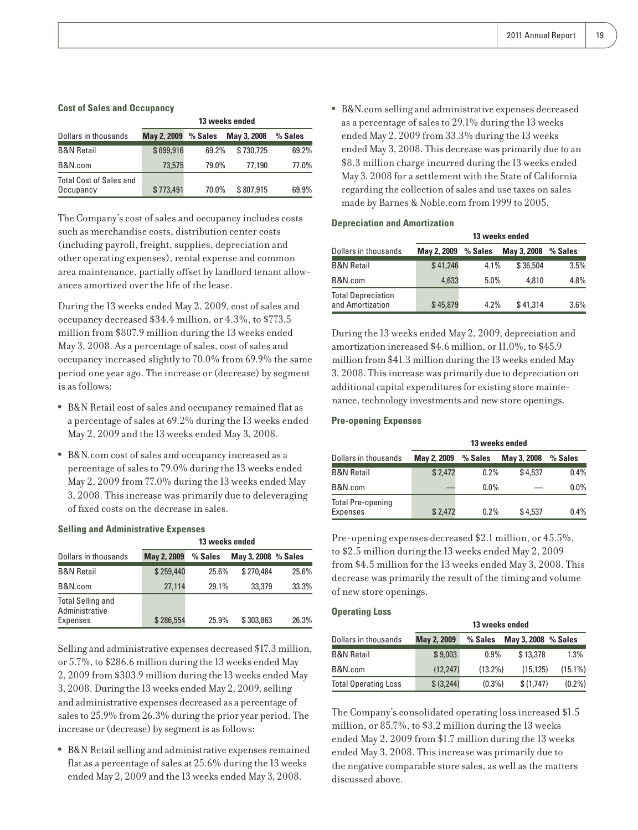|                                             | 13 weeks ended |         |             |         |
|---------------------------------------------|----------------|---------|-------------|---------|
| Dollars in thousands                        | May 2, 2009    | % Sales | May 3, 2008 | % Sales |
| <b>B&amp;N Retail</b>                       | \$699.916      | 69.2%   | \$730.725   | 69.2%   |
| B&N.com                                     | 73,575         | 79.0%   | 77.190      | 77.0%   |
| <b>Total Cost of Sales and</b><br>Occupancy | \$773,491      | 70.0%   | \$807.915   | 69.9%   |

The Company's cost of sales and occupancy includes costs such as merchandise costs, distribution center costs (including payroll, freight, supplies, depreciation and other operating expenses), rental expense and common area maintenance, partially offset by landlord tenant allowances amortized over the life of the lease.

During the 13 weeks ended May 2, 2009, cost of sales and occupancy decreased \$34.4 million, or 4.3%, to \$773.5 million from \$807.9 million during the 13 weeks ended May 3, 2008. As a percentage of sales, cost of sales and occupancy increased slightly to 70.0% from 69.9% the same period one year ago. The increase or (decrease) by segment is as follows:

- B&N Retail cost of sales and occupancy remained flat as a percentage of sales at 69.2% during the 13 weeks ended May 2, 2009 and the 13 weeks ended May 3, 2008.
- B&N.com cost of sales and occupancy increased as a percentage of sales to 79.0% during the 13 weeks ended May 2, 2009 from 77.0% during the 13 weeks ended May 3, 2008. This increase was primarily due to deleveraging of fixed costs on the decrease in sales.

# **Selling and Administrative Expenses**

|                                                               | 13 weeks ended |         |                     |       |  |  |
|---------------------------------------------------------------|----------------|---------|---------------------|-------|--|--|
| Dollars in thousands                                          | May 2, 2009    | % Sales | May 3, 2008 % Sales |       |  |  |
| <b>B&amp;N Retail</b>                                         | \$259,440      | 25.6%   | \$270.484           | 25.6% |  |  |
| B&N.com                                                       | 27,114         | 29.1%   | 33,379              | 33.3% |  |  |
| <b>Total Selling and</b><br>Administrative<br><b>Expenses</b> | \$286,554      | 25.9%   | \$303.863           | 26.3% |  |  |

Selling and administrative expenses decreased \$17.3 million, or 5.7%, to \$286.6 million during the 13 weeks ended May 2, 2009 from \$303.9 million during the 13 weeks ended May 3, 2008. During the 13 weeks ended May 2, 2009, selling and administrative expenses decreased as a percentage of sales to 25.9% from 26.3% during the prior year period. The increase or (decrease) by segment is as follows:

• B&N Retail selling and administrative expenses remained flat as a percentage of sales at  $25.6\%$  during the 13 weeks ended May 2, 2009 and the 13 weeks ended May 3, 2008.

2011 Annual Report | 19

• B&N.com selling and administrative expenses decreased as a percentage of sales to 29.1% during the 13 weeks ended May 2, 2009 from 33.3% during the 13 weeks ended May 3, 2008. This decrease was primarily due to an \$8.3 million charge incurred during the 13 weeks ended May 3, 2008 for a settlement with the State of California regarding the collection of sales and use taxes on sales made by Barnes & Noble.com from 1999 to 2005.

# **Depreciation and Amortization**

|                                               | 13 weeks ended      |      |             |         |  |  |  |
|-----------------------------------------------|---------------------|------|-------------|---------|--|--|--|
| Dollars in thousands                          | May 2, 2009 % Sales |      | May 3, 2008 | % Sales |  |  |  |
| <b>B&amp;N Retail</b>                         | \$41,246            | 4.1% | \$36,504    | 3.5%    |  |  |  |
| B&N.com                                       | 4.633               | 5.0% | 4,810       | 4.8%    |  |  |  |
| <b>Total Depreciation</b><br>and Amortization | \$45,879            | 4.2% | \$41,314    | 3.6%    |  |  |  |

During the 13 weeks ended May 2, 2009, depreciation and amortization increased \$4.6 million, or 11.0%, to \$45.9 million from \$41.3 million during the 13 weeks ended May 3, 2008. This increase was primarily due to depreciation on additional capital expenditures for existing store maintenance, technology investments and new store openings.

# **Pre-opening Expenses**

|                                      | 13 weeks ended |         |             |         |  |  |
|--------------------------------------|----------------|---------|-------------|---------|--|--|
| Dollars in thousands                 | May 2, 2009    | % Sales | May 3, 2008 | % Sales |  |  |
| <b>B&amp;N Retail</b>                | \$2.472        | 0.2%    | \$4.537     | 0.4%    |  |  |
| B&N.com                              |                | $0.0\%$ |             | $0.0\%$ |  |  |
| <b>Total Pre-opening</b><br>Expenses | \$2,472        | 0.2%    | \$4,537     | 0.4%    |  |  |

Pre-opening expenses decreased \$2.1 million, or 45.5%, to \$2.5 million during the 13 weeks ended May 2, 2009 from \$4.5 million for the 13 weeks ended May 3, 2008. This decrease was primarily the result of the timing and volume of new store openings.

# **Operating Loss**

|                             | 13 weeks ended |            |                     |            |  |  |  |
|-----------------------------|----------------|------------|---------------------|------------|--|--|--|
| Dollars in thousands        | May 2, 2009    | % Sales    | May 3, 2008 % Sales |            |  |  |  |
| <b>B&amp;N Retail</b>       | \$9.003        | 0.9%       | \$13,378            | 1.3%       |  |  |  |
| B&N.com                     | (12.247)       | $(13.2\%)$ | (15.125)            | $(15.1\%)$ |  |  |  |
| <b>Total Operating Loss</b> | \$ (3,244)     | $(0.3\%)$  | \$(1,747)           | $(0.2\%)$  |  |  |  |

The Company's consolidated operating loss increased \$1.5 million, or 85.7%, to \$3.2 million during the 13 weeks ended May 2, 2009 from \$1.7 million during the 13 weeks ended May 3, 2008. This increase was primarily due to the negative comparable store sales, as well as the matters discussed above.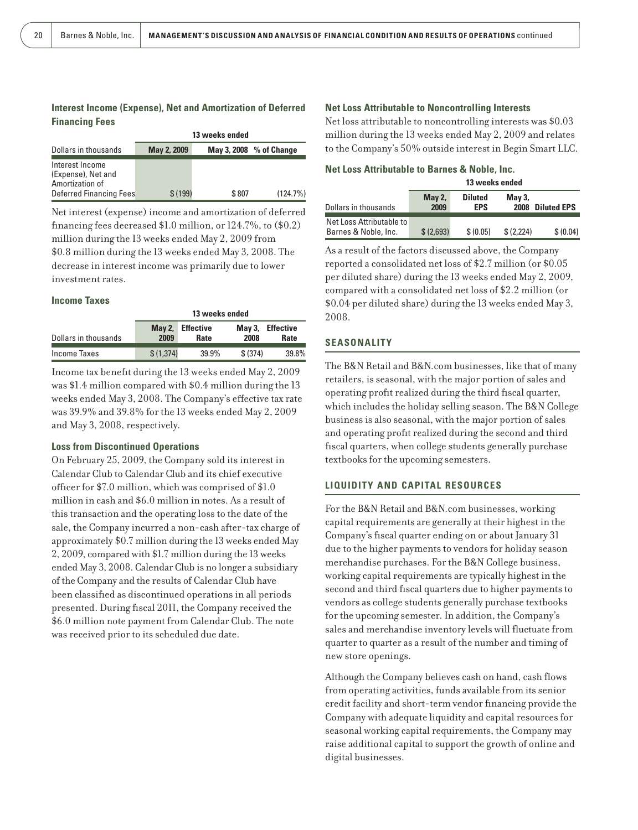# **Interest Income (Expense), Net and Amortization of Deferred Financing Fees**

|                                                          | 13 weeks ended |       |                         |  |  |  |
|----------------------------------------------------------|----------------|-------|-------------------------|--|--|--|
| Dollars in thousands                                     | May 2, 2009    |       | May 3, 2008 % of Change |  |  |  |
| Interest Income<br>(Expense), Net and<br>Amortization of |                |       |                         |  |  |  |
| <b>Deferred Financing Fees</b>                           | \$(199)        | \$807 | (124.7%)                |  |  |  |

Net interest (expense) income and amortization of deferred financing fees decreased  $\$1.0$  million, or 124.7%, to  $(\$0.2)$ million during the 13 weeks ended May 2, 2009 from \$0.8 million during the 13 weeks ended May 3, 2008. The decrease in interest income was primarily due to lower investment rates.

## **Income Taxes**

|                      | 13 weeks ended |                          |          |                          |  |  |
|----------------------|----------------|--------------------------|----------|--------------------------|--|--|
| Dollars in thousands | 2009           | May 2, Effective<br>Rate | 2008     | May 3, Effective<br>Rate |  |  |
| Income Taxes         | \$(1.374)      | 39.9%                    | \$ (374) | 39.8%                    |  |  |

Income tax benefit during the 13 weeks ended May 2, 2009 was \$1.4 million compared with \$0.4 million during the 13 weeks ended May 3, 2008. The Company's effective tax rate was 39.9% and 39.8% for the 13 weeks ended May 2, 2009 and May 3, 2008, respectively.

## **Loss from Discontinued Operations**

On February 25, 2009, the Company sold its interest in Calendar Club to Calendar Club and its chief executive officer for  $$7.0$  million, which was comprised of  $$1.0$ million in cash and \$6.0 million in notes. As a result of this transaction and the operating loss to the date of the sale, the Company incurred a non-cash after-tax charge of approximately \$0.7 million during the 13 weeks ended May 2, 2009, compared with \$1.7 million during the 13 weeks ended May 3, 2008. Calendar Club is no longer a subsidiary of the Company and the results of Calendar Club have been classified as discontinued operations in all periods presented. During fiscal 2011, the Company received the \$6.0 million note payment from Calendar Club. The note was received prior to its scheduled due date.

#### **Net Loss Attributable to Noncontrolling Interests**

Net loss attributable to noncontrolling interests was \$0.03 million during the 13 weeks ended May 2, 2009 and relates to the Company's 50% outside interest in Begin Smart LLC.

## **Net Loss Attributable to Barnes & Noble, Inc.**

|                                                  | 13 weeks ended        |                              |                |                    |  |  |
|--------------------------------------------------|-----------------------|------------------------------|----------------|--------------------|--|--|
| Dollars in thousands                             | <b>May 2,</b><br>2009 | <b>Diluted</b><br><b>EPS</b> | May 3,<br>2008 | <b>Diluted EPS</b> |  |  |
| Net Loss Attributable to<br>Barnes & Noble, Inc. | \$ (2,693)            | \$(0.05)                     | \$(2.224)      | \$(0.04)           |  |  |

As a result of the factors discussed above, the Company reported a consolidated net loss of \$2.7 million (or \$0.05 per diluted share) during the 13 weeks ended May 2, 2009, compared with a consolidated net loss of \$2.2 million (or \$0.04 per diluted share) during the 13 weeks ended May 3, 2008.

# **SEASONALITY**

The B&N Retail and B&N.com businesses, like that of many retailers, is seasonal, with the major portion of sales and operating profit realized during the third fiscal quarter, which includes the holiday selling season. The B&N College business is also seasonal, with the major portion of sales and operating profit realized during the second and third fiscal quarters, when college students generally purchase textbooks for the upcoming semesters.

## **LIQUIDITY AND CAPITAL RESOURCES**

For the B&N Retail and B&N.com businesses, working capital requirements are generally at their highest in the Company's fiscal quarter ending on or about January 31 due to the higher payments to vendors for holiday season merchandise purchases. For the B&N College business, working capital requirements are typically highest in the second and third fiscal quarters due to higher payments to vendors as college students generally purchase textbooks for the upcoming semester. In addition, the Company's sales and merchandise inventory levels will fluctuate from quarter to quarter as a result of the number and timing of new store openings.

Although the Company believes cash on hand, cash flows from operating activities, funds available from its senior credit facility and short-term vendor financing provide the Company with adequate liquidity and capital resources for seasonal working capital requirements, the Company may raise additional capital to support the growth of online and digital businesses.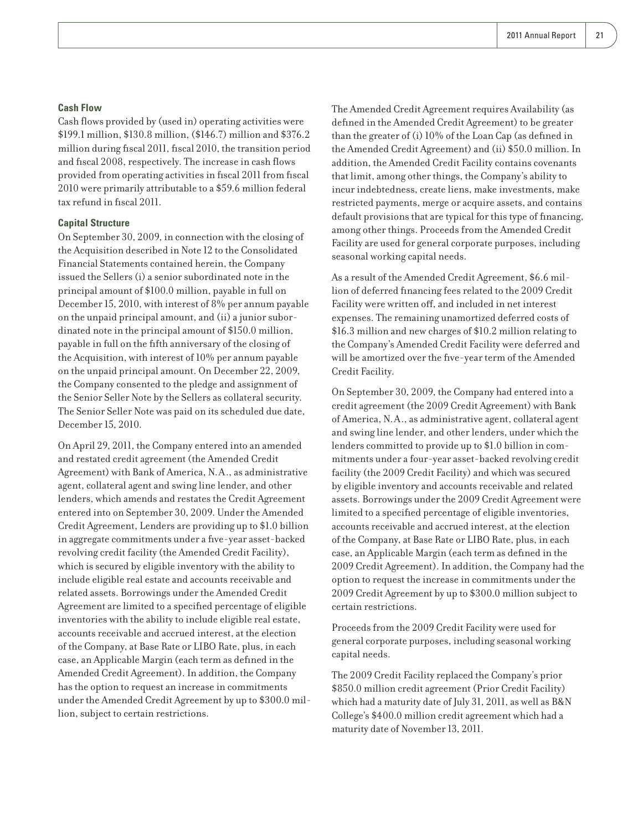## **Cash Flow**

Cash flows provided by (used in) operating activities were \$199.1 million, \$130.8 million, (\$146.7) million and \$376.2 million during fiscal 2011, fiscal 2010, the transition period and fiscal 2008, respectively. The increase in cash flows provided from operating activities in fiscal 2011 from fiscal 2010 were primarily attributable to a \$59.6 million federal tax refund in fiscal 2011.

# **Capital Structure**

On September 30, 2009, in connection with the closing of the Acquisition described in Note 12 to the Consolidated Financial Statements contained herein, the Company issued the Sellers (i) a senior subordinated note in the principal amount of \$100.0 million, payable in full on December 15, 2010, with interest of 8% per annum payable on the unpaid principal amount, and (ii) a junior subordinated note in the principal amount of \$150.0 million, payable in full on the fifth anniversary of the closing of the Acquisition, with interest of 10% per annum payable on the unpaid principal amount. On December 22, 2009, the Company consented to the pledge and assignment of the Senior Seller Note by the Sellers as collateral security. The Senior Seller Note was paid on its scheduled due date, December 15, 2010.

On April 29, 2011, the Company entered into an amended and restated credit agreement (the Amended Credit Agreement) with Bank of America, N.A., as administrative agent, collateral agent and swing line lender, and other lenders, which amends and restates the Credit Agreement entered into on September 30, 2009. Under the Amended Credit Agreement, Lenders are providing up to \$1.0 billion in aggregate commitments under a five-year asset-backed revolving credit facility (the Amended Credit Facility), which is secured by eligible inventory with the ability to include eligible real estate and accounts receivable and related assets. Borrowings under the Amended Credit Agreement are limited to a specified percentage of eligible inventories with the ability to include eligible real estate, accounts receivable and accrued interest, at the election of the Company, at Base Rate or LIBO Rate, plus, in each case, an Applicable Margin (each term as defined in the Amended Credit Agreement). In addition, the Company has the option to request an increase in commitments under the Amended Credit Agreement by up to \$300.0 million, subject to certain restrictions.

The Amended Credit Agreement requires Availability (as defined in the Amended Credit Agreement) to be greater than the greater of  $(i)$  10% of the Loan Cap (as defined in the Amended Credit Agreement) and (ii) \$50.0 million. In addition, the Amended Credit Facility contains covenants that limit, among other things, the Company's ability to incur indebtedness, create liens, make investments, make restricted payments, merge or acquire assets, and contains default provisions that are typical for this type of financing, among other things. Proceeds from the Amended Credit Facility are used for general corporate purposes, including seasonal working capital needs.

As a result of the Amended Credit Agreement, \$6.6 million of deferred financing fees related to the 2009 Credit Facility were written off, and included in net interest expenses. The remaining unamortized deferred costs of \$16.3 million and new charges of \$10.2 million relating to the Company's Amended Credit Facility were deferred and will be amortized over the five-year term of the Amended Credit Facility.

On September 30, 2009, the Company had entered into a credit agreement (the 2009 Credit Agreement) with Bank of America, N.A., as administrative agent, collateral agent and swing line lender, and other lenders, under which the lenders committed to provide up to \$1.0 billion in commitments under a four-year asset-backed revolving credit facility (the 2009 Credit Facility) and which was secured by eligible inventory and accounts receivable and related assets. Borrowings under the 2009 Credit Agreement were limited to a specified percentage of eligible inventories, accounts receivable and accrued interest, at the election of the Company, at Base Rate or LIBO Rate, plus, in each case, an Applicable Margin (each term as defined in the 2009 Credit Agreement). In addition, the Company had the option to request the increase in commitments under the 2009 Credit Agreement by up to \$300.0 million subject to certain restrictions.

Proceeds from the 2009 Credit Facility were used for general corporate purposes, including seasonal working capital needs.

The 2009 Credit Facility replaced the Company's prior \$850.0 million credit agreement (Prior Credit Facility) which had a maturity date of July 31, 2011, as well as B&N College's \$400.0 million credit agreement which had a maturity date of November 13, 2011.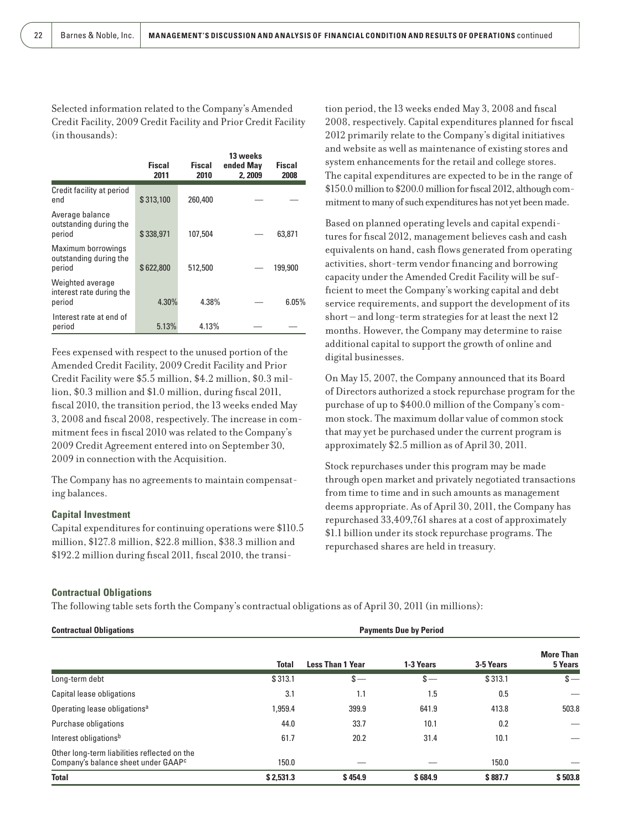Selected information related to the Company's Amended Credit Facility, 2009 Credit Facility and Prior Credit Facility (in thousands):

|                                                        | <b>Fiscal</b><br>2011 | Fiscal<br>2010 | 13 weeks<br>ended May<br>2, 2009 | Fiscal<br>2008 |
|--------------------------------------------------------|-----------------------|----------------|----------------------------------|----------------|
| Credit facility at period<br>end                       | \$313,100             | 260,400        |                                  |                |
| Average balance<br>outstanding during the<br>period    | \$338,971             | 107,504        |                                  | 63,871         |
| Maximum borrowings<br>outstanding during the<br>period | \$622,800             | 512,500        |                                  | 199,900        |
| Weighted average<br>interest rate during the<br>period | 4.30%                 | 4.38%          |                                  | 6.05%          |
| Interest rate at end of<br>period                      | 5.13%                 | 4.13%          |                                  |                |

Fees expensed with respect to the unused portion of the Amended Credit Facility, 2009 Credit Facility and Prior Credit Facility were \$5.5 million, \$4.2 million, \$0.3 million,  $$0.3$  million and  $$1.0$  million, during fiscal  $2011$ , fiscal 2010, the transition period, the 13 weeks ended May 3, 2008 and fiscal 2008, respectively. The increase in commitment fees in fiscal 2010 was related to the Company's 2009 Credit Agreement entered into on September 30, 2009 in connection with the Acquisition.

The Company has no agreements to maintain compensating balances.

## **Capital Investment**

Capital expenditures for continuing operations were \$110.5 million, \$127.8 million, \$22.8 million, \$38.3 million and  $$192.2$  million during fiscal 2011, fiscal 2010, the transition period, the 13 weeks ended May 3, 2008 and fiscal 2008, respectively. Capital expenditures planned for fiscal 2012 primarily relate to the Company's digital initiatives and website as well as maintenance of existing stores and system enhancements for the retail and college stores. The capital expenditures are expected to be in the range of \$150.0 million to \$200.0 million for fiscal 2012, although commitment to many of such expenditures has not yet been made.

Based on planned operating levels and capital expenditures for fiscal 2012, management believes cash and cash equivalents on hand, cash flows generated from operating activities, short-term vendor financing and borrowing capacity under the Amended Credit Facility will be sufficient to meet the Company's working capital and debt service requirements, and support the development of its short – and long-term strategies for at least the next 12 months. However, the Company may determine to raise additional capital to support the growth of online and digital businesses.

On May 15, 2007, the Company announced that its Board of Directors authorized a stock repurchase program for the purchase of up to \$400.0 million of the Company's common stock. The maximum dollar value of common stock that may yet be purchased under the current program is approximately \$2.5 million as of April 30, 2011.

Stock repurchases under this program may be made through open market and privately negotiated transactions from time to time and in such amounts as management deems appropriate. As of April 30, 2011, the Company has repurchased 33,409,761 shares at a cost of approximately \$1.1 billion under its stock repurchase programs. The repurchased shares are held in treasury.

## **Contractual Obligations**

The following table sets forth the Company's contractual obligations as of April 30, 2011 (in millions):

| <b>Contractual Obligations</b>                                                                  | <b>Payments Due by Period</b> |                         |           |           |                             |  |  |
|-------------------------------------------------------------------------------------------------|-------------------------------|-------------------------|-----------|-----------|-----------------------------|--|--|
|                                                                                                 | <b>Total</b>                  | <b>Less Than 1 Year</b> | 1-3 Years | 3-5 Years | <b>More Than</b><br>5 Years |  |  |
| Long-term debt                                                                                  | \$313.1                       | $s-$                    | $s-$      | \$313.1   | $s -$                       |  |  |
| Capital lease obligations                                                                       | 3.1                           | 1.1                     | 1.5       | 0.5       |                             |  |  |
| Operating lease obligations <sup>a</sup>                                                        | ,959.4                        | 399.9                   | 641.9     | 413.8     | 503.8                       |  |  |
| Purchase obligations                                                                            | 44.0                          | 33.7                    | 10.1      | 0.2       |                             |  |  |
| Interest obligations <sup>b</sup>                                                               | 61.7                          | 20.2                    | 31.4      | 10.1      |                             |  |  |
| Other long-term liabilities reflected on the<br>Company's balance sheet under GAAP <sup>c</sup> | 150.0                         |                         |           | 150.0     |                             |  |  |
| <b>Total</b>                                                                                    | \$2,531.3                     | \$454.9                 | \$684.9   | \$887.7   | \$503.8                     |  |  |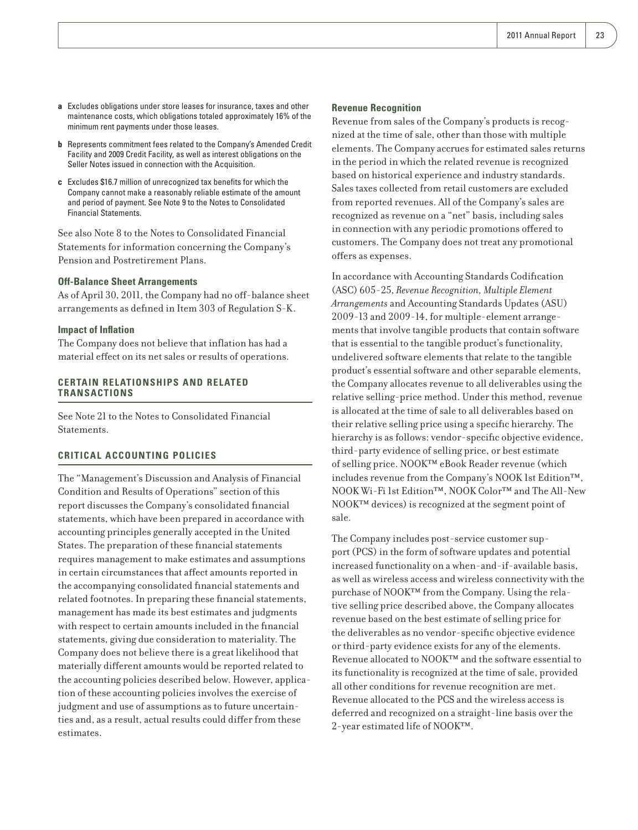- **a** Excludes obligations under store leases for insurance, taxes and other maintenance costs, which obligations totaled approximately 16% of the minimum rent payments under those leases.
- **b** Represents commitment fees related to the Company's Amended Credit Facility and 2009 Credit Facility, as well as interest obligations on the Seller Notes issued in connection with the Acquisition.
- **c** Excludes \$16.7 million of unrecognized tax benefits for which the Company cannot make a reasonably reliable estimate of the amount and period of payment. See Note 9 to the Notes to Consolidated Financial Statements.

See also Note 8 to the Notes to Consolidated Financial Statements for information concerning the Company's Pension and Postretirement Plans.

# **Off-Balance Sheet Arrangements**

As of April 30, 2011, the Company had no off -balance sheet arrangements as defined in Item 303 of Regulation S-K.

### **Impact of Inflation**

The Company does not believe that inflation has had a material effect on its net sales or results of operations.

# **CERTAIN RELATIONSHIPS AND RELATED TRANSACTIONS**

See Note 21 to the Notes to Consolidated Financial Statements.

# **CRITICAL ACCOUNTING POLICIES**

The "Management's Discussion and Analysis of Financial Condition and Results of Operations" section of this report discusses the Company's consolidated financial statements, which have been prepared in accordance with accounting principles generally accepted in the United States. The preparation of these financial statements requires management to make estimates and assumptions in certain circumstances that affect amounts reported in the accompanying consolidated financial statements and related footnotes. In preparing these financial statements, management has made its best estimates and judgments with respect to certain amounts included in the financial statements, giving due consideration to materiality. The Company does not believe there is a great likelihood that materially different amounts would be reported related to the accounting policies described below. However, application of these accounting policies involves the exercise of judgment and use of assumptions as to future uncertainties and, as a result, actual results could differ from these estimates.

## **Revenue Recognition**

Revenue from sales of the Company's products is recognized at the time of sale, other than those with multiple elements. The Company accrues for estimated sales returns in the period in which the related revenue is recognized based on historical experience and industry standards. Sales taxes collected from retail customers are excluded from reported revenues. All of the Company's sales are recognized as revenue on a "net" basis, including sales in connection with any periodic promotions offered to customers. The Company does not treat any promotional offers as expenses.

In accordance with Accounting Standards Codification (ASC) 605-25, *Revenue Recognition, Multiple Element Arrangements* and Accounting Standards Updates (ASU) 2009-13 and 2009-14, for multiple-element arrangements that involve tangible products that contain software that is essential to the tangible product's functionality, undelivered software elements that relate to the tangible product's essential software and other separable elements, the Company allocates revenue to all deliverables using the relative selling-price method. Under this method, revenue is allocated at the time of sale to all deliverables based on their relative selling price using a specific hierarchy. The hierarchy is as follows: vendor-specific objective evidence, third-party evidence of selling price, or best estimate of selling price. NOOK™ eBook Reader revenue (which includes revenue from the Company's NOOK 1st Edition™, NOOK Wi-Fi 1st Edition™, NOOK Color™ and The All-New NOOK™ devices) is recognized at the segment point of sale.

The Company includes post-service customer support (PCS) in the form of software updates and potential increased functionality on a when-and-if-available basis, as well as wireless access and wireless connectivity with the purchase of NOOK™ from the Company. Using the relative selling price described above, the Company allocates revenue based on the best estimate of selling price for the deliverables as no vendor-specific objective evidence or third-party evidence exists for any of the elements. Revenue allocated to NOOK™ and the software essential to its functionality is recognized at the time of sale, provided all other conditions for revenue recognition are met. Revenue allocated to the PCS and the wireless access is deferred and recognized on a straight-line basis over the 2-year estimated life of NOOK™.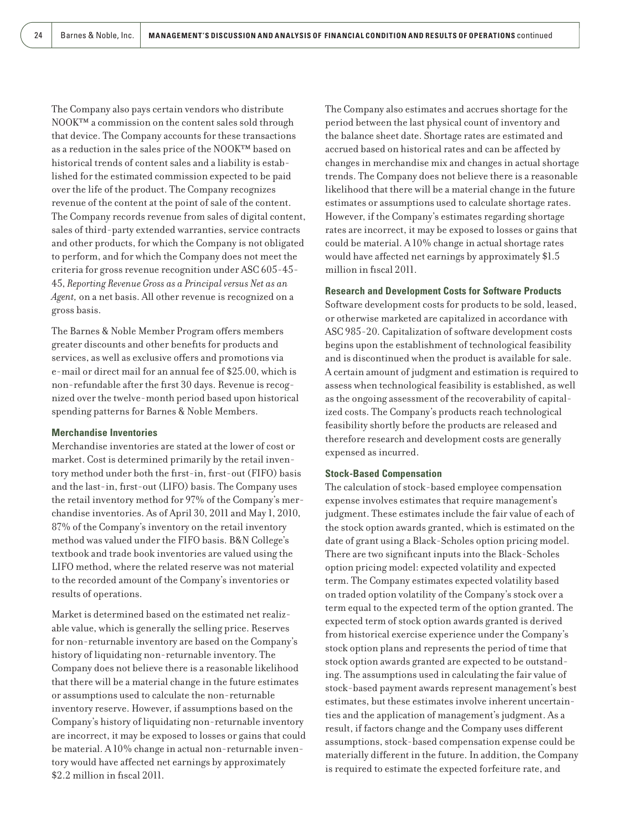The Company also pays certain vendors who distribute NOOK™ a commission on the content sales sold through that device. The Company accounts for these transactions as a reduction in the sales price of the NOOK™ based on historical trends of content sales and a liability is established for the estimated commission expected to be paid over the life of the product. The Company recognizes revenue of the content at the point of sale of the content. The Company records revenue from sales of digital content, sales of third-party extended warranties, service contracts and other products, for which the Company is not obligated to perform, and for which the Company does not meet the criteria for gross revenue recognition under ASC 605-45- 45, *Reporting Revenue Gross as a Principal versus Net as an Agent,* on a net basis. All other revenue is recognized on a gross basis.

The Barnes & Noble Member Program offers members greater discounts and other benefits for products and services, as well as exclusive offers and promotions via e-mail or direct mail for an annual fee of \$25.00, which is non-refundable after the first 30 days. Revenue is recognized over the twelve-month period based upon historical spending patterns for Barnes & Noble Members.

## **Merchandise Inventories**

Merchandise inventories are stated at the lower of cost or market. Cost is determined primarily by the retail inventory method under both the first-in, first-out (FIFO) basis and the last-in, first-out (LIFO) basis. The Company uses the retail inventory method for 97% of the Company's merchandise inventories. As of April 30, 2011 and May 1, 2010, 87% of the Company's inventory on the retail inventory method was valued under the FIFO basis. B&N College's textbook and trade book inventories are valued using the LIFO method, where the related reserve was not material to the recorded amount of the Company's inventories or results of operations.

Market is determined based on the estimated net realizable value, which is generally the selling price. Reserves for non-returnable inventory are based on the Company's history of liquidating non-returnable inventory. The Company does not believe there is a reasonable likelihood that there will be a material change in the future estimates or assumptions used to calculate the non-returnable inventory reserve. However, if assumptions based on the Company's history of liquidating non-returnable inventory are incorrect, it may be exposed to losses or gains that could be material. A 10% change in actual non-returnable inventory would have affected net earnings by approximately \$2.2 million in fiscal 2011.

The Company also estimates and accrues shortage for the period between the last physical count of inventory and the balance sheet date. Shortage rates are estimated and accrued based on historical rates and can be affected by changes in merchandise mix and changes in actual shortage trends. The Company does not believe there is a reasonable likelihood that there will be a material change in the future estimates or assumptions used to calculate shortage rates. However, if the Company's estimates regarding shortage rates are incorrect, it may be exposed to losses or gains that could be material. A 10% change in actual shortage rates would have affected net earnings by approximately \$1.5 million in fiscal 2011.

## **Research and Development Costs for Software Products**

Software development costs for products to be sold, leased, or otherwise marketed are capitalized in accordance with ASC 985-20. Capitalization of software development costs begins upon the establishment of technological feasibility and is discontinued when the product is available for sale. A certain amount of judgment and estimation is required to assess when technological feasibility is established, as well as the ongoing assessment of the recoverability of capitalized costs. The Company's products reach technological feasibility shortly before the products are released and therefore research and development costs are generally expensed as incurred.

## **Stock-Based Compensation**

The calculation of stock-based employee compensation expense involves estimates that require management's judgment. These estimates include the fair value of each of the stock option awards granted, which is estimated on the date of grant using a Black-Scholes option pricing model. There are two significant inputs into the Black-Scholes option pricing model: expected volatility and expected term. The Company estimates expected volatility based on traded option volatility of the Company's stock over a term equal to the expected term of the option granted. The expected term of stock option awards granted is derived from historical exercise experience under the Company's stock option plans and represents the period of time that stock option awards granted are expected to be outstanding. The assumptions used in calculating the fair value of stock-based payment awards represent management's best estimates, but these estimates involve inherent uncertainties and the application of management's judgment. As a result, if factors change and the Company uses different assumptions, stock-based compensation expense could be materially different in the future. In addition, the Company is required to estimate the expected forfeiture rate, and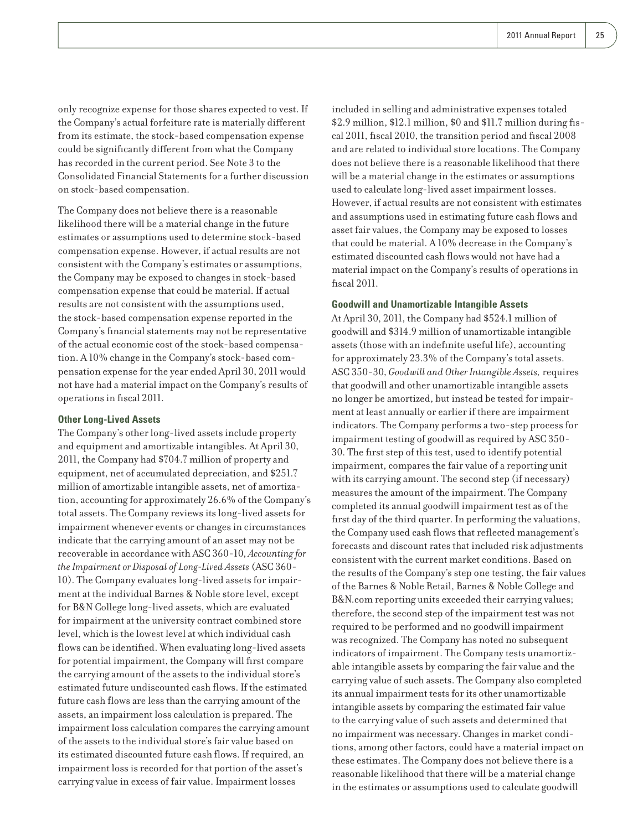only recognize expense for those shares expected to vest. If the Company's actual forfeiture rate is materially different from its estimate, the stock-based compensation expense could be significantly different from what the Company has recorded in the current period. See Note 3 to the Consolidated Financial Statements for a further discussion on stock-based compensation.

The Company does not believe there is a reasonable likelihood there will be a material change in the future estimates or assumptions used to determine stock-based compensation expense. However, if actual results are not consistent with the Company's estimates or assumptions, the Company may be exposed to changes in stock-based compensation expense that could be material. If actual results are not consistent with the assumptions used, the stock-based compensation expense reported in the Company's financial statements may not be representative of the actual economic cost of the stock-based compensation. A 10% change in the Company's stock-based compensation expense for the year ended April 30, 2011 would not have had a material impact on the Company's results of operations in fiscal 2011.

## **Other Long-Lived Assets**

The Company's other long-lived assets include property and equipment and amortizable intangibles. At April 30, 2011, the Company had \$704.7 million of property and equipment, net of accumulated depreciation, and \$251.7 million of amortizable intangible assets, net of amortization, accounting for approximately 26.6% of the Company's total assets. The Company reviews its long-lived assets for impairment whenever events or changes in circumstances indicate that the carrying amount of an asset may not be recoverable in accordance with ASC 360-10, *Accounting for the Impairment or Disposal of Long-Lived Assets* (ASC 360- 10). The Company evaluates long-lived assets for impairment at the individual Barnes & Noble store level, except for B&N College long-lived assets, which are evaluated for impairment at the university contract combined store level, which is the lowest level at which individual cash flows can be identified. When evaluating long-lived assets for potential impairment, the Company will first compare the carrying amount of the assets to the individual store's estimated future undiscounted cash flows. If the estimated future cash flows are less than the carrying amount of the assets, an impairment loss calculation is prepared. The impairment loss calculation compares the carrying amount of the assets to the individual store's fair value based on its estimated discounted future cash flows. If required, an impairment loss is recorded for that portion of the asset's carrying value in excess of fair value. Impairment losses

included in selling and administrative expenses totaled  $$2.9$  million,  $$12.1$  million,  $$0$  and  $$11.7$  million during fiscal 2011, fiscal 2010, the transition period and fiscal 2008 and are related to individual store locations. The Company does not believe there is a reasonable likelihood that there will be a material change in the estimates or assumptions used to calculate long-lived asset impairment losses. However, if actual results are not consistent with estimates and assumptions used in estimating future cash flows and asset fair values, the Company may be exposed to losses that could be material. A 10% decrease in the Company's estimated discounted cash flows would not have had a material impact on the Company's results of operations in fi scal 2011.

## **Goodwill and Unamortizable Intangible Assets**

At April 30, 2011, the Company had \$524.1 million of goodwill and \$314.9 million of unamortizable intangible assets (those with an indefinite useful life), accounting for approximately 23.3% of the Company's total assets. ASC 350-30, *Goodwill and Other Intangible Assets,* requires that goodwill and other unamortizable intangible assets no longer be amortized, but instead be tested for impairment at least annually or earlier if there are impairment indicators. The Company performs a two-step process for impairment testing of goodwill as required by ASC 350- 30. The first step of this test, used to identify potential impairment, compares the fair value of a reporting unit with its carrying amount. The second step (if necessary) measures the amount of the impairment. The Company completed its annual goodwill impairment test as of the first day of the third quarter. In performing the valuations, the Company used cash flows that reflected management's forecasts and discount rates that included risk adjustments consistent with the current market conditions. Based on the results of the Company's step one testing, the fair values of the Barnes & Noble Retail, Barnes & Noble College and B&N.com reporting units exceeded their carrying values; therefore, the second step of the impairment test was not required to be performed and no goodwill impairment was recognized. The Company has noted no subsequent indicators of impairment. The Company tests unamortizable intangible assets by comparing the fair value and the carrying value of such assets. The Company also completed its annual impairment tests for its other unamortizable intangible assets by comparing the estimated fair value to the carrying value of such assets and determined that no impairment was necessary. Changes in market conditions, among other factors, could have a material impact on these estimates. The Company does not believe there is a reasonable likelihood that there will be a material change in the estimates or assumptions used to calculate goodwill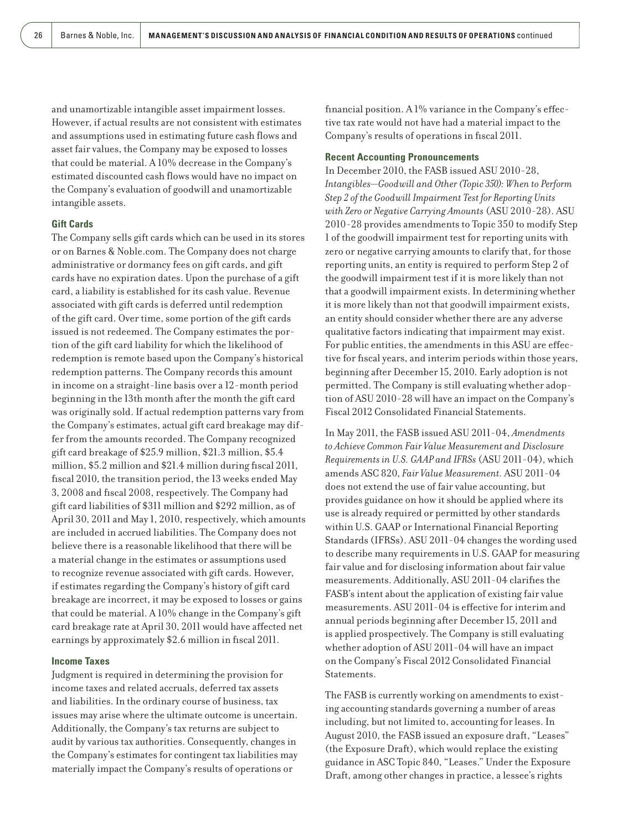and unamortizable intangible asset impairment losses. However, if actual results are not consistent with estimates and assumptions used in estimating future cash flows and asset fair values, the Company may be exposed to losses that could be material. A 10% decrease in the Company's estimated discounted cash flows would have no impact on the Company's evaluation of goodwill and unamortizable intangible assets.

# **Gift Cards**

The Company sells gift cards which can be used in its stores or on Barnes & Noble.com. The Company does not charge administrative or dormancy fees on gift cards, and gift cards have no expiration dates. Upon the purchase of a gift card, a liability is established for its cash value. Revenue associated with gift cards is deferred until redemption of the gift card. Over time, some portion of the gift cards issued is not redeemed. The Company estimates the portion of the gift card liability for which the likelihood of redemption is remote based upon the Company's historical redemption patterns. The Company records this amount in income on a straight-line basis over a 12-month period beginning in the 13th month after the month the gift card was originally sold. If actual redemption patterns vary from the Company's estimates, actual gift card breakage may differ from the amounts recorded. The Company recognized gift card breakage of \$25.9 million, \$21.3 million, \$5.4 million,  $$5.2$  million and  $$21.4$  million during fiscal  $2011$ , fiscal 2010, the transition period, the 13 weeks ended May 3, 2008 and fiscal 2008, respectively. The Company had gift card liabilities of \$311 million and \$292 million, as of April 30, 2011 and May 1, 2010, respectively, which amounts are included in accrued liabilities. The Company does not believe there is a reasonable likelihood that there will be a material change in the estimates or assumptions used to recognize revenue associated with gift cards. However, if estimates regarding the Company's history of gift card breakage are incorrect, it may be exposed to losses or gains that could be material. A 10% change in the Company's gift card breakage rate at April 30, 2011 would have affected net earnings by approximately \$2.6 million in fiscal 2011.

#### **Income Taxes**

Judgment is required in determining the provision for income taxes and related accruals, deferred tax assets and liabilities. In the ordinary course of business, tax issues may arise where the ultimate outcome is uncertain. Additionally, the Company's tax returns are subject to audit by various tax authorities. Consequently, changes in the Company's estimates for contingent tax liabilities may materially impact the Company's results of operations or

financial position. A  $1\%$  variance in the Company's effective tax rate would not have had a material impact to the Company's results of operations in fiscal 2011.

### **Recent Accounting Pronouncements**

In December 2010, the FASB issued ASU 2010-28, *Intangibles—Goodwill and Other (Topic 350): When to Perform Step 2 of the Goodwill Impairment Test for Reporting Units with Zero or Negative Carrying Amounts* (ASU 2010-28). ASU 2010-28 provides amendments to Topic 350 to modify Step 1 of the goodwill impairment test for reporting units with zero or negative carrying amounts to clarify that, for those reporting units, an entity is required to perform Step 2 of the goodwill impairment test if it is more likely than not that a goodwill impairment exists. In determining whether it is more likely than not that goodwill impairment exists, an entity should consider whether there are any adverse qualitative factors indicating that impairment may exist. For public entities, the amendments in this ASU are effective for fiscal years, and interim periods within those years, beginning after December 15, 2010. Early adoption is not permitted. The Company is still evaluating whether adoption of ASU 2010-28 will have an impact on the Company's Fiscal 2012 Consolidated Financial Statements.

In May 2011, the FASB issued ASU 2011-04, *Amendments to Achieve Common Fair Value Measurement and Disclosure Requirements in U.S. GAAP and IFRSs* (ASU 2011-04), which amends ASC 820, *Fair Value Measurement.* ASU 2011-04 does not extend the use of fair value accounting, but provides guidance on how it should be applied where its use is already required or permitted by other standards within U.S. GAAP or International Financial Reporting Standards (IFRSs). ASU 2011-04 changes the wording used to describe many requirements in U.S. GAAP for measuring fair value and for disclosing information about fair value measurements. Additionally, ASU 2011-04 clarifies the FASB's intent about the application of existing fair value measurements. ASU 2011-04 is effective for interim and annual periods beginning after December 15, 2011 and is applied prospectively. The Company is still evaluating whether adoption of ASU 2011-04 will have an impact on the Company's Fiscal 2012 Consolidated Financial Statements.

The FASB is currently working on amendments to existing accounting standards governing a number of areas including, but not limited to, accounting for leases. In August 2010, the FASB issued an exposure draft, "Leases" (the Exposure Draft), which would replace the existing guidance in ASC Topic 840, "Leases." Under the Exposure Draft, among other changes in practice, a lessee's rights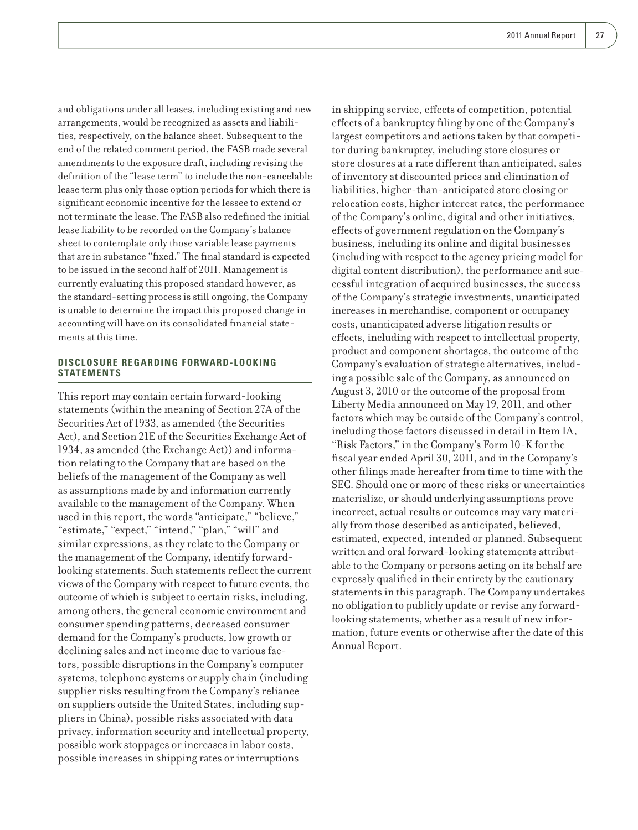and obligations under all leases, including existing and new arrangements, would be recognized as assets and liabilities, respectively, on the balance sheet. Subsequent to the end of the related comment period, the FASB made several amendments to the exposure draft, including revising the definition of the "lease term" to include the non-cancelable lease term plus only those option periods for which there is significant economic incentive for the lessee to extend or not terminate the lease. The FASB also redefined the initial lease liability to be recorded on the Company's balance sheet to contemplate only those variable lease payments that are in substance "fixed." The final standard is expected to be issued in the second half of 2011. Management is currently evaluating this proposed standard however, as the standard-setting process is still ongoing, the Company is unable to determine the impact this proposed change in accounting will have on its consolidated financial statements at this time.

# **DISCLOSURE REGARDING FORWARD-LOOKING STATEMENTS**

This report may contain certain forward-looking statements (within the meaning of Section 27A of the Securities Act of 1933, as amended (the Securities Act), and Section 21E of the Securities Exchange Act of 1934, as amended (the Exchange Act)) and information relating to the Company that are based on the beliefs of the management of the Company as well as assumptions made by and information currently available to the management of the Company. When used in this report, the words "anticipate," "believe," "estimate," "expect," "intend," "plan," "will" and similar expressions, as they relate to the Company or the management of the Company, identify forwardlooking statements. Such statements reflect the current views of the Company with respect to future events, the outcome of which is subject to certain risks, including, among others, the general economic environment and consumer spending patterns, decreased consumer demand for the Company's products, low growth or declining sales and net income due to various factors, possible disruptions in the Company's computer systems, telephone systems or supply chain (including supplier risks resulting from the Company's reliance on suppliers outside the United States, including suppliers in China), possible risks associated with data privacy, information security and intellectual property, possible work stoppages or increases in labor costs, possible increases in shipping rates or interruptions

in shipping service, effects of competition, potential effects of a bankruptcy filing by one of the Company's largest competitors and actions taken by that competitor during bankruptcy, including store closures or store closures at a rate different than anticipated, sales of inventory at discounted prices and elimination of liabilities, higher-than-anticipated store closing or relocation costs, higher interest rates, the performance of the Company's online, digital and other initiatives, effects of government regulation on the Company's business, including its online and digital businesses (including with respect to the agency pricing model for digital content distribution), the performance and successful integration of acquired businesses, the success of the Company's strategic investments, unanticipated increases in merchandise, component or occupancy costs, unanticipated adverse litigation results or effects, including with respect to intellectual property, product and component shortages, the outcome of the Company's evaluation of strategic alternatives, including a possible sale of the Company, as announced on August 3, 2010 or the outcome of the proposal from Liberty Media announced on May 19, 2011, and other factors which may be outside of the Company's control, including those factors discussed in detail in Item 1A, "Risk Factors," in the Company's Form 10-K for the fiscal year ended April 30, 2011, and in the Company's other filings made hereafter from time to time with the SEC. Should one or more of these risks or uncertainties materialize, or should underlying assumptions prove incorrect, actual results or outcomes may vary materially from those described as anticipated, believed, estimated, expected, intended or planned. Subsequent written and oral forward-looking statements attributable to the Company or persons acting on its behalf are expressly qualified in their entirety by the cautionary statements in this paragraph. The Company undertakes no obligation to publicly update or revise any forwardlooking statements, whether as a result of new information, future events or otherwise after the date of this Annual Report.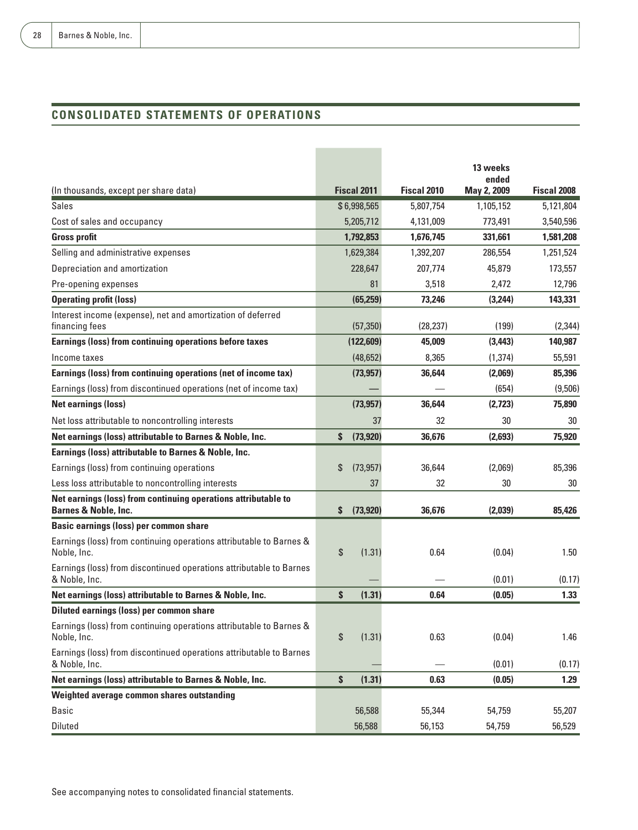# **CONSOLIDATED STATEMENTS OF OPERATIONS**

|                                                                                                   |                    |             | 13 weeks<br>ended |             |
|---------------------------------------------------------------------------------------------------|--------------------|-------------|-------------------|-------------|
| (In thousands, except per share data)                                                             | <b>Fiscal 2011</b> | Fiscal 2010 | May 2, 2009       | Fiscal 2008 |
| Sales                                                                                             | \$6,998,565        | 5,807,754   | 1,105,152         | 5,121,804   |
| Cost of sales and occupancy                                                                       | 5,205,712          | 4,131,009   | 773,491           | 3,540,596   |
| <b>Gross profit</b>                                                                               | 1,792,853          | 1,676,745   | 331,661           | 1,581,208   |
| Selling and administrative expenses                                                               | 1,629,384          | 1,392,207   | 286,554           | 1,251,524   |
| Depreciation and amortization                                                                     | 228,647            | 207,774     | 45,879            | 173,557     |
| Pre-opening expenses                                                                              | 81                 | 3,518       | 2,472             | 12,796      |
| <b>Operating profit (loss)</b>                                                                    | (65, 259)          | 73,246      | (3,244)           | 143,331     |
| Interest income (expense), net and amortization of deferred<br>financing fees                     | (57, 350)          | (28, 237)   | (199)             | (2, 344)    |
| <b>Earnings (loss) from continuing operations before taxes</b>                                    | (122, 609)         | 45,009      | (3, 443)          | 140,987     |
| Income taxes                                                                                      | (48, 652)          | 8,365       | (1, 374)          | 55,591      |
| Earnings (loss) from continuing operations (net of income tax)                                    | (73, 957)          | 36,644      | (2,069)           | 85,396      |
| Earnings (loss) from discontinued operations (net of income tax)                                  |                    |             | (654)             | (9,506)     |
| <b>Net earnings (loss)</b>                                                                        | (73, 957)          | 36,644      | (2,723)           | 75,890      |
| Net loss attributable to noncontrolling interests                                                 | 37                 | 32          | 30                | 30          |
| Net earnings (loss) attributable to Barnes & Noble, Inc.                                          | \$<br>(73, 920)    | 36,676      | (2,693)           | 75,920      |
| Earnings (loss) attributable to Barnes & Noble, Inc.                                              |                    |             |                   |             |
| Earnings (loss) from continuing operations                                                        | \$<br>(73, 957)    | 36,644      | (2,069)           | 85,396      |
| Less loss attributable to noncontrolling interests                                                | 37                 | 32          | 30                | 30          |
| Net earnings (loss) from continuing operations attributable to<br><b>Barnes &amp; Noble, Inc.</b> | \$<br>(73, 920)    | 36,676      | (2,039)           | 85,426      |
| Basic earnings (loss) per common share                                                            |                    |             |                   |             |
| Earnings (loss) from continuing operations attributable to Barnes &<br>Noble, Inc.                | \$<br>(1.31)       | 0.64        | (0.04)            | 1.50        |
| Earnings (loss) from discontinued operations attributable to Barnes<br>& Noble, Inc.              |                    |             | (0.01)            | (0.17)      |
| Net earnings (loss) attributable to Barnes & Noble, Inc.                                          | \$<br>(1.31)       | 0.64        | (0.05)            | 1.33        |
| <b>Diluted earnings (loss) per common share</b>                                                   |                    |             |                   |             |
| Earnings (loss) from continuing operations attributable to Barnes &<br>Noble, Inc.                | \$<br>(1.31)       | 0.63        | (0.04)            | 1.46        |
| Earnings (loss) from discontinued operations attributable to Barnes<br>& Noble, Inc.              |                    |             | (0.01)            | (0.17)      |
| Net earnings (loss) attributable to Barnes & Noble, Inc.                                          | \$<br>(1.31)       | 0.63        | (0.05)            | 1.29        |
| Weighted average common shares outstanding                                                        |                    |             |                   |             |
| <b>Basic</b>                                                                                      | 56,588             | 55,344      | 54,759            | 55,207      |
| Diluted                                                                                           | 56,588             | 56,153      | 54,759            | 56,529      |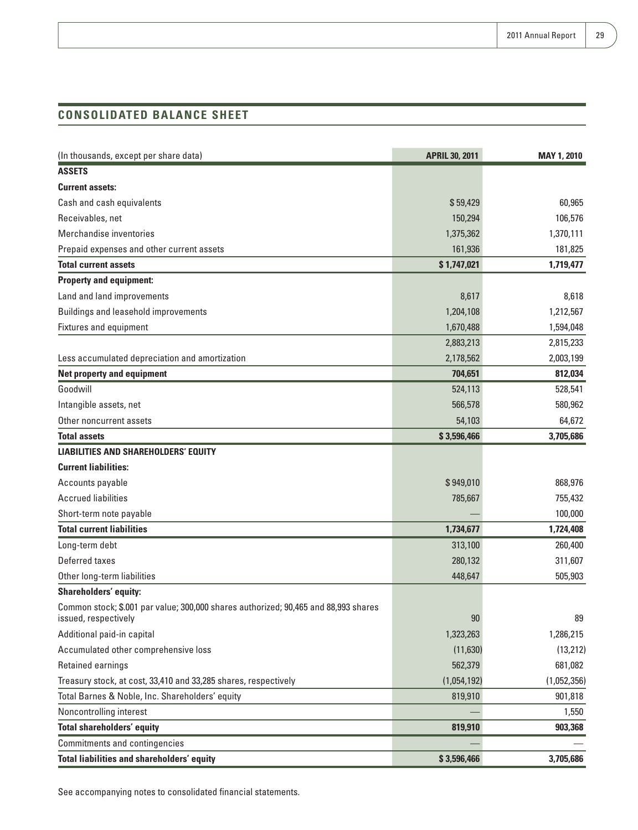# **CONSOLIDATED BALANCE SHEET**

| (In thousands, except per share data)                                                                       | <b>APRIL 30, 2011</b> | MAY 1, 2010 |
|-------------------------------------------------------------------------------------------------------------|-----------------------|-------------|
| <b>ASSETS</b>                                                                                               |                       |             |
| <b>Current assets:</b>                                                                                      |                       |             |
| Cash and cash equivalents                                                                                   | \$59,429              | 60,965      |
| Receivables, net                                                                                            | 150,294               | 106,576     |
| Merchandise inventories                                                                                     | 1,375,362             | 1,370,111   |
| Prepaid expenses and other current assets                                                                   | 161,936               | 181,825     |
| <b>Total current assets</b>                                                                                 | \$1,747,021           | 1,719,477   |
| <b>Property and equipment:</b>                                                                              |                       |             |
| Land and land improvements                                                                                  | 8,617                 | 8,618       |
| Buildings and leasehold improvements                                                                        | 1,204,108             | 1,212,567   |
| Fixtures and equipment                                                                                      | 1,670,488             | 1,594,048   |
|                                                                                                             | 2,883,213             | 2,815,233   |
| Less accumulated depreciation and amortization                                                              | 2,178,562             | 2,003,199   |
| <b>Net property and equipment</b>                                                                           | 704,651               | 812,034     |
| Goodwill                                                                                                    | 524,113               | 528,541     |
| Intangible assets, net                                                                                      | 566,578               | 580,962     |
| Other noncurrent assets                                                                                     | 54,103                | 64,672      |
| <b>Total assets</b>                                                                                         | \$3,596,466           | 3,705,686   |
| <b>LIABILITIES AND SHAREHOLDERS' EQUITY</b>                                                                 |                       |             |
| <b>Current liabilities:</b>                                                                                 |                       |             |
| Accounts payable                                                                                            | \$949,010             | 868,976     |
| <b>Accrued liabilities</b>                                                                                  | 785,667               | 755,432     |
| Short-term note payable                                                                                     |                       | 100,000     |
| <b>Total current liabilities</b>                                                                            | 1,734,677             | 1,724,408   |
| Long-term debt                                                                                              | 313,100               | 260,400     |
| <b>Deferred taxes</b>                                                                                       | 280,132               | 311,607     |
| Other long-term liabilities                                                                                 | 448,647               | 505,903     |
| Shareholders' equity:                                                                                       |                       |             |
| Common stock; \$.001 par value; 300,000 shares authorized; 90,465 and 88,993 shares<br>issued, respectively | 90                    | 89          |
| Additional paid-in capital                                                                                  | 1,323,263             | 1,286,215   |
| Accumulated other comprehensive loss                                                                        | (11, 630)             | (13, 212)   |
| Retained earnings                                                                                           | 562,379               | 681,082     |
| Treasury stock, at cost, 33,410 and 33,285 shares, respectively                                             | (1,054,192)           | (1,052,356) |
| Total Barnes & Noble, Inc. Shareholders' equity                                                             | 819,910               | 901,818     |
| Noncontrolling interest                                                                                     |                       | 1,550       |
| <b>Total shareholders' equity</b>                                                                           | 819,910               | 903,368     |
| Commitments and contingencies                                                                               |                       |             |
| Total liabilities and shareholders' equity                                                                  | \$3,596,466           | 3,705,686   |

See accompanying notes to consolidated financial statements.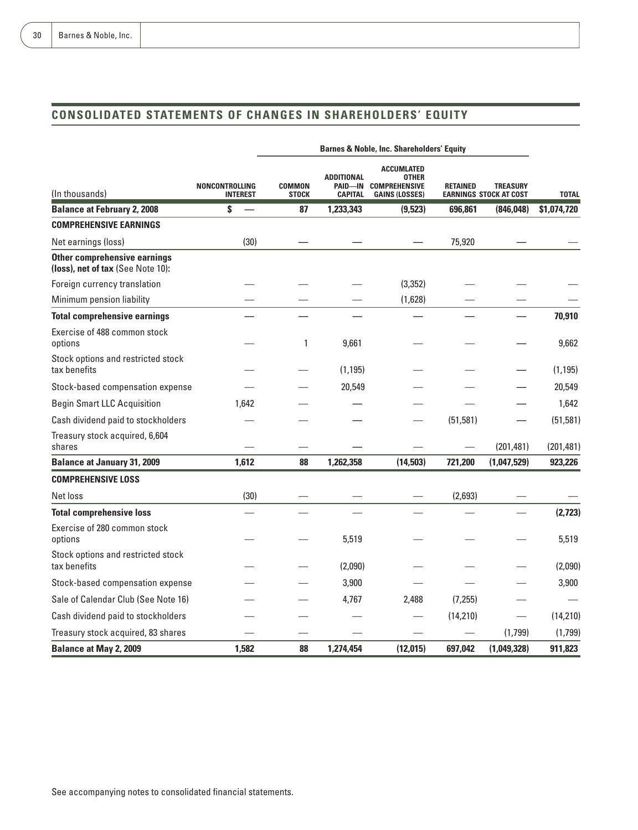# **CONSOLIDATED STATEMENTS OF CHANGES IN SHAREHOLDERS' EQUITY**

|                                                                   |                                          | <b>Barnes &amp; Noble, Inc. Shareholders' Equity</b> |                                                                                        |           |                                                                                    |                 |                                                  |             |  |
|-------------------------------------------------------------------|------------------------------------------|------------------------------------------------------|----------------------------------------------------------------------------------------|-----------|------------------------------------------------------------------------------------|-----------------|--------------------------------------------------|-------------|--|
| (In thousands)                                                    | <b>NONCONTROLLING</b><br><b>INTEREST</b> |                                                      | <b>ADDITIONAL</b><br><b>COMMON</b><br><b>PAID-IN</b><br><b>CAPITAL</b><br><b>STOCK</b> |           | <b>ACCUMLATED</b><br><b>OTHER</b><br><b>COMPREHENSIVE</b><br><b>GAINS (LOSSES)</b> | <b>RETAINED</b> | <b>TREASURY</b><br><b>EARNINGS STOCK AT COST</b> |             |  |
| <b>Balance at February 2, 2008</b>                                | \$                                       |                                                      | 87                                                                                     | 1,233,343 | (9,523)                                                                            | 696,861         | (846, 048)                                       | \$1,074,720 |  |
| <b>COMPREHENSIVE EARNINGS</b>                                     |                                          |                                                      |                                                                                        |           |                                                                                    |                 |                                                  |             |  |
| Net earnings (loss)                                               |                                          | (30)                                                 |                                                                                        |           |                                                                                    | 75,920          |                                                  |             |  |
| Other comprehensive earnings<br>(loss), net of tax (See Note 10): |                                          |                                                      |                                                                                        |           |                                                                                    |                 |                                                  |             |  |
| Foreign currency translation                                      |                                          |                                                      |                                                                                        |           | (3, 352)                                                                           |                 |                                                  |             |  |
| Minimum pension liability                                         |                                          |                                                      |                                                                                        |           | (1,628)                                                                            |                 |                                                  |             |  |
| <b>Total comprehensive earnings</b>                               |                                          |                                                      |                                                                                        |           |                                                                                    |                 |                                                  | 70,910      |  |
| Exercise of 488 common stock<br>options                           |                                          |                                                      | 1                                                                                      | 9,661     |                                                                                    |                 |                                                  | 9,662       |  |
| Stock options and restricted stock<br>tax benefits                |                                          |                                                      |                                                                                        | (1, 195)  |                                                                                    |                 |                                                  | (1, 195)    |  |
| Stock-based compensation expense                                  |                                          |                                                      |                                                                                        | 20,549    |                                                                                    |                 |                                                  | 20,549      |  |
| <b>Begin Smart LLC Acquisition</b>                                |                                          | 1,642                                                |                                                                                        |           |                                                                                    |                 |                                                  | 1,642       |  |
| Cash dividend paid to stockholders                                |                                          |                                                      |                                                                                        |           |                                                                                    | (51, 581)       |                                                  | (51, 581)   |  |
| Treasury stock acquired, 6,604<br>shares                          |                                          |                                                      |                                                                                        |           |                                                                                    |                 | (201, 481)                                       | (201, 481)  |  |
| <b>Balance at January 31, 2009</b>                                |                                          | 1,612                                                | 88                                                                                     | 1,262,358 | (14, 503)                                                                          | 721,200         | (1,047,529)                                      | 923,226     |  |
| <b>COMPREHENSIVE LOSS</b>                                         |                                          |                                                      |                                                                                        |           |                                                                                    |                 |                                                  |             |  |
| Net loss                                                          |                                          | (30)                                                 |                                                                                        |           |                                                                                    | (2,693)         |                                                  |             |  |
| <b>Total comprehensive loss</b>                                   |                                          |                                                      |                                                                                        |           |                                                                                    |                 |                                                  | (2,723)     |  |
| Exercise of 280 common stock<br>options                           |                                          |                                                      |                                                                                        | 5,519     |                                                                                    |                 |                                                  | 5,519       |  |
| Stock options and restricted stock<br>tax benefits                |                                          |                                                      |                                                                                        | (2,090)   |                                                                                    |                 |                                                  | (2,090)     |  |
| Stock-based compensation expense                                  |                                          |                                                      |                                                                                        | 3,900     |                                                                                    |                 |                                                  | 3,900       |  |
| Sale of Calendar Club (See Note 16)                               |                                          |                                                      |                                                                                        | 4,767     | 2,488                                                                              | (7, 255)        |                                                  |             |  |
| Cash dividend paid to stockholders                                |                                          |                                                      |                                                                                        |           |                                                                                    | (14, 210)       |                                                  | (14, 210)   |  |
| Treasury stock acquired, 83 shares                                |                                          |                                                      |                                                                                        |           |                                                                                    |                 | (1,799)                                          | (1,799)     |  |
| <b>Balance at May 2, 2009</b>                                     |                                          | 1,582                                                | 88                                                                                     | 1,274,454 | (12,015)                                                                           | 697,042         | (1,049,328)                                      | 911,823     |  |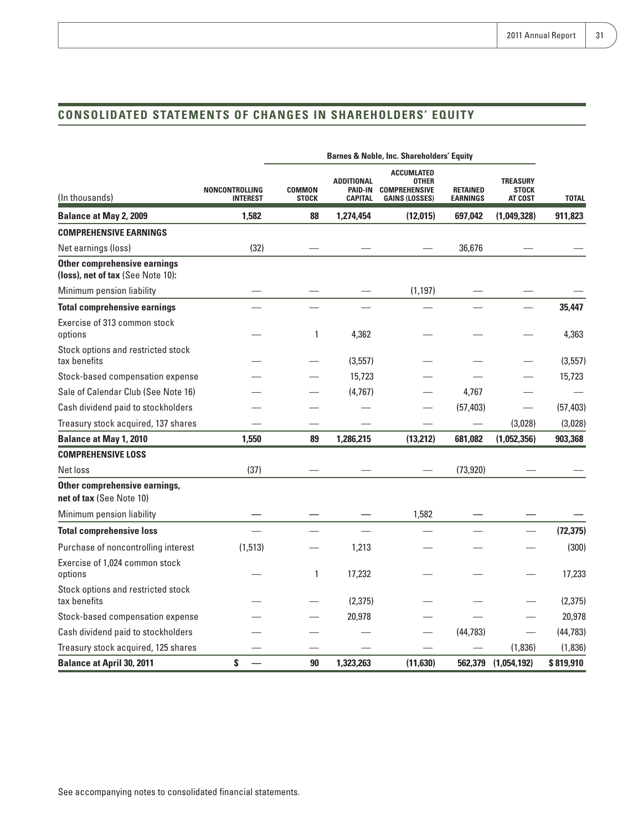# **CONSOLIDATED STATEMENTS OF CHANGES IN SHAREHOLDERS' EQUITY**

|                                                                   |                                   | <b>Barnes &amp; Noble, Inc. Shareholders' Equity</b> |                                                |                                                                                    |                                    |                                            |              |
|-------------------------------------------------------------------|-----------------------------------|------------------------------------------------------|------------------------------------------------|------------------------------------------------------------------------------------|------------------------------------|--------------------------------------------|--------------|
| (In thousands)                                                    | NONCONTROLLING<br><b>INTEREST</b> | <b>COMMON</b><br><b>STOCK</b>                        | <b>ADDITIONAL</b><br><b>PAID-IN</b><br>CAPITAL | <b>ACCUMLATED</b><br><b>OTHER</b><br><b>COMPREHENSIVE</b><br><b>GAINS (LOSSES)</b> | <b>RETAINED</b><br><b>EARNINGS</b> | <b>TREASURY</b><br><b>STOCK</b><br>AT COST | <b>TOTAL</b> |
| <b>Balance at May 2, 2009</b>                                     | 1,582                             | 88                                                   | 1,274,454                                      | (12,015)                                                                           | 697,042                            | (1,049,328)                                | 911,823      |
| <b>COMPREHENSIVE EARNINGS</b>                                     |                                   |                                                      |                                                |                                                                                    |                                    |                                            |              |
| Net earnings (loss)                                               | (32)                              |                                                      |                                                |                                                                                    | 36,676                             |                                            |              |
| Other comprehensive earnings<br>(loss), net of tax (See Note 10): |                                   |                                                      |                                                |                                                                                    |                                    |                                            |              |
| Minimum pension liability                                         |                                   |                                                      |                                                | (1, 197)                                                                           |                                    |                                            |              |
| <b>Total comprehensive earnings</b>                               |                                   |                                                      |                                                |                                                                                    |                                    |                                            | 35,447       |
| Exercise of 313 common stock<br>options                           |                                   | 1                                                    | 4,362                                          |                                                                                    |                                    |                                            | 4,363        |
| Stock options and restricted stock<br>tax benefits                |                                   |                                                      | (3, 557)                                       |                                                                                    |                                    |                                            | (3, 557)     |
| Stock-based compensation expense                                  |                                   |                                                      | 15,723                                         |                                                                                    |                                    |                                            | 15,723       |
| Sale of Calendar Club (See Note 16)                               |                                   |                                                      | (4,767)                                        |                                                                                    | 4,767                              |                                            |              |
| Cash dividend paid to stockholders                                |                                   |                                                      |                                                |                                                                                    | (57, 403)                          |                                            | (57, 403)    |
| Treasury stock acquired, 137 shares                               |                                   |                                                      |                                                |                                                                                    |                                    | (3,028)                                    | (3,028)      |
| <b>Balance at May 1, 2010</b>                                     | 1,550                             | 89                                                   | 1,286,215                                      | (13,212)                                                                           | 681,082                            | (1,052,356)                                | 903,368      |
| <b>COMPREHENSIVE LOSS</b>                                         |                                   |                                                      |                                                |                                                                                    |                                    |                                            |              |
| Net loss                                                          | (37)                              |                                                      |                                                |                                                                                    | (73, 920)                          |                                            |              |
| Other comprehensive earnings,<br>net of tax (See Note 10)         |                                   |                                                      |                                                |                                                                                    |                                    |                                            |              |
| Minimum pension liability                                         |                                   |                                                      |                                                | 1,582                                                                              |                                    |                                            |              |
| <b>Total comprehensive loss</b>                                   |                                   |                                                      |                                                |                                                                                    |                                    |                                            | (72, 375)    |
| Purchase of noncontrolling interest                               | (1, 513)                          |                                                      | 1,213                                          |                                                                                    |                                    |                                            | (300)        |
| Exercise of 1,024 common stock<br>options                         |                                   | 1                                                    | 17,232                                         |                                                                                    |                                    |                                            | 17,233       |
| Stock options and restricted stock<br>tax benefits                |                                   |                                                      | (2, 375)                                       |                                                                                    |                                    |                                            | (2, 375)     |
| Stock-based compensation expense                                  |                                   |                                                      | 20,978                                         |                                                                                    |                                    |                                            | 20,978       |
| Cash dividend paid to stockholders                                |                                   |                                                      |                                                |                                                                                    | (44, 783)                          |                                            | (44, 783)    |
| Treasury stock acquired, 125 shares                               |                                   |                                                      |                                                |                                                                                    |                                    | (1,836)                                    | (1,836)      |
| <b>Balance at April 30, 2011</b>                                  | \$                                | 90                                                   | 1,323,263                                      | (11, 630)                                                                          | 562,379                            | (1,054,192)                                | \$819,910    |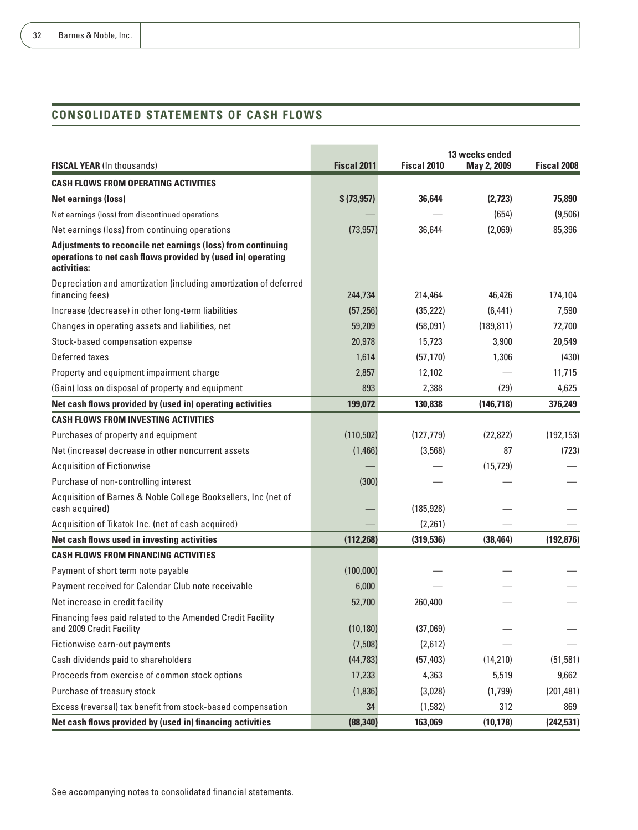# **CONSOLIDATED STATEMENTS OF CASH FLOWS**

| <b>FISCAL YEAR (In thousands)</b>                                                                                                           | Fiscal 2011 | Fiscal 2010 | 13 weeks ended<br>May 2, 2009 | <b>Fiscal 2008</b> |
|---------------------------------------------------------------------------------------------------------------------------------------------|-------------|-------------|-------------------------------|--------------------|
| <b>CASH FLOWS FROM OPERATING ACTIVITIES</b>                                                                                                 |             |             |                               |                    |
| <b>Net earnings (loss)</b>                                                                                                                  | \$ (73,957) | 36,644      | (2,723)                       | 75,890             |
| Net earnings (loss) from discontinued operations                                                                                            |             |             | (654)                         | (9,506)            |
| Net earnings (loss) from continuing operations                                                                                              | (73, 957)   | 36,644      | (2,069)                       | 85,396             |
| Adjustments to reconcile net earnings (loss) from continuing<br>operations to net cash flows provided by (used in) operating<br>activities: |             |             |                               |                    |
| Depreciation and amortization (including amortization of deferred<br>financing fees)                                                        | 244,734     | 214,464     | 46,426                        | 174,104            |
| Increase (decrease) in other long-term liabilities                                                                                          | (57, 256)   | (35, 222)   | (6, 441)                      | 7,590              |
| Changes in operating assets and liabilities, net                                                                                            | 59,209      | (58,091)    | (189, 811)                    | 72,700             |
| Stock-based compensation expense                                                                                                            | 20,978      | 15,723      | 3,900                         | 20,549             |
| Deferred taxes                                                                                                                              | 1,614       | (57, 170)   | 1,306                         | (430)              |
| Property and equipment impairment charge                                                                                                    | 2,857       | 12,102      |                               | 11,715             |
| (Gain) loss on disposal of property and equipment                                                                                           | 893         | 2,388       | (29)                          | 4,625              |
| Net cash flows provided by (used in) operating activities                                                                                   | 199,072     | 130.838     | (146, 718)                    | 376,249            |
| <b>CASH FLOWS FROM INVESTING ACTIVITIES</b>                                                                                                 |             |             |                               |                    |
| Purchases of property and equipment                                                                                                         | (110, 502)  | (127, 779)  | (22, 822)                     | (192, 153)         |
| Net (increase) decrease in other noncurrent assets                                                                                          | (1,466)     | (3,568)     | 87                            | (723)              |
| <b>Acquisition of Fictionwise</b>                                                                                                           |             |             | (15, 729)                     |                    |
| Purchase of non-controlling interest                                                                                                        | (300)       |             |                               |                    |
| Acquisition of Barnes & Noble College Booksellers, Inc (net of<br>cash acquired)                                                            |             | (185, 928)  |                               |                    |
| Acquisition of Tikatok Inc. (net of cash acquired)                                                                                          |             | (2,261)     |                               |                    |
| Net cash flows used in investing activities                                                                                                 | (112, 268)  | (319, 536)  | (38, 464)                     | (192, 876)         |
| <b>CASH FLOWS FROM FINANCING ACTIVITIES</b>                                                                                                 |             |             |                               |                    |
| Payment of short term note payable                                                                                                          | (100,000)   |             |                               |                    |
| Payment received for Calendar Club note receivable                                                                                          | 6,000       |             |                               |                    |
| Net increase in credit facility                                                                                                             | 52,700      | 260,400     |                               |                    |
| Financing fees paid related to the Amended Credit Facility<br>and 2009 Credit Facility                                                      | (10, 180)   | (37,069)    |                               |                    |
| Fictionwise earn-out payments                                                                                                               | (7,508)     | (2,612)     |                               |                    |
| Cash dividends paid to shareholders                                                                                                         | (44, 783)   | (57, 403)   | (14, 210)                     | (51, 581)          |
| Proceeds from exercise of common stock options                                                                                              | 17,233      | 4,363       | 5,519                         | 9,662              |
| Purchase of treasury stock                                                                                                                  | (1,836)     | (3,028)     | (1,799)                       | (201, 481)         |
| Excess (reversal) tax benefit from stock-based compensation                                                                                 | 34          | (1, 582)    | 312                           | 869                |
| Net cash flows provided by (used in) financing activities                                                                                   | (88, 340)   | 163,069     | (10, 178)                     | (242, 531)         |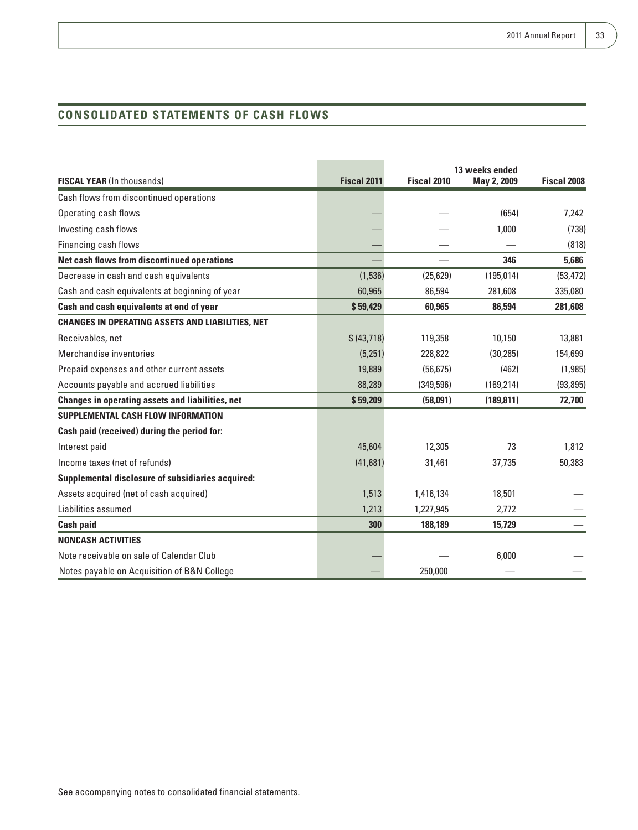# **CONSOLIDATED STATEMENTS OF CASH FLOWS**

|                                                         |              |             | 13 weeks ended |             |
|---------------------------------------------------------|--------------|-------------|----------------|-------------|
| <b>FISCAL YEAR (In thousands)</b>                       | Fiscal 2011  | Fiscal 2010 | May 2, 2009    | Fiscal 2008 |
| Cash flows from discontinued operations                 |              |             |                |             |
| Operating cash flows                                    |              |             | (654)          | 7,242       |
| Investing cash flows                                    |              |             | 1,000          | (738)       |
| Financing cash flows                                    |              |             |                | (818)       |
| Net cash flows from discontinued operations             |              |             | 346            | 5.686       |
| Decrease in cash and cash equivalents                   | (1,536)      | (25,629)    | (195, 014)     | (53, 472)   |
| Cash and cash equivalents at beginning of year          | 60,965       | 86,594      | 281,608        | 335,080     |
| Cash and cash equivalents at end of year                | \$59,429     | 60,965      | 86,594         | 281,608     |
| <b>CHANGES IN OPERATING ASSETS AND LIABILITIES, NET</b> |              |             |                |             |
| Receivables, net                                        | \$ (43, 718) | 119,358     | 10,150         | 13,881      |
| Merchandise inventories                                 | (5,251)      | 228,822     | (30, 285)      | 154,699     |
| Prepaid expenses and other current assets               | 19,889       | (56, 675)   | (462)          | (1, 985)    |
| Accounts payable and accrued liabilities                | 88,289       | (349,596)   | (169, 214)     | (93, 895)   |
| Changes in operating assets and liabilities, net        | \$59,209     | (58,091)    | (189, 811)     | 72,700      |
| SUPPLEMENTAL CASH FLOW INFORMATION                      |              |             |                |             |
| Cash paid (received) during the period for:             |              |             |                |             |
| Interest paid                                           | 45,604       | 12,305      | 73             | 1,812       |
| Income taxes (net of refunds)                           | (41, 681)    | 31,461      | 37,735         | 50,383      |
| Supplemental disclosure of subsidiaries acquired:       |              |             |                |             |
| Assets acquired (net of cash acquired)                  | 1,513        | 1,416,134   | 18,501         |             |
| Liabilities assumed                                     | 1,213        | 1,227,945   | 2,772          |             |
| <b>Cash paid</b>                                        | 300          | 188,189     | 15,729         |             |
| <b>NONCASH ACTIVITIES</b>                               |              |             |                |             |
| Note receivable on sale of Calendar Club                |              |             | 6,000          |             |
| Notes payable on Acquisition of B&N College             |              | 250,000     |                |             |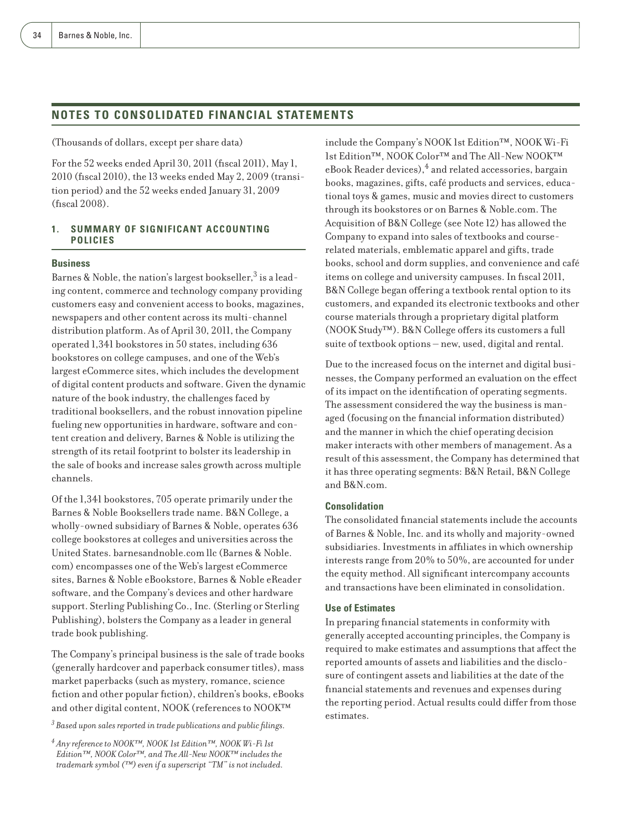# **NOTES TO CONSOLIDATED FINANCIAL STATEMENTS**

(Thousands of dollars, except per share data)

For the 52 weeks ended April 30, 2011 (fiscal 2011), May 1, 2010 (fiscal 2010), the 13 weeks ended May 2, 2009 (transition period) and the 52 weeks ended January 31, 2009 (fiscal 2008).

# **1. SUMMARY OF SIGNIFICANT ACCOUNTING POLICIES**

## **Business**

Barnes & Noble, the nation's largest bookseller,  $3$  is a leading content, commerce and technology company providing customers easy and convenient access to books, magazines, newspapers and other content across its multi-channel distribution platform. As of April 30, 2011, the Company operated 1,341 bookstores in 50 states, including 636 bookstores on college campuses, and one of the Web's largest eCommerce sites, which includes the development of digital content products and software. Given the dynamic nature of the book industry, the challenges faced by traditional booksellers, and the robust innovation pipeline fueling new opportunities in hardware, software and content creation and delivery, Barnes & Noble is utilizing the strength of its retail footprint to bolster its leadership in the sale of books and increase sales growth across multiple channels.

Of the 1,341 bookstores, 705 operate primarily under the Barnes & Noble Booksellers trade name. B&N College, a wholly-owned subsidiary of Barnes & Noble, operates 636 college bookstores at colleges and universities across the United States. barnesandnoble.com llc (Barnes & Noble. com) encompasses one of the Web's largest eCommerce sites, Barnes & Noble eBookstore, Barnes & Noble eReader software, and the Company's devices and other hardware support. Sterling Publishing Co., Inc. (Sterling or Sterling Publishing), bolsters the Company as a leader in general trade book publishing.

The Company's principal business is the sale of trade books (generally hardcover and paperback consumer titles), mass market paperbacks (such as mystery, romance, science fiction and other popular fiction), children's books, eBooks and other digital content, NOOK (references to NOOK™

 $^3$  Based upon sales reported in trade publications and public filings.

*4 Any reference to NOOK™, NOOK 1st Edition™, NOOK Wi-Fi 1st Edition™, NOOK Color™, and The All-New NOOK™ includes the trademark symbol (™) even if a superscript "TM" is not included.* include the Company's NOOK 1st Edition™, NOOK Wi-Fi 1st Edition™, NOOK Color™ and The All-New NOOK™  $e$ Book Reader devices), $\frac{4}{3}$  and related accessories, bargain books, magazines, gifts, café products and services, educational toys & games, music and movies direct to customers through its bookstores or on Barnes & Noble.com. The Acquisition of B&N College (see Note 12) has allowed the Company to expand into sales of textbooks and courserelated materials, emblematic apparel and gifts, trade books, school and dorm supplies, and convenience and café items on college and university campuses. In fiscal 2011, B&N College began offering a textbook rental option to its customers, and expanded its electronic textbooks and other course materials through a proprietary digital platform (NOOK Study™). B&N College offers its customers a full suite of textbook options – new, used, digital and rental.

Due to the increased focus on the internet and digital businesses, the Company performed an evaluation on the effect of its impact on the identification of operating segments. The assessment considered the way the business is managed (focusing on the financial information distributed) and the manner in which the chief operating decision maker interacts with other members of management. As a result of this assessment, the Company has determined that it has three operating segments: B&N Retail, B&N College and B&N.com.

# **Consolidation**

The consolidated financial statements include the accounts of Barnes & Noble, Inc. and its wholly and majority-owned subsidiaries. Investments in affiliates in which ownership interests range from 20% to 50%, are accounted for under the equity method. All significant intercompany accounts and transactions have been eliminated in consolidation.

## **Use of Estimates**

In preparing financial statements in conformity with generally accepted accounting principles, the Company is required to make estimates and assumptions that affect the reported amounts of assets and liabilities and the disclosure of contingent assets and liabilities at the date of the financial statements and revenues and expenses during the reporting period. Actual results could differ from those estimates.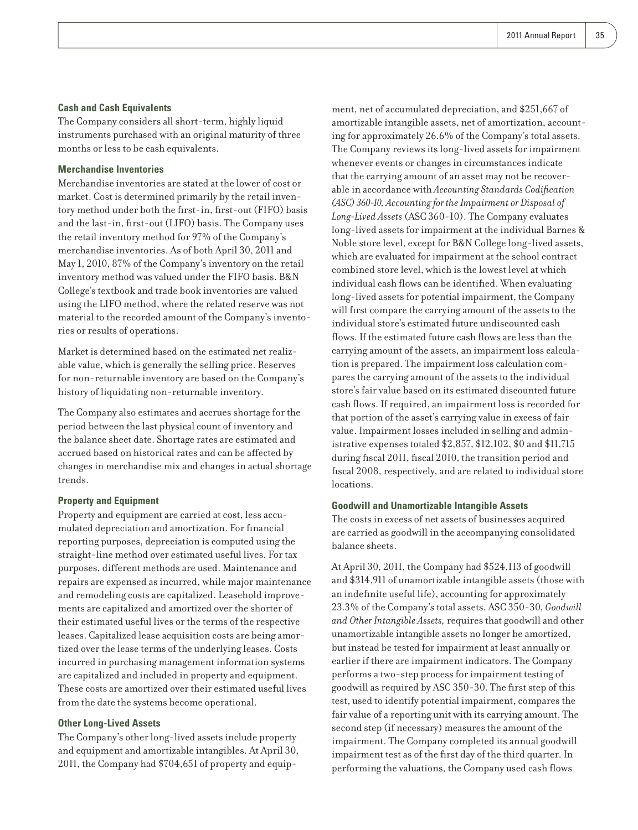## **Cash and Cash Equivalents**

The Company considers all short-term, highly liquid instruments purchased with an original maturity of three months or less to be cash equivalents.

## **Merchandise Inventories**

Merchandise inventories are stated at the lower of cost or market. Cost is determined primarily by the retail inventory method under both the first-in, first-out (FIFO) basis and the last-in, first-out (LIFO) basis. The Company uses the retail inventory method for 97% of the Company's merchandise inventories. As of both April 30, 2011 and May 1, 2010, 87% of the Company's inventory on the retail inventory method was valued under the FIFO basis. B&N College's textbook and trade book inventories are valued using the LIFO method, where the related reserve was not material to the recorded amount of the Company's inventories or results of operations.

Market is determined based on the estimated net realizable value, which is generally the selling price. Reserves for non-returnable inventory are based on the Company's history of liquidating non-returnable inventory.

The Company also estimates and accrues shortage for the period between the last physical count of inventory and the balance sheet date. Shortage rates are estimated and accrued based on historical rates and can be affected by changes in merchandise mix and changes in actual shortage trends.

## **Property and Equipment**

Property and equipment are carried at cost, less accumulated depreciation and amortization. For financial reporting purposes, depreciation is computed using the straight-line method over estimated useful lives. For tax purposes, different methods are used. Maintenance and repairs are expensed as incurred, while major maintenance and remodeling costs are capitalized. Leasehold improvements are capitalized and amortized over the shorter of their estimated useful lives or the terms of the respective leases. Capitalized lease acquisition costs are being amortized over the lease terms of the underlying leases. Costs incurred in purchasing management information systems are capitalized and included in property and equipment. These costs are amortized over their estimated useful lives from the date the systems become operational.

#### **Other Long-Lived Assets**

The Company's other long-lived assets include property and equipment and amortizable intangibles. At April 30, 2011, the Company had \$704,651 of property and equipment, net of accumulated depreciation, and \$251,667 of amortizable intangible assets, net of amortization, accounting for approximately 26.6% of the Company's total assets. The Company reviews its long-lived assets for impairment whenever events or changes in circumstances indicate that the carrying amount of an asset may not be recoverable in accordance with *Accounting Standards Codification (ASC) 360-10, Accounting for the Impairment or Disposal of Long-Lived Assets* (ASC 360-10). The Company evaluates long-lived assets for impairment at the individual Barnes & Noble store level, except for B&N College long-lived assets, which are evaluated for impairment at the school contract combined store level, which is the lowest level at which individual cash flows can be identified. When evaluating long-lived assets for potential impairment, the Company will first compare the carrying amount of the assets to the individual store's estimated future undiscounted cash flows. If the estimated future cash flows are less than the carrying amount of the assets, an impairment loss calculation is prepared. The impairment loss calculation compares the carrying amount of the assets to the individual store's fair value based on its estimated discounted future cash flows. If required, an impairment loss is recorded for that portion of the asset's carrying value in excess of fair value. Impairment losses included in selling and administrative expenses totaled \$2,857, \$12,102, \$0 and \$11,715 during fiscal 2011, fiscal 2010, the transition period and fiscal 2008, respectively, and are related to individual store locations.

### **Goodwill and Unamortizable Intangible Assets**

The costs in excess of net assets of businesses acquired are carried as goodwill in the accompanying consolidated balance sheets.

At April 30, 2011, the Company had \$524,113 of goodwill and \$314,911 of unamortizable intangible assets (those with an indefinite useful life), accounting for approximately 23.3% of the Company's total assets. ASC 350-30, *Goodwill and Other Intangible Assets,* requires that goodwill and other unamortizable intangible assets no longer be amortized, but instead be tested for impairment at least annually or earlier if there are impairment indicators. The Company performs a two-step process for impairment testing of goodwill as required by ASC 350-30. The first step of this test, used to identify potential impairment, compares the fair value of a reporting unit with its carrying amount. The second step (if necessary) measures the amount of the impairment. The Company completed its annual goodwill impairment test as of the first day of the third quarter. In performing the valuations, the Company used cash flows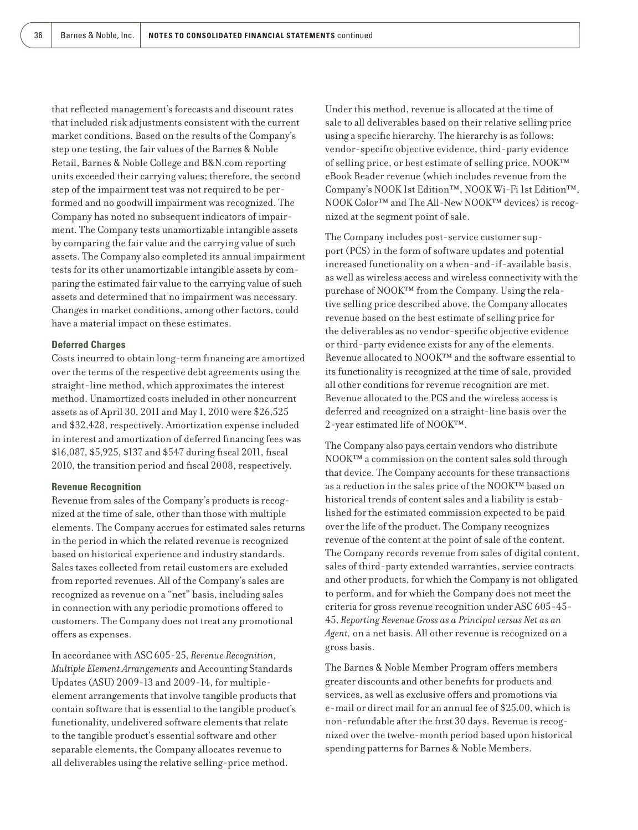that reflected management's forecasts and discount rates that included risk adjustments consistent with the current market conditions. Based on the results of the Company's step one testing, the fair values of the Barnes & Noble Retail, Barnes & Noble College and B&N.com reporting units exceeded their carrying values; therefore, the second step of the impairment test was not required to be performed and no goodwill impairment was recognized. The Company has noted no subsequent indicators of impairment. The Company tests unamortizable intangible assets by comparing the fair value and the carrying value of such assets. The Company also completed its annual impairment tests for its other unamortizable intangible assets by comparing the estimated fair value to the carrying value of such assets and determined that no impairment was necessary. Changes in market conditions, among other factors, could have a material impact on these estimates.

## **Deferred Charges**

Costs incurred to obtain long-term financing are amortized over the terms of the respective debt agreements using the straight-line method, which approximates the interest method. Unamortized costs included in other noncurrent assets as of April 30, 2011 and May 1, 2010 were \$26,525 and \$32,428, respectively. Amortization expense included in interest and amortization of deferred financing fees was  $$16,087, $5,925, $137, and $547 during fiscal 2011, fiscal$ 2010, the transition period and fiscal 2008, respectively.

#### **Revenue Recognition**

Revenue from sales of the Company's products is recognized at the time of sale, other than those with multiple elements. The Company accrues for estimated sales returns in the period in which the related revenue is recognized based on historical experience and industry standards. Sales taxes collected from retail customers are excluded from reported revenues. All of the Company's sales are recognized as revenue on a "net" basis, including sales in connection with any periodic promotions offered to customers. The Company does not treat any promotional offers as expenses.

In accordance with ASC 605-25, *Revenue Recognition, Multiple Element Arrangements* and Accounting Standards Updates (ASU) 2009-13 and 2009-14, for multipleelement arrangements that involve tangible products that contain software that is essential to the tangible product's functionality, undelivered software elements that relate to the tangible product's essential software and other separable elements, the Company allocates revenue to all deliverables using the relative selling-price method.

Under this method, revenue is allocated at the time of sale to all deliverables based on their relative selling price using a specific hierarchy. The hierarchy is as follows: vendor-specific objective evidence, third-party evidence of selling price, or best estimate of selling price. NOOK™ eBook Reader revenue (which includes revenue from the Company's NOOK 1st Edition™, NOOK Wi-Fi 1st Edition™, NOOK Color™ and The All-New NOOK™ devices) is recognized at the segment point of sale.

The Company includes post-service customer support (PCS) in the form of software updates and potential increased functionality on a when-and-if-available basis, as well as wireless access and wireless connectivity with the purchase of NOOK™ from the Company. Using the relative selling price described above, the Company allocates revenue based on the best estimate of selling price for the deliverables as no vendor-specific objective evidence or third-party evidence exists for any of the elements. Revenue allocated to NOOK™ and the software essential to its functionality is recognized at the time of sale, provided all other conditions for revenue recognition are met. Revenue allocated to the PCS and the wireless access is deferred and recognized on a straight-line basis over the 2-year estimated life of NOOK™.

The Company also pays certain vendors who distribute NOOK™ a commission on the content sales sold through that device. The Company accounts for these transactions as a reduction in the sales price of the NOOK™ based on historical trends of content sales and a liability is established for the estimated commission expected to be paid over the life of the product. The Company recognizes revenue of the content at the point of sale of the content. The Company records revenue from sales of digital content, sales of third-party extended warranties, service contracts and other products, for which the Company is not obligated to perform, and for which the Company does not meet the criteria for gross revenue recognition under ASC 605-45- 45, *Reporting Revenue Gross as a Principal versus Net as an Agent,* on a net basis. All other revenue is recognized on a gross basis.

The Barnes & Noble Member Program offers members greater discounts and other benefits for products and services, as well as exclusive offers and promotions via e-mail or direct mail for an annual fee of \$25.00, which is non-refundable after the first 30 days. Revenue is recognized over the twelve-month period based upon historical spending patterns for Barnes & Noble Members.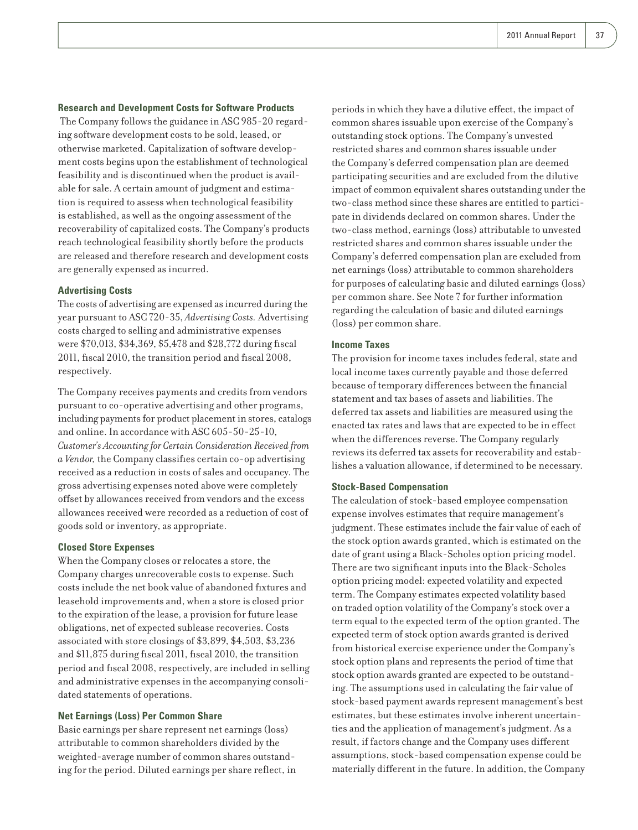#### **Research and Development Costs for Software Products**

 The Company follows the guidance in ASC 985-20 regarding software development costs to be sold, leased, or otherwise marketed. Capitalization of software development costs begins upon the establishment of technological feasibility and is discontinued when the product is available for sale. A certain amount of judgment and estimation is required to assess when technological feasibility is established, as well as the ongoing assessment of the recoverability of capitalized costs. The Company's products reach technological feasibility shortly before the products are released and therefore research and development costs are generally expensed as incurred.

#### **Advertising Costs**

The costs of advertising are expensed as incurred during the year pursuant to ASC 720-35, *Advertising Costs.* Advertising costs charged to selling and administrative expenses were \$70,013, \$34,369, \$5,478 and \$28,772 during fiscal 2011, fiscal 2010, the transition period and fiscal 2008, respectively.

The Company receives payments and credits from vendors pursuant to co-operative advertising and other programs, including payments for product placement in stores, catalogs and online. In accordance with ASC 605-50-25-10, *Customer's Accounting for Certain Consideration Received from a Vendor*, the Company classifies certain co-op advertising received as a reduction in costs of sales and occupancy. The gross advertising expenses noted above were completely offset by allowances received from vendors and the excess allowances received were recorded as a reduction of cost of goods sold or inventory, as appropriate.

## **Closed Store Expenses**

When the Company closes or relocates a store, the Company charges unrecoverable costs to expense. Such costs include the net book value of abandoned fixtures and leasehold improvements and, when a store is closed prior to the expiration of the lease, a provision for future lease obligations, net of expected sublease recoveries. Costs associated with store closings of \$3,899, \$4,503, \$3,236 and \$11,875 during fiscal 2011, fiscal 2010, the transition period and fiscal 2008, respectively, are included in selling and administrative expenses in the accompanying consolidated statements of operations.

### **Net Earnings (Loss) Per Common Share**

Basic earnings per share represent net earnings (loss) attributable to common shareholders divided by the weighted-average number of common shares outstanding for the period. Diluted earnings per share reflect, in periods in which they have a dilutive effect, the impact of common shares issuable upon exercise of the Company's outstanding stock options. The Company's unvested restricted shares and common shares issuable under the Company's deferred compensation plan are deemed participating securities and are excluded from the dilutive impact of common equivalent shares outstanding under the two-class method since these shares are entitled to participate in dividends declared on common shares. Under the two-class method, earnings (loss) attributable to unvested restricted shares and common shares issuable under the Company's deferred compensation plan are excluded from net earnings (loss) attributable to common shareholders for purposes of calculating basic and diluted earnings (loss) per common share. See Note 7 for further information regarding the calculation of basic and diluted earnings (loss) per common share.

## **Income Taxes**

The provision for income taxes includes federal, state and local income taxes currently payable and those deferred because of temporary differences between the financial statement and tax bases of assets and liabilities. The deferred tax assets and liabilities are measured using the enacted tax rates and laws that are expected to be in effect when the differences reverse. The Company regularly reviews its deferred tax assets for recoverability and establishes a valuation allowance, if determined to be necessary.

## **Stock-Based Compensation**

The calculation of stock-based employee compensation expense involves estimates that require management's judgment. These estimates include the fair value of each of the stock option awards granted, which is estimated on the date of grant using a Black-Scholes option pricing model. There are two significant inputs into the Black-Scholes option pricing model: expected volatility and expected term. The Company estimates expected volatility based on traded option volatility of the Company's stock over a term equal to the expected term of the option granted. The expected term of stock option awards granted is derived from historical exercise experience under the Company's stock option plans and represents the period of time that stock option awards granted are expected to be outstanding. The assumptions used in calculating the fair value of stock-based payment awards represent management's best estimates, but these estimates involve inherent uncertainties and the application of management's judgment. As a result, if factors change and the Company uses different assumptions, stock-based compensation expense could be materially different in the future. In addition, the Company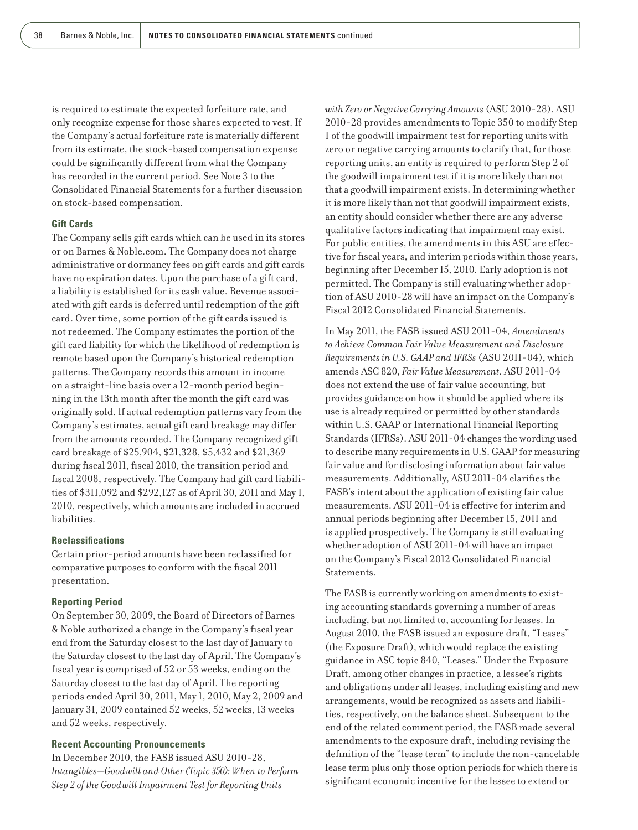is required to estimate the expected forfeiture rate, and only recognize expense for those shares expected to vest. If the Company's actual forfeiture rate is materially different from its estimate, the stock-based compensation expense could be significantly different from what the Company has recorded in the current period. See Note 3 to the Consolidated Financial Statements for a further discussion on stock-based compensation.

## **Gift Cards**

The Company sells gift cards which can be used in its stores or on Barnes & Noble.com. The Company does not charge administrative or dormancy fees on gift cards and gift cards have no expiration dates. Upon the purchase of a gift card, a liability is established for its cash value. Revenue associated with gift cards is deferred until redemption of the gift card. Over time, some portion of the gift cards issued is not redeemed. The Company estimates the portion of the gift card liability for which the likelihood of redemption is remote based upon the Company's historical redemption patterns. The Company records this amount in income on a straight-line basis over a 12-month period beginning in the 13th month after the month the gift card was originally sold. If actual redemption patterns vary from the Company's estimates, actual gift card breakage may differ from the amounts recorded. The Company recognized gift card breakage of \$25,904, \$21,328, \$5,432 and \$21,369 during fiscal 2011, fiscal 2010, the transition period and fiscal 2008, respectively. The Company had gift card liabilities of \$311,092 and \$292,127 as of April 30, 2011 and May 1, 2010, respectively, which amounts are included in accrued liabilities.

## **Reclassifi cations**

Certain prior-period amounts have been reclassified for comparative purposes to conform with the fiscal 2011 presentation.

#### **Reporting Period**

On September 30, 2009, the Board of Directors of Barnes & Noble authorized a change in the Company's fiscal year end from the Saturday closest to the last day of January to the Saturday closest to the last day of April. The Company's fiscal year is comprised of 52 or 53 weeks, ending on the Saturday closest to the last day of April. The reporting periods ended April 30, 2011, May 1, 2010, May 2, 2009 and January 31, 2009 contained 52 weeks, 52 weeks, 13 weeks and 52 weeks, respectively.

#### **Recent Accounting Pronouncements**

In December 2010, the FASB issued ASU 2010-28, *Intangibles—Goodwill and Other (Topic 350): When to Perform Step 2 of the Goodwill Impairment Test for Reporting Units* 

*with Zero or Negative Carrying Amounts* (ASU 2010-28). ASU 2010-28 provides amendments to Topic 350 to modify Step 1 of the goodwill impairment test for reporting units with zero or negative carrying amounts to clarify that, for those reporting units, an entity is required to perform Step 2 of the goodwill impairment test if it is more likely than not that a goodwill impairment exists. In determining whether it is more likely than not that goodwill impairment exists, an entity should consider whether there are any adverse qualitative factors indicating that impairment may exist. For public entities, the amendments in this ASU are effective for fiscal years, and interim periods within those years, beginning after December 15, 2010. Early adoption is not permitted. The Company is still evaluating whether adoption of ASU 2010-28 will have an impact on the Company's Fiscal 2012 Consolidated Financial Statements.

In May 2011, the FASB issued ASU 2011-04, *Amendments to Achieve Common Fair Value Measurement and Disclosure Requirements in U.S. GAAP and IFRSs* (ASU 2011-04), which amends ASC 820, *Fair Value Measurement.* ASU 2011-04 does not extend the use of fair value accounting, but provides guidance on how it should be applied where its use is already required or permitted by other standards within U.S. GAAP or International Financial Reporting Standards (IFRSs). ASU 2011-04 changes the wording used to describe many requirements in U.S. GAAP for measuring fair value and for disclosing information about fair value measurements. Additionally, ASU 2011-04 clarifies the FASB's intent about the application of existing fair value measurements. ASU 2011-04 is effective for interim and annual periods beginning after December 15, 2011 and is applied prospectively. The Company is still evaluating whether adoption of ASU 2011-04 will have an impact on the Company's Fiscal 2012 Consolidated Financial Statements.

The FASB is currently working on amendments to existing accounting standards governing a number of areas including, but not limited to, accounting for leases. In August 2010, the FASB issued an exposure draft, "Leases" (the Exposure Draft), which would replace the existing guidance in ASC topic 840, "Leases." Under the Exposure Draft, among other changes in practice, a lessee's rights and obligations under all leases, including existing and new arrangements, would be recognized as assets and liabilities, respectively, on the balance sheet. Subsequent to the end of the related comment period, the FASB made several amendments to the exposure draft, including revising the definition of the "lease term" to include the non-cancelable lease term plus only those option periods for which there is significant economic incentive for the lessee to extend or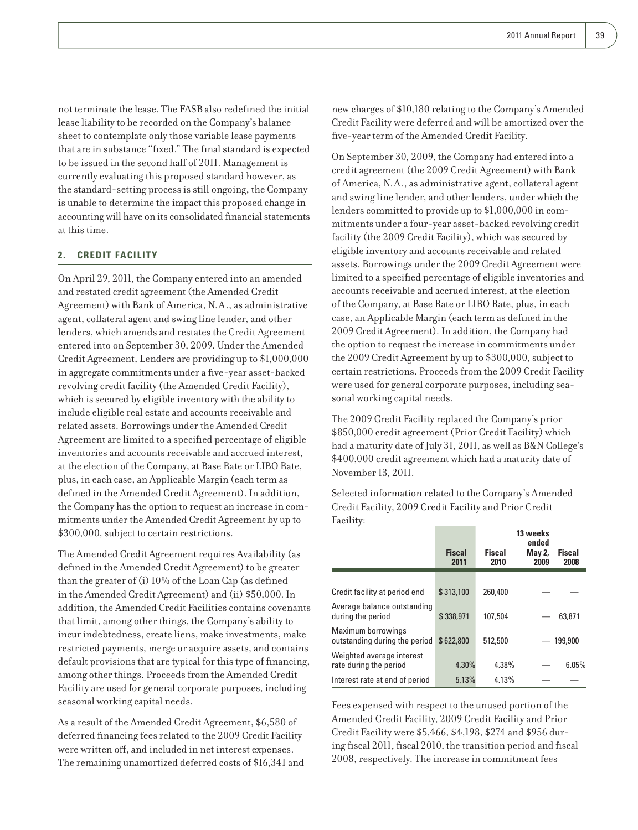not terminate the lease. The FASB also redefined the initial lease liability to be recorded on the Company's balance sheet to contemplate only those variable lease payments that are in substance "fixed." The final standard is expected to be issued in the second half of 2011. Management is currently evaluating this proposed standard however, as the standard-setting process is still ongoing, the Company is unable to determine the impact this proposed change in accounting will have on its consolidated financial statements at this time.

## **2. CREDIT FACILITY**

On April 29, 2011, the Company entered into an amended and restated credit agreement (the Amended Credit Agreement) with Bank of America, N.A., as administrative agent, collateral agent and swing line lender, and other lenders, which amends and restates the Credit Agreement entered into on September 30, 2009. Under the Amended Credit Agreement, Lenders are providing up to \$1,000,000 in aggregate commitments under a five-year asset-backed revolving credit facility (the Amended Credit Facility), which is secured by eligible inventory with the ability to include eligible real estate and accounts receivable and related assets. Borrowings under the Amended Credit Agreement are limited to a specified percentage of eligible inventories and accounts receivable and accrued interest, at the election of the Company, at Base Rate or LIBO Rate, plus, in each case, an Applicable Margin (each term as defined in the Amended Credit Agreement). In addition, the Company has the option to request an increase in commitments under the Amended Credit Agreement by up to \$300,000, subject to certain restrictions.

The Amended Credit Agreement requires Availability (as defined in the Amended Credit Agreement) to be greater than the greater of (i) 10% of the Loan Cap (as defined in the Amended Credit Agreement) and (ii) \$50,000. In addition, the Amended Credit Facilities contains covenants that limit, among other things, the Company's ability to incur indebtedness, create liens, make investments, make restricted payments, merge or acquire assets, and contains default provisions that are typical for this type of financing, among other things. Proceeds from the Amended Credit Facility are used for general corporate purposes, including seasonal working capital needs.

As a result of the Amended Credit Agreement, \$6,580 of deferred financing fees related to the 2009 Credit Facility were written off, and included in net interest expenses. The remaining unamortized deferred costs of \$16,341 and new charges of \$10,180 relating to the Company's Amended Credit Facility were deferred and will be amortized over the five-year term of the Amended Credit Facility.

On September 30, 2009, the Company had entered into a credit agreement (the 2009 Credit Agreement) with Bank of America, N.A., as administrative agent, collateral agent and swing line lender, and other lenders, under which the lenders committed to provide up to \$1,000,000 in commitments under a four-year asset-backed revolving credit facility (the 2009 Credit Facility), which was secured by eligible inventory and accounts receivable and related assets. Borrowings under the 2009 Credit Agreement were limited to a specified percentage of eligible inventories and accounts receivable and accrued interest, at the election of the Company, at Base Rate or LIBO Rate, plus, in each case, an Applicable Margin (each term as defined in the 2009 Credit Agreement). In addition, the Company had the option to request the increase in commitments under the 2009 Credit Agreement by up to \$300,000, subject to certain restrictions. Proceeds from the 2009 Credit Facility were used for general corporate purposes, including seasonal working capital needs.

The 2009 Credit Facility replaced the Company's prior \$850,000 credit agreement (Prior Credit Facility) which had a maturity date of July 31, 2011, as well as B&N College's \$400,000 credit agreement which had a maturity date of November 13, 2011.

Selected information related to the Company's Amended Credit Facility, 2009 Credit Facility and Prior Credit Facility:

|                                                     | <b>Fiscal</b><br>2011 | <b>Fiscal</b><br>2010 | 13 weeks<br>ended<br><b>May 2,</b><br>2009 | <b>Fiscal</b><br>2008 |
|-----------------------------------------------------|-----------------------|-----------------------|--------------------------------------------|-----------------------|
|                                                     |                       |                       |                                            |                       |
| Credit facility at period end                       | \$313,100             | 260,400               |                                            |                       |
| Average balance outstanding<br>during the period    | \$338,971             | 107,504               |                                            | 63,871                |
| Maximum borrowings<br>outstanding during the period | \$622,800             | 512,500               |                                            | 199,900               |
| Weighted average interest<br>rate during the period | 4.30%                 | 4.38%                 |                                            | 6.05%                 |
| Interest rate at end of period                      | 5.13%                 | 4.13%                 |                                            |                       |

Fees expensed with respect to the unused portion of the Amended Credit Facility, 2009 Credit Facility and Prior Credit Facility were \$5,466, \$4,198, \$274 and \$956 during fiscal 2011, fiscal 2010, the transition period and fiscal 2008, respectively. The increase in commitment fees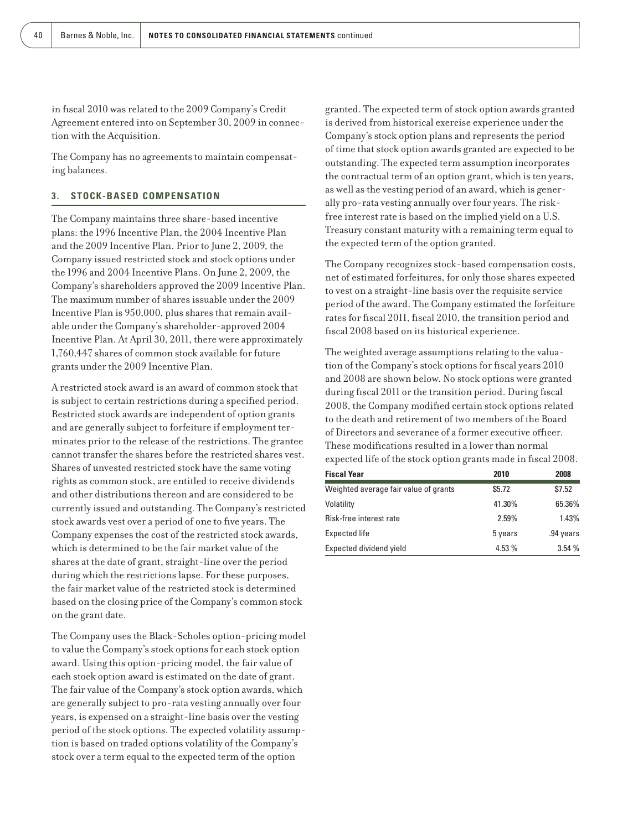in fiscal 2010 was related to the 2009 Company's Credit Agreement entered into on September 30, 2009 in connection with the Acquisition.

The Company has no agreements to maintain compensating balances.

#### **3. STOCK-BASED COMPENSATION**

The Company maintains three share-based incentive plans: the 1996 Incentive Plan, the 2004 Incentive Plan and the 2009 Incentive Plan. Prior to June 2, 2009, the Company issued restricted stock and stock options under the 1996 and 2004 Incentive Plans. On June 2, 2009, the Company's shareholders approved the 2009 Incentive Plan. The maximum number of shares issuable under the 2009 Incentive Plan is 950,000, plus shares that remain available under the Company's shareholder-approved 2004 Incentive Plan. At April 30, 2011, there were approximately 1,760,447 shares of common stock available for future grants under the 2009 Incentive Plan.

A restricted stock award is an award of common stock that is subject to certain restrictions during a specified period. Restricted stock awards are independent of option grants and are generally subject to forfeiture if employment terminates prior to the release of the restrictions. The grantee cannot transfer the shares before the restricted shares vest. Shares of unvested restricted stock have the same voting rights as common stock, are entitled to receive dividends and other distributions thereon and are considered to be currently issued and outstanding. The Company's restricted stock awards vest over a period of one to five years. The Company expenses the cost of the restricted stock awards, which is determined to be the fair market value of the shares at the date of grant, straight-line over the period during which the restrictions lapse. For these purposes, the fair market value of the restricted stock is determined based on the closing price of the Company's common stock on the grant date.

The Company uses the Black-Scholes option-pricing model to value the Company's stock options for each stock option award. Using this option-pricing model, the fair value of each stock option award is estimated on the date of grant. The fair value of the Company's stock option awards, which are generally subject to pro-rata vesting annually over four years, is expensed on a straight-line basis over the vesting period of the stock options. The expected volatility assumption is based on traded options volatility of the Company's stock over a term equal to the expected term of the option

granted. The expected term of stock option awards granted is derived from historical exercise experience under the Company's stock option plans and represents the period of time that stock option awards granted are expected to be outstanding. The expected term assumption incorporates the contractual term of an option grant, which is ten years, as well as the vesting period of an award, which is generally pro-rata vesting annually over four years. The riskfree interest rate is based on the implied yield on a U.S. Treasury constant maturity with a remaining term equal to the expected term of the option granted.

The Company recognizes stock-based compensation costs, net of estimated forfeitures, for only those shares expected to vest on a straight-line basis over the requisite service period of the award. The Company estimated the forfeiture rates for fiscal 2011, fiscal 2010, the transition period and fiscal 2008 based on its historical experience.

The weighted average assumptions relating to the valuation of the Company's stock options for fiscal years 2010 and 2008 are shown below. No stock options were granted during fiscal 2011 or the transition period. During fiscal 2008, the Company modified certain stock options related to the death and retirement of two members of the Board of Directors and severance of a former executive officer. These modifications resulted in a lower than normal expected life of the stock option grants made in fiscal 2008.

| <b>Fiscal Year</b>                    | 2010    | 2008      |
|---------------------------------------|---------|-----------|
| Weighted average fair value of grants | \$5.72  | \$7.52    |
| Volatility                            | 41.30%  | 65.36%    |
| Risk-free interest rate               | 2.59%   | 1.43%     |
| Expected life                         | 5 years | .94 years |
| Expected dividend yield               | 4.53 %  | 3.54%     |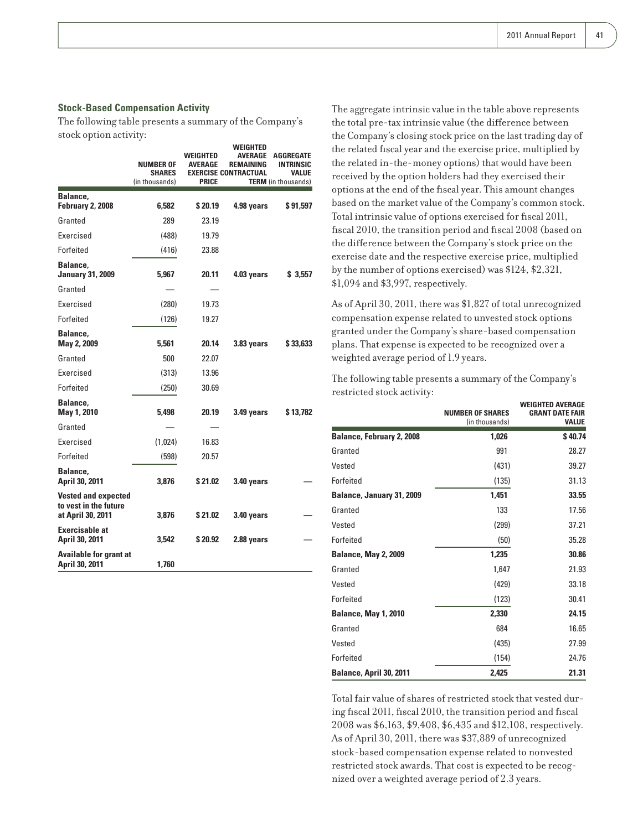## **Stock-Based Compensation Activity**

The following table presents a summary of the Company's stock option activity:

|                                                                          | NUMBER OF<br><b>SHARES</b><br>(in thousands) | WEIGHTED<br>AVERAGE<br><b>PRICE</b> | WEIGHTED<br>AVERAGE<br><b>REMAINING</b><br><b>EXERCISE CONTRACTUAL</b> | AGGREGATE<br><b>INTRINSIC</b><br><b>VALUE</b><br><b>TERM</b> (in thousands) |
|--------------------------------------------------------------------------|----------------------------------------------|-------------------------------------|------------------------------------------------------------------------|-----------------------------------------------------------------------------|
| Balance,                                                                 |                                              |                                     |                                                                        |                                                                             |
| <b>February 2, 2008</b><br>Granted                                       | 6,582<br>289                                 | \$20.19<br>23.19                    | 4.98 years                                                             | \$91,597                                                                    |
|                                                                          |                                              |                                     |                                                                        |                                                                             |
| Exercised                                                                | (488)                                        | 19.79                               |                                                                        |                                                                             |
| Forfeited                                                                | (416)                                        | 23.88                               |                                                                        |                                                                             |
| <b>Balance.</b><br><b>January 31, 2009</b>                               | 5,967                                        | 20.11                               | 4.03 years                                                             | \$3,557                                                                     |
| Granted                                                                  |                                              |                                     |                                                                        |                                                                             |
| Exercised                                                                | (280)                                        | 19.73                               |                                                                        |                                                                             |
| Forfeited                                                                | (126)                                        | 19.27                               |                                                                        |                                                                             |
| Balance,<br>May 2, 2009                                                  | 5.561                                        | 20.14                               | $3.83$ years                                                           | \$33,633                                                                    |
| Granted                                                                  | 500                                          | 22.07                               |                                                                        |                                                                             |
| Exercised                                                                | (313)                                        | 13.96                               |                                                                        |                                                                             |
| Forfeited                                                                | (250)                                        | 30.69                               |                                                                        |                                                                             |
| Balance,<br>May 1, 2010                                                  | 5.498                                        | 20.19                               | $3.49$ years                                                           | \$13,782                                                                    |
| Granted                                                                  |                                              |                                     |                                                                        |                                                                             |
| Exercised                                                                | (1,024)                                      | 16.83                               |                                                                        |                                                                             |
| Forfeited                                                                | (598)                                        | 20.57                               |                                                                        |                                                                             |
| <b>Balance.</b><br>April 30, 2011                                        | 3.876                                        | \$21.02                             | 3.40 years                                                             |                                                                             |
| <b>Vested and expected</b><br>to vest in the future<br>at April 30, 2011 | 3,876                                        | \$21.02                             | 3.40 years                                                             |                                                                             |
| <b>Exercisable at</b><br>April 30, 2011                                  | 3,542                                        | \$20.92                             | 2.88 years                                                             |                                                                             |
| <b>Available for grant at</b><br>April 30, 2011                          | 1,760                                        |                                     |                                                                        |                                                                             |

The aggregate intrinsic value in the table above represents the total pre-tax intrinsic value (the difference between the Company's closing stock price on the last trading day of the related fiscal year and the exercise price, multiplied by the related in-the-money options) that would have been received by the option holders had they exercised their options at the end of the fiscal year. This amount changes based on the market value of the Company's common stock. Total intrinsic value of options exercised for fiscal 2011, fiscal 2010, the transition period and fiscal 2008 (based on the difference between the Company's stock price on the exercise date and the respective exercise price, multiplied by the number of options exercised) was \$124, \$2,321, \$1,094 and \$3,997, respectively.

As of April 30, 2011, there was \$1,827 of total unrecognized compensation expense related to unvested stock options granted under the Company's share-based compensation plans. That expense is expected to be recognized over a weighted average period of 1.9 years.

The following table presents a summary of the Company's restricted stock activity:

|                                  | <b>NUMBER OF SHARES</b><br>(in thousands) | <b>WEIGHTED AVERAGE</b><br><b>GRANT DATE FAIR</b><br><b>VALUE</b> |
|----------------------------------|-------------------------------------------|-------------------------------------------------------------------|
| <b>Balance, February 2, 2008</b> | 1.026                                     | \$40.74                                                           |
| Granted                          | 991                                       | 28.27                                                             |
| Vested                           | (431)                                     | 39.27                                                             |
| Forfeited                        | (135)                                     | 31.13                                                             |
| Balance, January 31, 2009        | 1,451                                     | 33.55                                                             |
| Granted                          | 133                                       | 17.56                                                             |
| Vested                           | (299)                                     | 37.21                                                             |
| Forfeited                        | (50)                                      | 35.28                                                             |
| <b>Balance, May 2, 2009</b>      | 1.235                                     | 30.86                                                             |
| Granted                          | 1,647                                     | 21.93                                                             |
| Vested                           | (429)                                     | 33.18                                                             |
| Forfeited                        | (123)                                     | 30.41                                                             |
| <b>Balance, May 1, 2010</b>      | 2,330                                     | 24.15                                                             |
| Granted                          | 684                                       | 16.65                                                             |
| Vested                           | (435)                                     | 27.99                                                             |
| Forfeited                        | (154)                                     | 24.76                                                             |
| Balance, April 30, 2011          | 2.425                                     | 21.31                                                             |

Total fair value of shares of restricted stock that vested during fiscal 2011, fiscal 2010, the transition period and fiscal 2008 was \$6,163, \$9,408, \$6,435 and \$12,108, respectively. As of April 30, 2011, there was \$37,889 of unrecognized stock-based compensation expense related to nonvested restricted stock awards. That cost is expected to be recognized over a weighted average period of 2.3 years.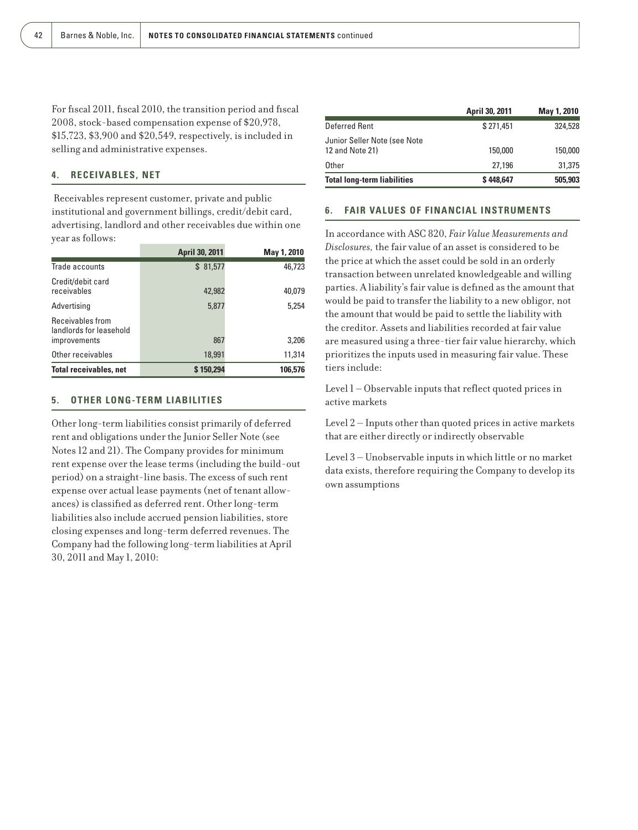For fiscal 2011, fiscal 2010, the transition period and fiscal 2008, stock-based compensation expense of \$20,978, \$15,723, \$3,900 and \$20,549, respectively, is included in selling and administrative expenses.

#### **4. RECEIVABLES, NET**

 Receivables represent customer, private and public institutional and government billings, credit/debit card, advertising, landlord and other receivables due within one year as follows:

|                                                             | April 30, 2011 | May 1, 2010 |
|-------------------------------------------------------------|----------------|-------------|
| Trade accounts                                              | \$81,577       | 46,723      |
| Credit/debit card<br>receivables                            | 42,982         | 40,079      |
| Advertising                                                 | 5,877          | 5,254       |
| Receivables from<br>landlords for leasehold<br>improvements | 867            | 3,206       |
| Other receivables                                           | 18,991         | 11,314      |
| <b>Total receivables, net</b>                               | \$150,294      | 106,576     |

## **5. OTHER LONG-TERM LIABILITIES**

Other long-term liabilities consist primarily of deferred rent and obligations under the Junior Seller Note (see Notes 12 and 21). The Company provides for minimum rent expense over the lease terms (including the build-out period) on a straight-line basis. The excess of such rent expense over actual lease payments (net of tenant allowances) is classified as deferred rent. Other long-term liabilities also include accrued pension liabilities, store closing expenses and long-term deferred revenues. The Company had the following long-term liabilities at April 30, 2011 and May 1, 2010:

|                                                 | <b>April 30, 2011</b> | May 1, 2010 |
|-------------------------------------------------|-----------------------|-------------|
| Deferred Rent                                   | \$271.451             | 324,528     |
| Junior Seller Note (see Note<br>12 and Note 21) | 150,000               | 150,000     |
| Other                                           | 27.196                | 31,375      |
| <b>Total long-term liabilities</b>              | \$448.647             | 505,903     |

## **6. FAIR VALUES OF FINANCIAL INSTRUMENTS**

In accordance with ASC 820, *Fair Value Measurements and Disclosures,* the fair value of an asset is considered to be the price at which the asset could be sold in an orderly transaction between unrelated knowledgeable and willing parties. A liability's fair value is defined as the amount that would be paid to transfer the liability to a new obligor, not the amount that would be paid to settle the liability with the creditor. Assets and liabilities recorded at fair value are measured using a three-tier fair value hierarchy, which prioritizes the inputs used in measuring fair value. These tiers include:

Level  $1 -$ Observable inputs that reflect quoted prices in active markets

Level  $2$  – Inputs other than quoted prices in active markets that are either directly or indirectly observable

Level 3 – Unobservable inputs in which little or no market data exists, therefore requiring the Company to develop its own assumptions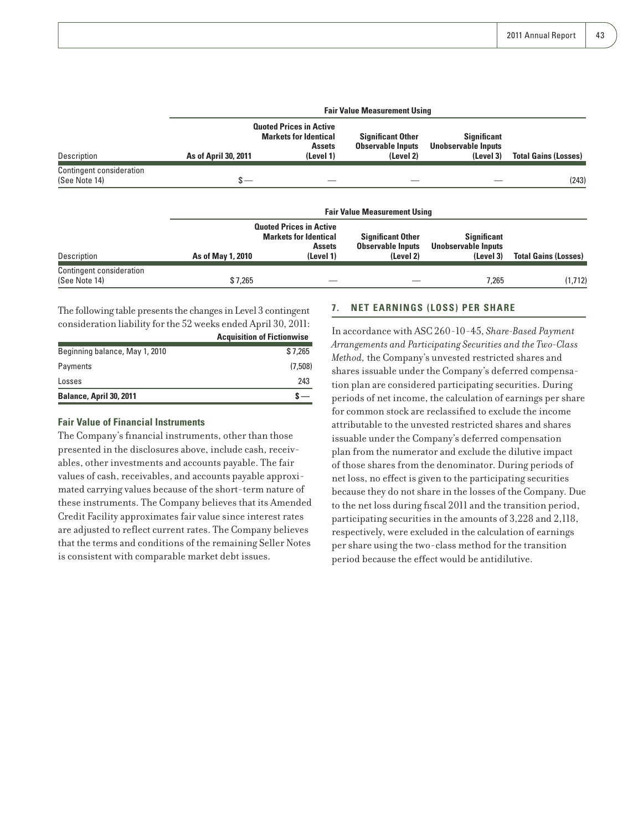|                                           |                      | <b>Fair Value Measurement Using</b>                                                          |                                                                   |                                                               |                             |  |  |
|-------------------------------------------|----------------------|----------------------------------------------------------------------------------------------|-------------------------------------------------------------------|---------------------------------------------------------------|-----------------------------|--|--|
| Description                               | As of April 30, 2011 | <b>Quoted Prices in Active</b><br><b>Markets for Identical</b><br><b>Assets</b><br>(Level 1) | <b>Significant Other</b><br><b>Observable Inputs</b><br>(Level 2) | <b>Significant</b><br><b>Unobservable Inputs</b><br>(Level 3) | <b>Total Gains (Losses)</b> |  |  |
| Contingent consideration<br>(See Note 14) | $s-$                 |                                                                                              |                                                                   |                                                               | (243)                       |  |  |
|                                           |                      |                                                                                              | <b>Fair Value Measurement Using</b>                               |                                                               |                             |  |  |
| Description                               | As of May 1, 2010    | <b>Quoted Prices in Active</b><br><b>Markets for Identical</b><br><b>Assets</b><br>(Level 1) | <b>Significant Other</b><br><b>Observable Inputs</b><br>(Level 2) | <b>Significant</b><br><b>Unobservable Inputs</b><br>(Level 3) | <b>Total Gains (Losses)</b> |  |  |
| Contingent consideration<br>(See Note 14) | \$7,265              |                                                                                              |                                                                   | 7,265                                                         | (1, 712)                    |  |  |

The following table presents the changes in Level 3 contingent consideration liability for the 52 weeks ended April 30, 2011:

|                                | <b>Acquisition of Fictionwise</b> |
|--------------------------------|-----------------------------------|
| Beginning balance, May 1, 2010 | \$7,265                           |
| Payments                       | (7.508)                           |
| Losses                         | 243                               |
| Balance, April 30, 2011        |                                   |

## **Fair Value of Financial Instruments**

The Company's financial instruments, other than those presented in the disclosures above, include cash, receivables, other investments and accounts payable. The fair values of cash, receivables, and accounts payable approximated carrying values because of the short-term nature of these instruments. The Company believes that its Amended Credit Facility approximates fair value since interest rates are adjusted to reflect current rates. The Company believes that the terms and conditions of the remaining Seller Notes is consistent with comparable market debt issues.

### **7. NET EARNINGS (LOSS) PER SHARE**

In accordance with ASC 260-10-45, *Share-Based Payment Arrangements and Participating Securities and the Two-Class Method,* the Company's unvested restricted shares and shares issuable under the Company's deferred compensation plan are considered participating securities. During periods of net income, the calculation of earnings per share for common stock are reclassified to exclude the income attributable to the unvested restricted shares and shares issuable under the Company's deferred compensation plan from the numerator and exclude the dilutive impact of those shares from the denominator. During periods of net loss, no effect is given to the participating securities because they do not share in the losses of the Company. Due to the net loss during fiscal 2011 and the transition period, participating securities in the amounts of 3,228 and 2,118, respectively, were excluded in the calculation of earnings per share using the two-class method for the transition period because the effect would be antidilutive.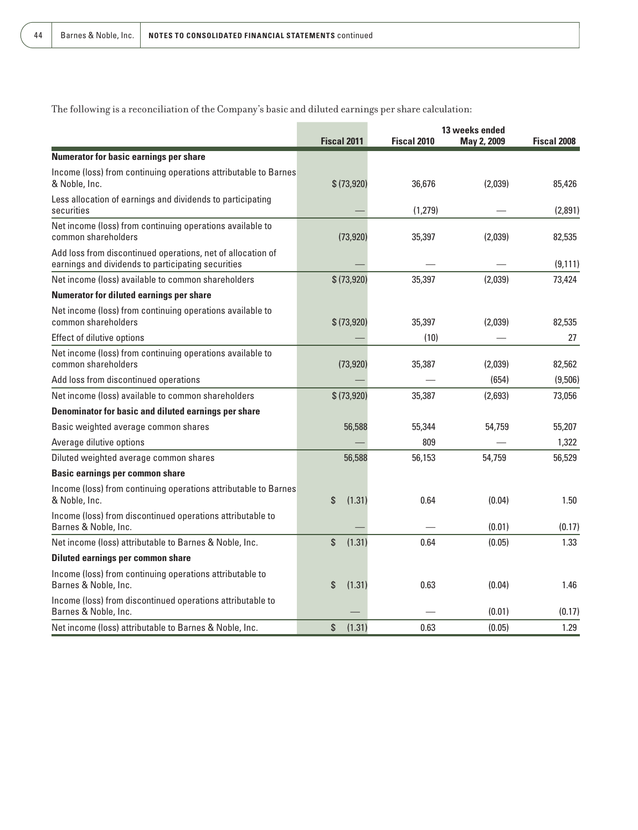The following is a reconciliation of the Company's basic and diluted earnings per share calculation:

|                                                                                                                   |                    |                    | 13 weeks ended |                    |
|-------------------------------------------------------------------------------------------------------------------|--------------------|--------------------|----------------|--------------------|
|                                                                                                                   | <b>Fiscal 2011</b> | <b>Fiscal 2010</b> | May 2, 2009    | <b>Fiscal 2008</b> |
| Numerator for basic earnings per share                                                                            |                    |                    |                |                    |
| Income (loss) from continuing operations attributable to Barnes<br>& Noble, Inc.                                  | \$(73,920)         | 36,676             | (2,039)        | 85,426             |
| Less allocation of earnings and dividends to participating<br>securities                                          |                    | (1, 279)           |                | (2,891)            |
| Net income (loss) from continuing operations available to<br>common shareholders                                  | (73, 920)          | 35,397             | (2,039)        | 82,535             |
| Add loss from discontinued operations, net of allocation of<br>earnings and dividends to participating securities |                    |                    |                | (9, 111)           |
| Net income (loss) available to common shareholders                                                                | \$(73,920)         | 35,397             | (2,039)        | 73,424             |
| Numerator for diluted earnings per share                                                                          |                    |                    |                |                    |
| Net income (loss) from continuing operations available to<br>common shareholders                                  | \$(73,920)         | 35,397             | (2,039)        | 82,535             |
| <b>Effect of dilutive options</b>                                                                                 |                    | (10)               |                | 27                 |
| Net income (loss) from continuing operations available to<br>common shareholders                                  | (73, 920)          | 35,387             | (2,039)        | 82,562             |
| Add loss from discontinued operations                                                                             |                    |                    | (654)          | (9,506)            |
| Net income (loss) available to common shareholders                                                                | \$(73,920)         | 35,387             | (2,693)        | 73,056             |
| Denominator for basic and diluted earnings per share                                                              |                    |                    |                |                    |
| Basic weighted average common shares                                                                              | 56,588             | 55,344             | 54,759         | 55,207             |
| Average dilutive options                                                                                          |                    | 809                |                | 1,322              |
| Diluted weighted average common shares                                                                            | 56,588             | 56,153             | 54,759         | 56,529             |
| Basic earnings per common share                                                                                   |                    |                    |                |                    |
| Income (loss) from continuing operations attributable to Barnes<br>& Noble, Inc.                                  | \$<br>(1.31)       | 0.64               | (0.04)         | 1.50               |
| Income (loss) from discontinued operations attributable to<br>Barnes & Noble, Inc.                                |                    |                    | (0.01)         | (0.17)             |
| Net income (loss) attributable to Barnes & Noble, Inc.                                                            | \$<br>(1.31)       | 0.64               | (0.05)         | 1.33               |
| <b>Diluted earnings per common share</b>                                                                          |                    |                    |                |                    |
| Income (loss) from continuing operations attributable to<br>Barnes & Noble, Inc.                                  | S<br>(1.31)        | 0.63               | (0.04)         | 1.46               |
| Income (loss) from discontinued operations attributable to<br>Barnes & Noble, Inc.                                |                    |                    | (0.01)         | (0.17)             |
| Net income (loss) attributable to Barnes & Noble, Inc.                                                            | \$<br>(1.31)       | 0.63               | (0.05)         | 1.29               |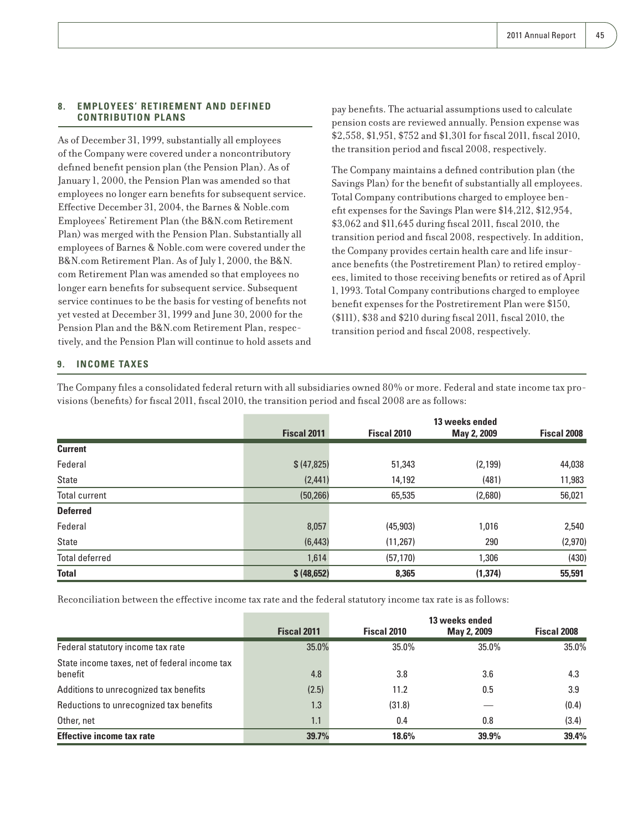## **8. EMPLOYEES' RETIREMENT AND DEFINED CONTRIBUTION PLANS**

As of December 31, 1999, substantially all employees of the Company were covered under a noncontributory defined benefit pension plan (the Pension Plan). As of January 1, 2000, the Pension Plan was amended so that employees no longer earn benefits for subsequent service. Effective December 31, 2004, the Barnes & Noble.com Employees' Retirement Plan (the B&N.com Retirement Plan) was merged with the Pension Plan. Substantially all employees of Barnes & Noble.com were covered under the B&N.com Retirement Plan. As of July 1, 2000, the B&N. com Retirement Plan was amended so that employees no longer earn benefits for subsequent service. Subsequent service continues to be the basis for vesting of benefits not yet vested at December 31, 1999 and June 30, 2000 for the Pension Plan and the B&N.com Retirement Plan, respectively, and the Pension Plan will continue to hold assets and pay benefits. The actuarial assumptions used to calculate pension costs are reviewed annually. Pension expense was \$2,558, \$1,951, \$752 and \$1,301 for fiscal 2011, fiscal 2010, the transition period and fiscal 2008, respectively.

The Company maintains a defined contribution plan (the Savings Plan) for the benefit of substantially all employees. Total Company contributions charged to employee benefit expenses for the Savings Plan were  $$14,212, $12,954$ ,  $$3,062$  and  $$11,645$  during fiscal 2011, fiscal 2010, the transition period and fiscal 2008, respectively. In addition, the Company provides certain health care and life insurance benefits (the Postretirement Plan) to retired employees, limited to those receiving benefits or retired as of April 1, 1993. Total Company contributions charged to employee benefit expenses for the Postretirement Plan were \$150,  $($111)$ , \$38 and \$210 during fiscal 2011, fiscal 2010, the transition period and fiscal 2008, respectively.

## **9. INCOME TAXES**

The Company files a consolidated federal return with all subsidiaries owned 80% or more. Federal and state income tax provisions (benefits) for fiscal 2011, fiscal 2010, the transition period and fiscal 2008 are as follows:

|                       |                    | 13 weeks ended |             |             |
|-----------------------|--------------------|----------------|-------------|-------------|
|                       | <b>Fiscal 2011</b> | Fiscal 2010    | May 2, 2009 | Fiscal 2008 |
| <b>Current</b>        |                    |                |             |             |
| Federal               | \$ (47, 825)       | 51,343         | (2, 199)    | 44,038      |
| <b>State</b>          | (2, 441)           | 14,192         | (481)       | 11,983      |
| <b>Total current</b>  | (50, 266)          | 65,535         | (2,680)     | 56,021      |
| <b>Deferred</b>       |                    |                |             |             |
| Federal               | 8,057              | (45, 903)      | 1,016       | 2,540       |
| <b>State</b>          | (6, 443)           | (11, 267)      | 290         | (2,970)     |
| <b>Total deferred</b> | 1,614              | (57, 170)      | 1,306       | (430)       |
| <b>Total</b>          | \$ (48, 652)       | 8,365          | (1, 374)    | 55,591      |

Reconciliation between the effective income tax rate and the federal statutory income tax rate is as follows:

|                                                          |                    | 13 weeks ended |             |                    |
|----------------------------------------------------------|--------------------|----------------|-------------|--------------------|
|                                                          | <b>Fiscal 2011</b> | Fiscal 2010    | May 2, 2009 | <b>Fiscal 2008</b> |
| Federal statutory income tax rate                        | 35.0%              | 35.0%          | 35.0%       | 35.0%              |
| State income taxes, net of federal income tax<br>benefit | 4.8                | 3.8            | 3.6         | 4.3                |
| Additions to unrecognized tax benefits                   | (2.5)              | 11.2           | 0.5         | 3.9                |
| Reductions to unrecognized tax benefits                  | 1.3                | (31.8)         |             | (0.4)              |
| Other, net                                               | 1.1                | 0.4            | 0.8         | (3.4)              |
| <b>Effective income tax rate</b>                         | 39.7%              | 18.6%          | 39.9%       | 39.4%              |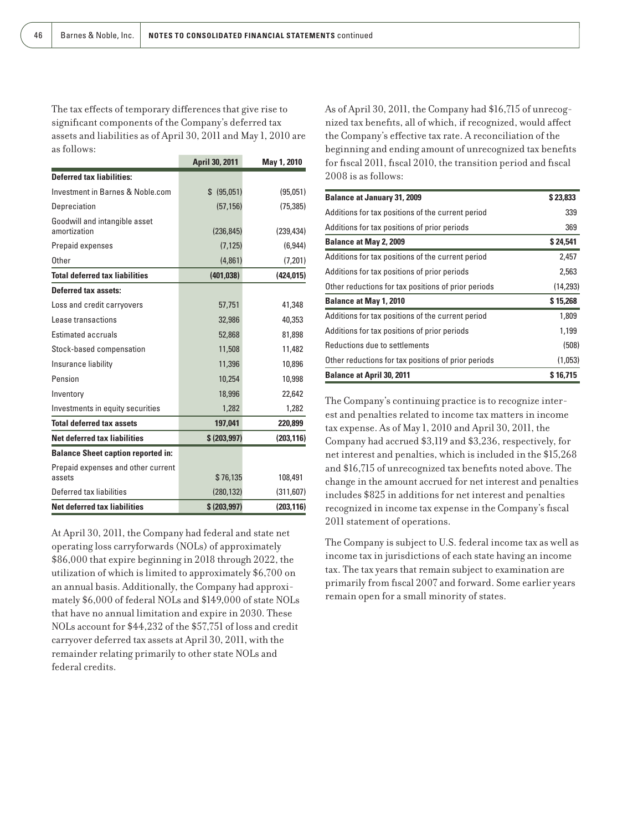The tax effects of temporary differences that give rise to significant components of the Company's deferred tax assets and liabilities as of April 30, 2011 and May 1, 2010 are as follows:

|                                               | April 30, 2011 | May 1, 2010 |
|-----------------------------------------------|----------------|-------------|
| <b>Deferred tax liabilities:</b>              |                |             |
| Investment in Barnes & Noble.com              | \$ (95,051)    | (95,051)    |
| Depreciation                                  | (57, 156)      | (75, 385)   |
| Goodwill and intangible asset<br>amortization | (236, 845)     | (239, 434)  |
| Prepaid expenses                              | (7, 125)       | (6, 944)    |
| Other                                         | (4,861)        | (7,201)     |
| <b>Total deferred tax liabilities</b>         | (401, 038)     | (424, 015)  |
| <b>Deferred tax assets:</b>                   |                |             |
| Loss and credit carryovers                    | 57,751         | 41,348      |
| Lease transactions                            | 32,986         | 40,353      |
| <b>Estimated accruals</b>                     | 52,868         | 81,898      |
| Stock-based compensation                      | 11,508         | 11,482      |
| Insurance liability                           | 11,396         | 10,896      |
| Pension                                       | 10,254         | 10,998      |
| Inventory                                     | 18,996         | 22,642      |
| Investments in equity securities              | 1,282          | 1,282       |
| <b>Total deferred tax assets</b>              | 197,041        | 220,899     |
| Net deferred tax liabilities                  | \$ (203,997)   | (203, 116)  |
| <b>Balance Sheet caption reported in:</b>     |                |             |
| Prepaid expenses and other current<br>assets  | \$76,135       | 108,491     |
| Deferred tax liabilities                      | (280, 132)     | (311,607)   |
| <b>Net deferred tax liabilities</b>           | \$ (203.997)   | (203, 116)  |

At April 30, 2011, the Company had federal and state net operating loss carryforwards (NOLs) of approximately \$86,000 that expire beginning in 2018 through 2022, the utilization of which is limited to approximately \$6,700 on an annual basis. Additionally, the Company had approximately \$6,000 of federal NOLs and \$149,000 of state NOLs that have no annual limitation and expire in 2030. These NOLs account for \$44,232 of the \$57,751 of loss and credit carryover deferred tax assets at April 30, 2011, with the remainder relating primarily to other state NOLs and federal credits.

As of April 30, 2011, the Company had \$16,715 of unrecognized tax benefits, all of which, if recognized, would affect the Company's effective tax rate. A reconciliation of the beginning and ending amount of unrecognized tax benefits for fiscal 2011, fiscal 2010, the transition period and fiscal 2008 is as follows:

| <b>Balance at January 31, 2009</b>                  | \$23,833  |
|-----------------------------------------------------|-----------|
| Additions for tax positions of the current period   | 339       |
| Additions for tax positions of prior periods        | 369       |
| <b>Balance at May 2, 2009</b>                       | \$24,541  |
| Additions for tax positions of the current period   | 2,457     |
| Additions for tax positions of prior periods        | 2,563     |
| Other reductions for tax positions of prior periods | (14, 293) |
| <b>Balance at May 1, 2010</b>                       | \$15,268  |
| Additions for tax positions of the current period   | 1,809     |
| Additions for tax positions of prior periods        | 1,199     |
| Reductions due to settlements                       | (508)     |
| Other reductions for tax positions of prior periods | (1,053)   |
| <b>Balance at April 30, 2011</b>                    | \$16,715  |

The Company's continuing practice is to recognize interest and penalties related to income tax matters in income tax expense. As of May 1, 2010 and April 30, 2011, the Company had accrued \$3,119 and \$3,236, respectively, for net interest and penalties, which is included in the \$15,268 and \$16,715 of unrecognized tax benefits noted above. The change in the amount accrued for net interest and penalties includes \$825 in additions for net interest and penalties recognized in income tax expense in the Company's fiscal 2011 statement of operations.

The Company is subject to U.S. federal income tax as well as income tax in jurisdictions of each state having an income tax. The tax years that remain subject to examination are primarily from fiscal 2007 and forward. Some earlier years remain open for a small minority of states.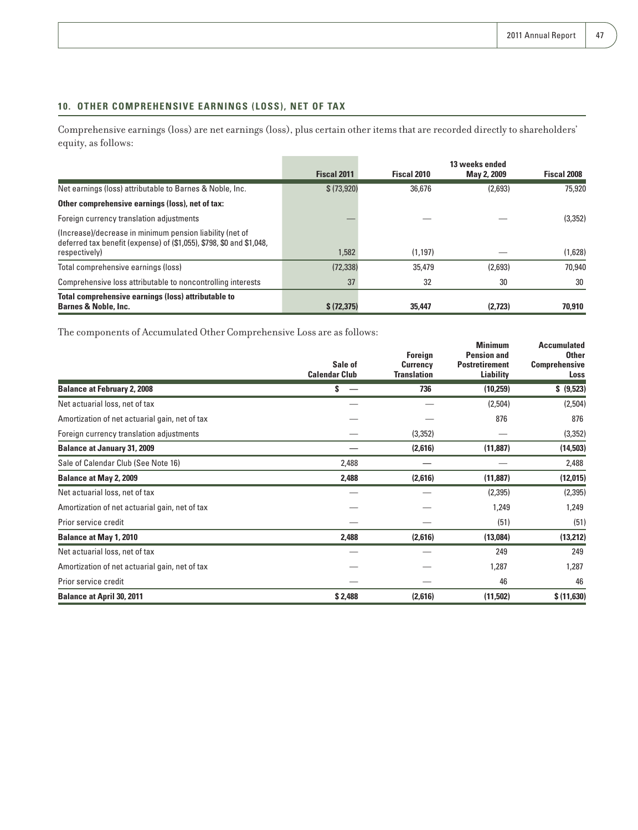## **10. OTHER COMPREHENSIVE EARNINGS (LOSS), NET OF TAX**

Comprehensive earnings (loss) are net earnings (loss), plus certain other items that are recorded directly to shareholders' equity, as follows:

|                                                                                                                                                   |              | 13 weeks ended |             |             |
|---------------------------------------------------------------------------------------------------------------------------------------------------|--------------|----------------|-------------|-------------|
|                                                                                                                                                   | Fiscal 2011  | Fiscal 2010    | May 2, 2009 | Fiscal 2008 |
| Net earnings (loss) attributable to Barnes & Noble, Inc.                                                                                          | \$(73,920)   | 36,676         | (2,693)     | 75.920      |
| Other comprehensive earnings (loss), net of tax:                                                                                                  |              |                |             |             |
| Foreign currency translation adjustments                                                                                                          |              |                |             | (3,352)     |
| (Increase)/decrease in minimum pension liability (net of<br>deferred tax benefit (expense) of (\$1,055), \$798, \$0 and \$1,048,<br>respectively) | 1,582        | (1.197)        |             | (1,628)     |
| Total comprehensive earnings (loss)                                                                                                               | (72, 338)    | 35.479         | (2,693)     | 70.940      |
| Comprehensive loss attributable to noncontrolling interests                                                                                       | 37           | 32             | 30          | 30          |
| Total comprehensive earnings (loss) attributable to<br><b>Barnes &amp; Noble, Inc.</b>                                                            | \$ (72, 375) | 35,447         | (2.723)     | 70,910      |

The components of Accumulated Other Comprehensive Loss are as follows:

|                                                | Sale of<br><b>Calendar Club</b> | <b>Foreign</b><br><b>Currency</b><br><b>Translation</b> | <b>Minimum</b><br><b>Pension and</b><br><b>Postretirement</b><br><b>Liability</b> | <b>Accumulated</b><br><b>Other</b><br>Comprehensive<br>Loss |
|------------------------------------------------|---------------------------------|---------------------------------------------------------|-----------------------------------------------------------------------------------|-------------------------------------------------------------|
| <b>Balance at February 2, 2008</b>             | s                               | 736                                                     | (10,259)                                                                          | \$ (9,523)                                                  |
| Net actuarial loss, net of tax                 |                                 |                                                         | (2,504)                                                                           | (2,504)                                                     |
| Amortization of net actuarial gain, net of tax |                                 |                                                         | 876                                                                               | 876                                                         |
| Foreign currency translation adjustments       |                                 | (3, 352)                                                |                                                                                   | (3,352)                                                     |
| <b>Balance at January 31, 2009</b>             |                                 | (2,616)                                                 | (11, 887)                                                                         | (14, 503)                                                   |
| Sale of Calendar Club (See Note 16)            | 2,488                           |                                                         |                                                                                   | 2,488                                                       |
| Balance at May 2, 2009                         | 2,488                           | (2,616)                                                 | (11, 887)                                                                         | (12,015)                                                    |
| Net actuarial loss, net of tax                 |                                 |                                                         | (2, 395)                                                                          | (2,395)                                                     |
| Amortization of net actuarial gain, net of tax |                                 |                                                         | 1,249                                                                             | 1,249                                                       |
| Prior service credit                           |                                 |                                                         | (51)                                                                              | (51)                                                        |
| <b>Balance at May 1, 2010</b>                  | 2,488                           | (2,616)                                                 | (13,084)                                                                          | (13, 212)                                                   |
| Net actuarial loss, net of tax                 |                                 |                                                         | 249                                                                               | 249                                                         |
| Amortization of net actuarial gain, net of tax |                                 |                                                         | 1,287                                                                             | 1,287                                                       |
| Prior service credit                           |                                 |                                                         | 46                                                                                | 46                                                          |
| <b>Balance at April 30, 2011</b>               | \$2,488                         | (2,616)                                                 | (11,502)                                                                          | \$(11,630)                                                  |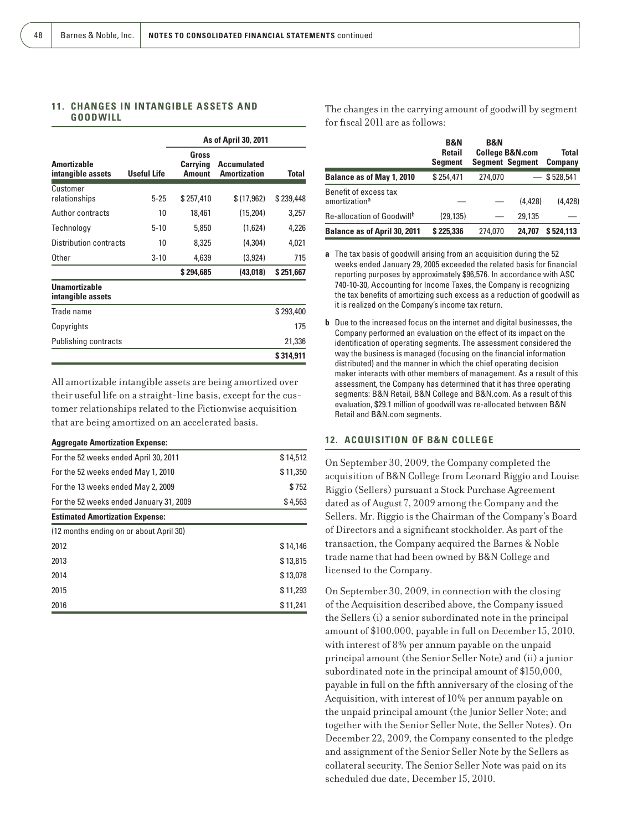## **11. CHANGES IN INTANGIBLE ASSETS AND GOODWILL**

|                                         |             | As of April 30, 2011                      |                                           |           |  |
|-----------------------------------------|-------------|-------------------------------------------|-------------------------------------------|-----------|--|
| <b>Amortizable</b><br>intangible assets | Useful Life | Gross<br><b>Carrying</b><br><b>Amount</b> | <b>Accumulated</b><br><b>Amortization</b> | Total     |  |
| Customer<br>relationships               | $5 - 25$    | \$257,410                                 | \$(17, 962)                               | \$239,448 |  |
| Author contracts                        | 10          | 18,461                                    | (15, 204)                                 | 3,257     |  |
| Technology                              | $5 - 10$    | 5,850                                     | (1,624)                                   | 4,226     |  |
| Distribution contracts                  | 10          | 8,325                                     | (4, 304)                                  | 4,021     |  |
| <b>Other</b>                            | $3 - 10$    | 4,639                                     | (3,924)                                   | 715       |  |
|                                         |             | \$294.685                                 | (43,018)                                  | \$251,667 |  |
| Unamortizable<br>intangible assets      |             |                                           |                                           |           |  |
| Trade name                              |             |                                           |                                           | \$293,400 |  |
| Copyrights                              |             |                                           |                                           | 175       |  |
| Publishing contracts                    |             |                                           |                                           | 21,336    |  |
|                                         |             |                                           |                                           | \$314,911 |  |

All amortizable intangible assets are being amortized over their useful life on a straight-line basis, except for the customer relationships related to the Fictionwise acquisition that are being amortized on an accelerated basis.

#### **Aggregate Amortization Expense:**

| For the 52 weeks ended April 30, 2011   | \$14,512 |
|-----------------------------------------|----------|
| For the 52 weeks ended May 1, 2010      | \$11,350 |
| For the 13 weeks ended May 2, 2009      | \$752    |
| For the 52 weeks ended January 31, 2009 | \$4,563  |
| <b>Estimated Amortization Expense:</b>  |          |
| (12 months ending on or about April 30) |          |
| 2012                                    | \$14,146 |
| 2013                                    | \$13,815 |
| 2014                                    | \$13,078 |
| 2015                                    | \$11,293 |
| 2016                                    | \$11,241 |

The changes in the carrying amount of goodwill by segment for fiscal 2011 are as follows:

|                                                    | <b>B&amp;N</b><br><b>Retail</b><br><b>Segment</b> | <b>B&amp;N</b> | <b>College B&amp;N.com</b><br><b>Segment Segment</b> | <b>Total</b><br><b>Company</b> |
|----------------------------------------------------|---------------------------------------------------|----------------|------------------------------------------------------|--------------------------------|
| <b>Balance as of May 1, 2010</b>                   | \$254,471                                         | 274,070        |                                                      | $-$ \$528,541                  |
| Benefit of excess tax<br>amortization <sup>a</sup> |                                                   |                | (4.428)                                              | (4, 428)                       |
| Re-allocation of Goodwillb                         | (29, 135)                                         |                | 29.135                                               |                                |
| <b>Balance as of April 30, 2011</b>                | \$225,336                                         | 274.070        | 24.707                                               | \$524.113                      |

**a** The tax basis of goodwill arising from an acquisition during the 52 weeks ended January 29, 2005 exceeded the related basis for financial reporting purposes by approximately \$96,576. In accordance with ASC 740-10-30, Accounting for Income Taxes, the Company is recognizing the tax benefits of amortizing such excess as a reduction of goodwill as it is realized on the Company's income tax return.

**b** Due to the increased focus on the internet and digital businesses, the Company performed an evaluation on the effect of its impact on the identification of operating segments. The assessment considered the way the business is managed (focusing on the financial information distributed) and the manner in which the chief operating decision maker interacts with other members of management. As a result of this assessment, the Company has determined that it has three operating segments: B&N Retail, B&N College and B&N.com. As a result of this evaluation, \$29.1 million of goodwill was re-allocated between B&N Retail and B&N.com segments.

#### **12. ACQUISITION OF B&N COLLEGE**

On September 30, 2009, the Company completed the acquisition of B&N College from Leonard Riggio and Louise Riggio (Sellers) pursuant a Stock Purchase Agreement dated as of August 7, 2009 among the Company and the Sellers. Mr. Riggio is the Chairman of the Company's Board of Directors and a significant stockholder. As part of the transaction, the Company acquired the Barnes & Noble trade name that had been owned by B&N College and licensed to the Company.

On September 30, 2009, in connection with the closing of the Acquisition described above, the Company issued the Sellers (i) a senior subordinated note in the principal amount of \$100,000, payable in full on December 15, 2010, with interest of 8% per annum payable on the unpaid principal amount (the Senior Seller Note) and (ii) a junior subordinated note in the principal amount of \$150,000, payable in full on the fifth anniversary of the closing of the Acquisition, with interest of 10% per annum payable on the unpaid principal amount (the Junior Seller Note; and together with the Senior Seller Note, the Seller Notes). On December 22, 2009, the Company consented to the pledge and assignment of the Senior Seller Note by the Sellers as collateral security. The Senior Seller Note was paid on its scheduled due date, December 15, 2010.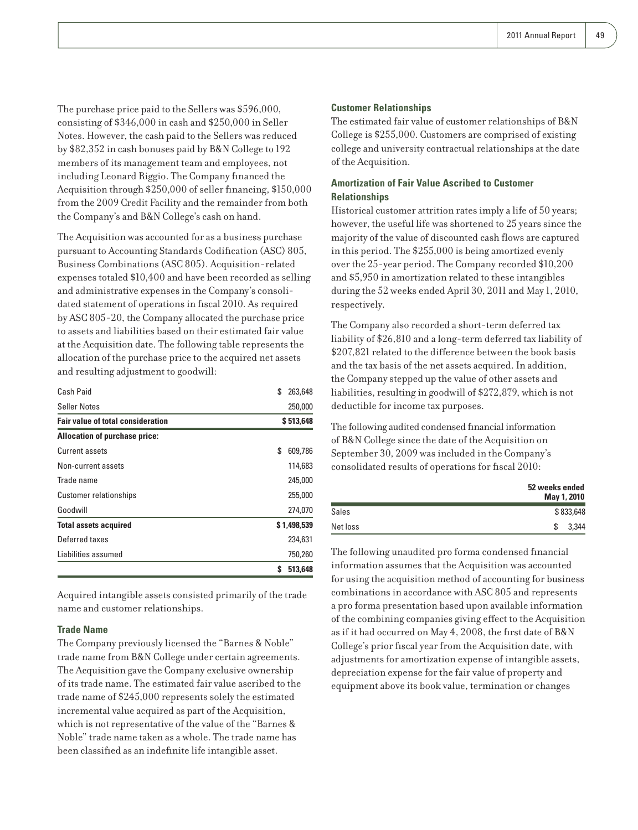The purchase price paid to the Sellers was \$596,000, consisting of \$346,000 in cash and \$250,000 in Seller Notes. However, the cash paid to the Sellers was reduced by \$82,352 in cash bonuses paid by B&N College to 192 members of its management team and employees, not including Leonard Riggio. The Company financed the Acquisition through  $$250,000$  of seller financing,  $$150,000$ from the 2009 Credit Facility and the remainder from both the Company's and B&N College's cash on hand.

The Acquisition was accounted for as a business purchase pursuant to Accounting Standards Codification (ASC) 805, Business Combinations (ASC 805). Acquisition-related expenses totaled \$10,400 and have been recorded as selling and administrative expenses in the Company's consolidated statement of operations in fiscal 2010. As required by ASC 805-20, the Company allocated the purchase price to assets and liabilities based on their estimated fair value at the Acquisition date. The following table represents the allocation of the purchase price to the acquired net assets and resulting adjustment to goodwill:

| Cash Paid                                | \$<br>263,648 |
|------------------------------------------|---------------|
| <b>Seller Notes</b>                      | 250,000       |
| <b>Fair value of total consideration</b> | \$513,648     |
| <b>Allocation of purchase price:</b>     |               |
| Current assets                           | S<br>609,786  |
| Non-current assets                       | 114,683       |
| Trade name                               | 245,000       |
| <b>Customer relationships</b>            | 255,000       |
| Goodwill                                 | 274,070       |
| <b>Total assets acquired</b>             | \$1,498,539   |
| Deferred taxes                           | 234,631       |
| Liabilities assumed                      | 750,260       |
|                                          | 513,648       |

Acquired intangible assets consisted primarily of the trade name and customer relationships.

#### **Trade Name**

The Company previously licensed the "Barnes & Noble" trade name from B&N College under certain agreements. The Acquisition gave the Company exclusive ownership of its trade name. The estimated fair value ascribed to the trade name of \$245,000 represents solely the estimated incremental value acquired as part of the Acquisition, which is not representative of the value of the "Barnes & Noble" trade name taken as a whole. The trade name has been classified as an indefinite life intangible asset.

### **Customer Relationships**

The estimated fair value of customer relationships of B&N College is \$255,000. Customers are comprised of existing college and university contractual relationships at the date of the Acquisition.

## **Amortization of Fair Value Ascribed to Customer Relationships**

Historical customer attrition rates imply a life of 50 years; however, the useful life was shortened to 25 years since the majority of the value of discounted cash flows are captured in this period. The \$255,000 is being amortized evenly over the 25-year period. The Company recorded \$10,200 and \$5,950 in amortization related to these intangibles during the 52 weeks ended April 30, 2011 and May 1, 2010, respectively.

The Company also recorded a short-term deferred tax liability of \$26,810 and a long-term deferred tax liability of \$207,821 related to the difference between the book basis and the tax basis of the net assets acquired. In addition, the Company stepped up the value of other assets and liabilities, resulting in goodwill of \$272,879, which is not deductible for income tax purposes.

The following audited condensed financial information of B&N College since the date of the Acquisition on September 30, 2009 was included in the Company's consolidated results of operations for fiscal 2010:

|              | 52 weeks ended<br>May 1, 2010 |
|--------------|-------------------------------|
| <b>Sales</b> | \$833,648                     |
| Net loss     | 3.344<br>S                    |

The following unaudited pro forma condensed financial information assumes that the Acquisition was accounted for using the acquisition method of accounting for business combinations in accordance with ASC 805 and represents a pro forma presentation based upon available information of the combining companies giving effect to the Acquisition as if it had occurred on May 4, 2008, the first date of B&N College's prior fiscal year from the Acquisition date, with adjustments for amortization expense of intangible assets, depreciation expense for the fair value of property and equipment above its book value, termination or changes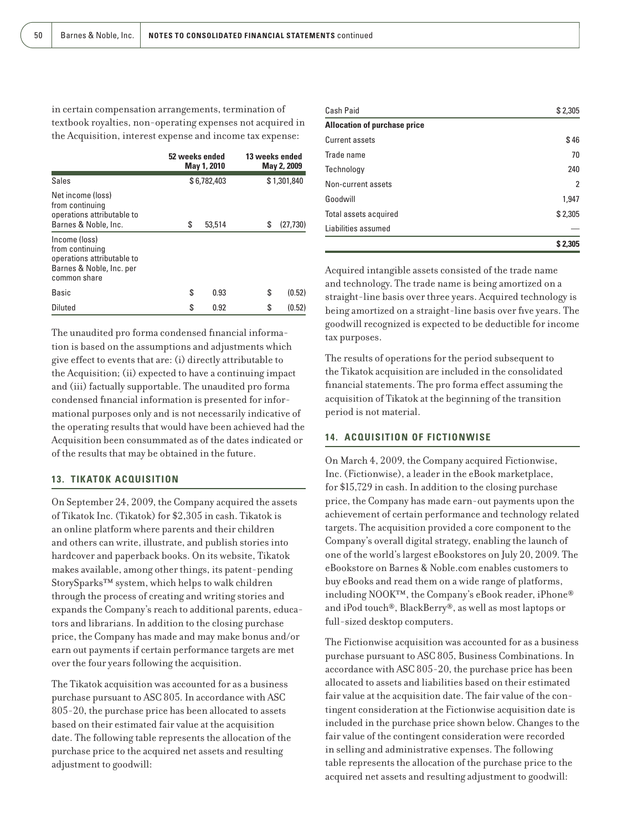in certain compensation arrangements, termination of textbook royalties, non-operating expenses not acquired in the Acquisition, interest expense and income tax expense:

|                                                                                                            | 52 weeks ended | May 1, 2010 | 13 weeks ended | May 2, 2009 |
|------------------------------------------------------------------------------------------------------------|----------------|-------------|----------------|-------------|
| Sales                                                                                                      |                | \$6,782,403 |                | \$1,301,840 |
| Net income (loss)<br>from continuing<br>operations attributable to<br>Barnes & Noble, Inc.                 | \$             | 53,514      | S              | (27.730)    |
| Income (loss)<br>from continuing<br>operations attributable to<br>Barnes & Noble, Inc. per<br>common share |                |             |                |             |
| Basic                                                                                                      | \$             | 0.93        | \$             | (0.52)      |
| Diluted                                                                                                    | \$             | 0.92        | \$             | (0.52)      |

The unaudited pro forma condensed financial information is based on the assumptions and adjustments which give effect to events that are: (i) directly attributable to the Acquisition; (ii) expected to have a continuing impact and (iii) factually supportable. The unaudited pro forma condensed financial information is presented for informational purposes only and is not necessarily indicative of the operating results that would have been achieved had the Acquisition been consummated as of the dates indicated or of the results that may be obtained in the future.

## **13. TIKATOK ACQUISITION**

On September 24, 2009, the Company acquired the assets of Tikatok Inc. (Tikatok) for \$2,305 in cash. Tikatok is an online platform where parents and their children and others can write, illustrate, and publish stories into hardcover and paperback books. On its website, Tikatok makes available, among other things, its patent-pending StorySparks™ system, which helps to walk children through the process of creating and writing stories and expands the Company's reach to additional parents, educators and librarians. In addition to the closing purchase price, the Company has made and may make bonus and/or earn out payments if certain performance targets are met over the four years following the acquisition.

The Tikatok acquisition was accounted for as a business purchase pursuant to ASC 805. In accordance with ASC 805-20, the purchase price has been allocated to assets based on their estimated fair value at the acquisition date. The following table represents the allocation of the purchase price to the acquired net assets and resulting adjustment to goodwill:

| Cash Paid                           | \$2,305 |
|-------------------------------------|---------|
| <b>Allocation of purchase price</b> |         |
| Current assets                      | \$46    |
| Trade name                          | 70      |
| Technology                          | 240     |
| Non-current assets                  | 2       |
| Goodwill                            | 1,947   |
| Total assets acquired               | \$2,305 |
| Liabilities assumed                 |         |
|                                     | \$2,305 |

Acquired intangible assets consisted of the trade name and technology. The trade name is being amortized on a straight-line basis over three years. Acquired technology is being amortized on a straight-line basis over five years. The goodwill recognized is expected to be deductible for income tax purposes.

The results of operations for the period subsequent to the Tikatok acquisition are included in the consolidated financial statements. The pro forma effect assuming the acquisition of Tikatok at the beginning of the transition period is not material.

## **14. ACQUISITION OF FICTIONWISE**

On March 4, 2009, the Company acquired Fictionwise, Inc. (Fictionwise), a leader in the eBook marketplace, for \$15,729 in cash. In addition to the closing purchase price, the Company has made earn-out payments upon the achievement of certain performance and technology related targets. The acquisition provided a core component to the Company's overall digital strategy, enabling the launch of one of the world's largest eBookstores on July 20, 2009. The eBookstore on Barnes & Noble.com enables customers to buy eBooks and read them on a wide range of platforms, including NOOK™, the Company's eBook reader, iPhone® and iPod touch®, BlackBerry®, as well as most laptops or full-sized desktop computers.

The Fictionwise acquisition was accounted for as a business purchase pursuant to ASC 805, Business Combinations. In accordance with ASC 805-20, the purchase price has been allocated to assets and liabilities based on their estimated fair value at the acquisition date. The fair value of the contingent consideration at the Fictionwise acquisition date is included in the purchase price shown below. Changes to the fair value of the contingent consideration were recorded in selling and administrative expenses. The following table represents the allocation of the purchase price to the acquired net assets and resulting adjustment to goodwill: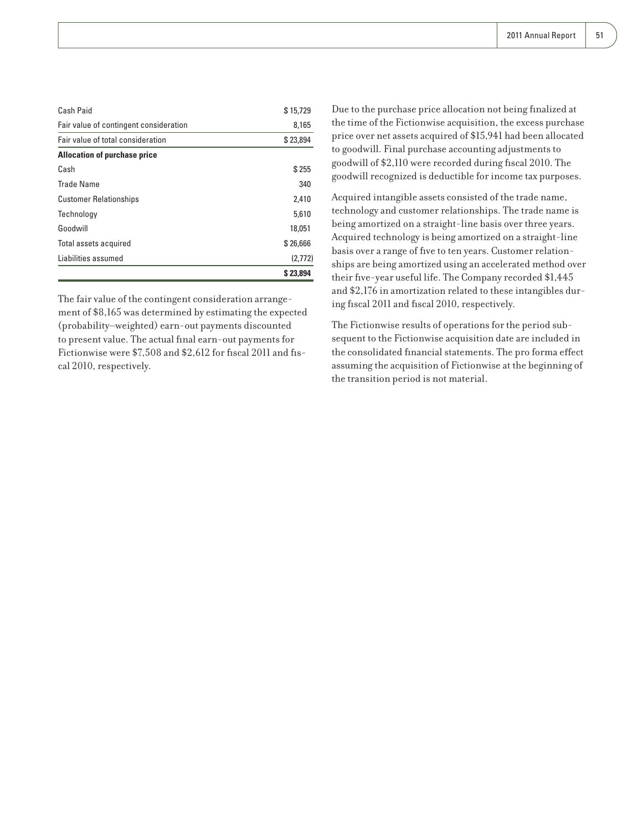|                                        | \$23,894 |
|----------------------------------------|----------|
| Liabilities assumed                    | (2,772)  |
| Total assets acquired                  | \$26,666 |
| Goodwill                               | 18,051   |
| Technology                             | 5,610    |
| <b>Customer Relationships</b>          | 2,410    |
| <b>Trade Name</b>                      | 340      |
| Cash                                   | \$255    |
| <b>Allocation of purchase price</b>    |          |
| Fair value of total consideration      | \$23,894 |
| Fair value of contingent consideration | 8,165    |
| Cash Paid                              | \$15,729 |

The fair value of the contingent consideration arrangement of \$8,165 was determined by estimating the expected (probability–weighted) earn-out payments discounted to present value. The actual final earn-out payments for Fictionwise were  $$7,508$  and  $$2,612$  for fiscal 2011 and fiscal 2010, respectively.

Due to the purchase price allocation not being finalized at the time of the Fictionwise acquisition, the excess purchase price over net assets acquired of \$15,941 had been allocated to goodwill. Final purchase accounting adjustments to goodwill of \$2,110 were recorded during fiscal 2010. The goodwill recognized is deductible for income tax purposes.

Acquired intangible assets consisted of the trade name, technology and customer relationships. The trade name is being amortized on a straight-line basis over three years. Acquired technology is being amortized on a straight-line basis over a range of five to ten years. Customer relationships are being amortized using an accelerated method over their five-year useful life. The Company recorded \$1,445 and \$2,176 in amortization related to these intangibles during fiscal 2011 and fiscal 2010, respectively.

The Fictionwise results of operations for the period subsequent to the Fictionwise acquisition date are included in the consolidated financial statements. The pro forma effect assuming the acquisition of Fictionwise at the beginning of the transition period is not material.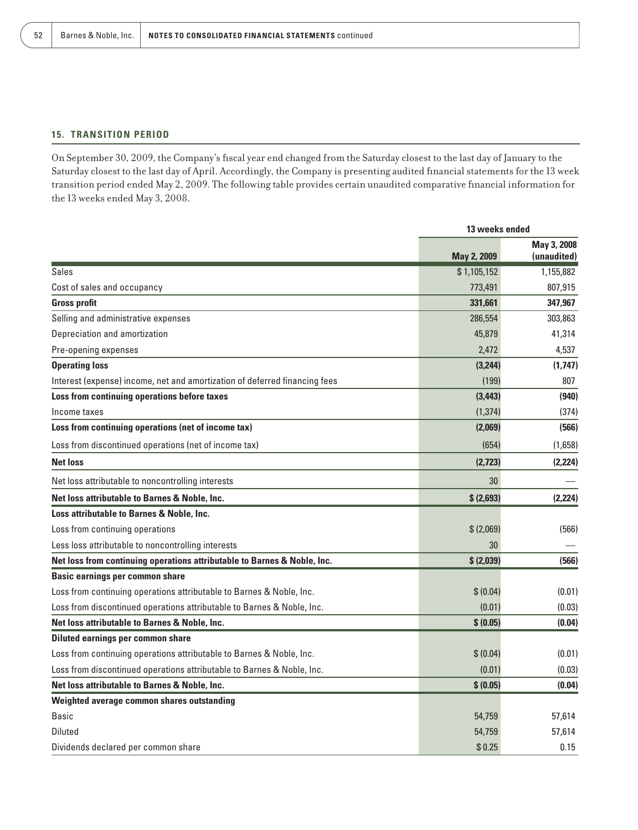## **15. TRANSITION PERIOD**

On September 30, 2009, the Company's fiscal year end changed from the Saturday closest to the last day of January to the Saturday closest to the last day of April. Accordingly, the Company is presenting audited financial statements for the 13 week transition period ended May 2, 2009. The following table provides certain unaudited comparative financial information for the 13 weeks ended May 3, 2008.

|                                                                            | 13 weeks ended |                            |
|----------------------------------------------------------------------------|----------------|----------------------------|
|                                                                            | May 2, 2009    | May 3, 2008<br>(unaudited) |
| Sales                                                                      | \$1,105,152    | 1,155,882                  |
| Cost of sales and occupancy                                                | 773,491        | 807,915                    |
| <b>Gross profit</b>                                                        | 331,661        | 347,967                    |
| Selling and administrative expenses                                        | 286,554        | 303,863                    |
| Depreciation and amortization                                              | 45,879         | 41,314                     |
| Pre-opening expenses                                                       | 2,472          | 4,537                      |
| <b>Operating loss</b>                                                      | (3,244)        | (1, 747)                   |
| Interest (expense) income, net and amortization of deferred financing fees | (199)          | 807                        |
| Loss from continuing operations before taxes                               | (3, 443)       | (940)                      |
| Income taxes                                                               | (1, 374)       | (374)                      |
| Loss from continuing operations (net of income tax)                        | (2,069)        | (566)                      |
| Loss from discontinued operations (net of income tax)                      | (654)          | (1,658)                    |
| <b>Net loss</b>                                                            | (2,723)        | (2,224)                    |
| Net loss attributable to noncontrolling interests                          | 30             |                            |
| Net loss attributable to Barnes & Noble, Inc.                              | \$ (2,693)     | (2,224)                    |
| Loss attributable to Barnes & Noble, Inc.                                  |                |                            |
| Loss from continuing operations                                            | \$ (2,069)     | (566)                      |
| Less loss attributable to noncontrolling interests                         | 30             |                            |
| Net loss from continuing operations attributable to Barnes & Noble, Inc.   | \$ (2,039)     | (566)                      |
| Basic earnings per common share                                            |                |                            |
| Loss from continuing operations attributable to Barnes & Noble, Inc.       | \$(0.04)       | (0.01)                     |
| Loss from discontinued operations attributable to Barnes & Noble, Inc.     | (0.01)         | (0.03)                     |
| Net loss attributable to Barnes & Noble, Inc.                              | \$ (0.05)      | (0.04)                     |
| <b>Diluted earnings per common share</b>                                   |                |                            |
| Loss from continuing operations attributable to Barnes & Noble, Inc.       | \$(0.04)       | (0.01)                     |
| Loss from discontinued operations attributable to Barnes & Noble, Inc.     | (0.01)         | (0.03)                     |
| Net loss attributable to Barnes & Noble, Inc.                              | \$ (0.05)      | (0.04)                     |
| Weighted average common shares outstanding                                 |                |                            |
| Basic                                                                      | 54,759         | 57,614                     |
| <b>Diluted</b>                                                             | 54,759         | 57,614                     |
| Dividends declared per common share                                        | \$0.25         | 0.15                       |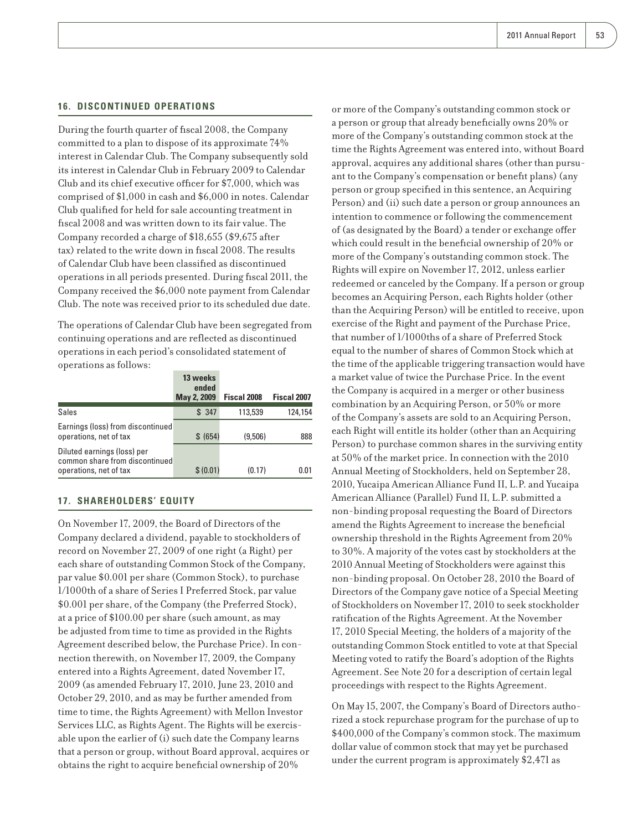## **16. DISCONTINUED OPERATIONS**

During the fourth quarter of fiscal 2008, the Company committed to a plan to dispose of its approximate 74% interest in Calendar Club. The Company subsequently sold its interest in Calendar Club in February 2009 to Calendar Club and its chief executive officer for  $$7,000$ , which was comprised of \$1,000 in cash and \$6,000 in notes. Calendar Club qualified for held for sale accounting treatment in fiscal 2008 and was written down to its fair value. The Company recorded a charge of \$18,655 (\$9,675 after tax) related to the write down in fiscal 2008. The results of Calendar Club have been classified as discontinued operations in all periods presented. During fiscal 2011, the Company received the \$6,000 note payment from Calendar Club. The note was received prior to its scheduled due date.

The operations of Calendar Club have been segregated from continuing operations and are reflected as discontinued operations in each period's consolidated statement of operations as follows:

|                                                                                         | 13 weeks<br>ended<br>May 2, 2009 | Fiscal 2008 | Fiscal 2007 |
|-----------------------------------------------------------------------------------------|----------------------------------|-------------|-------------|
| Sales                                                                                   | \$347                            | 113,539     | 124,154     |
| Earnings (loss) from discontinued<br>operations, net of tax                             | \$ (654)                         | (9,506)     | 888         |
| Diluted earnings (loss) per<br>common share from discontinued<br>operations, net of tax | \$(0.01)                         | (0.17)      | 0.01        |

#### **17. SHAREHOLDERS' EQUITY**

On November 17, 2009, the Board of Directors of the Company declared a dividend, payable to stockholders of record on November 27, 2009 of one right (a Right) per each share of outstanding Common Stock of the Company, par value \$0.001 per share (Common Stock), to purchase 1/1000th of a share of Series I Preferred Stock, par value \$0.001 per share, of the Company (the Preferred Stock), at a price of \$100.00 per share (such amount, as may be adjusted from time to time as provided in the Rights Agreement described below, the Purchase Price). In connection therewith, on November 17, 2009, the Company entered into a Rights Agreement, dated November 17, 2009 (as amended February 17, 2010, June 23, 2010 and October 29, 2010, and as may be further amended from time to time, the Rights Agreement) with Mellon Investor Services LLC, as Rights Agent. The Rights will be exercisable upon the earlier of (i) such date the Company learns that a person or group, without Board approval, acquires or obtains the right to acquire beneficial ownership of 20%

or more of the Company's outstanding common stock or a person or group that already beneficially owns 20% or more of the Company's outstanding common stock at the time the Rights Agreement was entered into, without Board approval, acquires any additional shares (other than pursuant to the Company's compensation or benefit plans) (any person or group specified in this sentence, an Acquiring Person) and (ii) such date a person or group announces an intention to commence or following the commencement of (as designated by the Board) a tender or exchange offer which could result in the beneficial ownership of  $20\%$  or more of the Company's outstanding common stock. The Rights will expire on November 17, 2012, unless earlier redeemed or canceled by the Company. If a person or group becomes an Acquiring Person, each Rights holder (other than the Acquiring Person) will be entitled to receive, upon exercise of the Right and payment of the Purchase Price, that number of 1/1000ths of a share of Preferred Stock equal to the number of shares of Common Stock which at the time of the applicable triggering transaction would have a market value of twice the Purchase Price. In the event the Company is acquired in a merger or other business combination by an Acquiring Person, or 50% or more of the Company's assets are sold to an Acquiring Person, each Right will entitle its holder (other than an Acquiring Person) to purchase common shares in the surviving entity at 50% of the market price. In connection with the 2010 Annual Meeting of Stockholders, held on September 28, 2010, Yucaipa American Alliance Fund II, L.P. and Yucaipa American Alliance (Parallel) Fund II, L.P. submitted a non-binding proposal requesting the Board of Directors amend the Rights Agreement to increase the beneficial ownership threshold in the Rights Agreement from 20% to 30%. A majority of the votes cast by stockholders at the 2010 Annual Meeting of Stockholders were against this non-binding proposal. On October 28, 2010 the Board of Directors of the Company gave notice of a Special Meeting of Stockholders on November 17, 2010 to seek stockholder ratification of the Rights Agreement. At the November 17, 2010 Special Meeting, the holders of a majority of the outstanding Common Stock entitled to vote at that Special Meeting voted to ratify the Board's adoption of the Rights Agreement. See Note 20 for a description of certain legal proceedings with respect to the Rights Agreement.

On May 15, 2007, the Company's Board of Directors authorized a stock repurchase program for the purchase of up to \$400,000 of the Company's common stock. The maximum dollar value of common stock that may yet be purchased under the current program is approximately \$2,471 as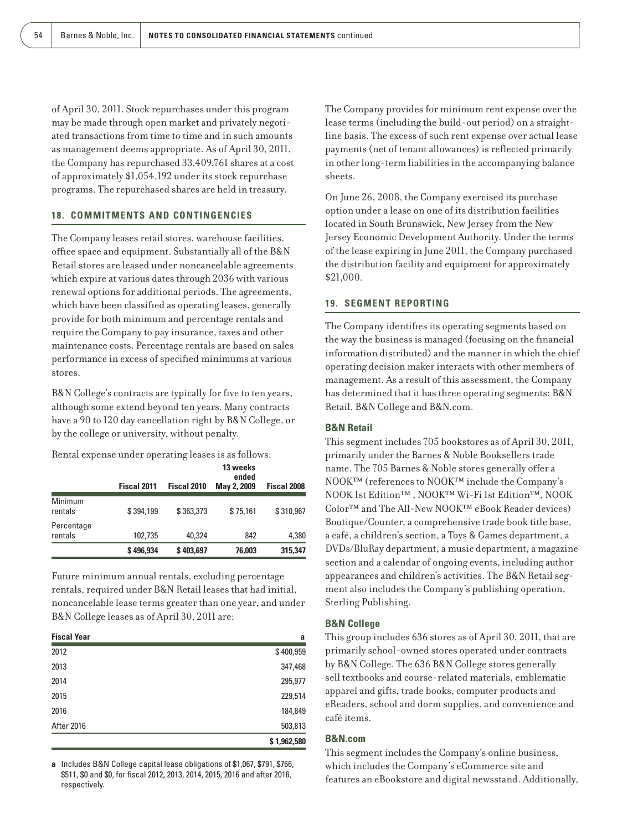of April 30, 2011. Stock repurchases under this program may be made through open market and privately negotiated transactions from time to time and in such amounts as management deems appropriate. As of April 30, 2011, the Company has repurchased 33,409,761 shares at a cost of approximately \$1,054,192 under its stock repurchase programs. The repurchased shares are held in treasury.

## **18. COMMITMENTS AND CONTINGENCIES**

The Company leases retail stores, warehouse facilities, office space and equipment. Substantially all of the B&N Retail stores are leased under noncancelable agreements which expire at various dates through 2036 with various renewal options for additional periods. The agreements, which have been classified as operating leases, generally provide for both minimum and percentage rentals and require the Company to pay insurance, taxes and other maintenance costs. Percentage rentals are based on sales performance in excess of specified minimums at various stores.

B&N College's contracts are typically for five to ten years, although some extend beyond ten years. Many contracts have a 90 to 120 day cancellation right by B&N College, or by the college or university, without penalty.

Rental expense under operating leases is as follows:

|                       | Fiscal 2011 | Fiscal 2010 | 13 weeks<br>ended<br>May 2, 2009 | Fiscal 2008 |
|-----------------------|-------------|-------------|----------------------------------|-------------|
| Minimum<br>rentals    | \$394,199   | \$363.373   | \$75.161                         | \$310,967   |
| Percentage<br>rentals | 102,735     | 40,324      | 842                              | 4.380       |
|                       | \$496.934   | \$403.697   | 76,003                           | 315,347     |

Future minimum annual rentals, excluding percentage rentals, required under B&N Retail leases that had initial, noncancelable lease terms greater than one year, and under B&N College leases as of April 30, 2011 are:

| <b>Fiscal Year</b> | a           |
|--------------------|-------------|
| 2012               | \$400,959   |
| 2013               | 347,468     |
| 2014               | 295,977     |
| 2015               | 229,514     |
| 2016               | 184,849     |
| <b>After 2016</b>  | 503,813     |
|                    | \$1,962,580 |

**a** Includes B&N College capital lease obligations of \$1,067, \$791, \$766, \$511, \$0 and \$0, for fiscal 2012, 2013, 2014, 2015, 2016 and after 2016, respectively.

The Company provides for minimum rent expense over the lease terms (including the build-out period) on a straightline basis. The excess of such rent expense over actual lease payments (net of tenant allowances) is reflected primarily in other long-term liabilities in the accompanying balance sheets.

On June 26, 2008, the Company exercised its purchase option under a lease on one of its distribution facilities located in South Brunswick, New Jersey from the New Jersey Economic Development Authority. Under the terms of the lease expiring in June 2011, the Company purchased the distribution facility and equipment for approximately \$21,000.

## **19. SEGMENT REPORTING**

The Company identifies its operating segments based on the way the business is managed (focusing on the financial information distributed) and the manner in which the chief operating decision maker interacts with other members of management. As a result of this assessment, the Company has determined that it has three operating segments: B&N Retail, B&N College and B&N.com.

## **B&N Retail**

This segment includes 705 bookstores as of April 30, 2011, primarily under the Barnes & Noble Booksellers trade name. The 705 Barnes & Noble stores generally offer a NOOK™ (references to NOOK™ include the Company's NOOK 1st Edition™ , NOOK™ Wi-Fi 1st Edition™, NOOK Color™ and The All-New NOOK™ eBook Reader devices) Boutique/Counter, a comprehensive trade book title base, a café, a children's section, a Toys & Games department, a DVDs/BluRay department, a music department, a magazine section and a calendar of ongoing events, including author appearances and children's activities. The B&N Retail segment also includes the Company's publishing operation, Sterling Publishing.

#### **B&N College**

This group includes 636 stores as of April 30, 2011, that are primarily school-owned stores operated under contracts by B&N College. The 636 B&N College stores generally sell textbooks and course-related materials, emblematic apparel and gifts, trade books, computer products and eReaders, school and dorm supplies, and convenience and café items.

## **B&N.com**

This segment includes the Company's online business, which includes the Company's eCommerce site and features an eBookstore and digital newsstand. Additionally,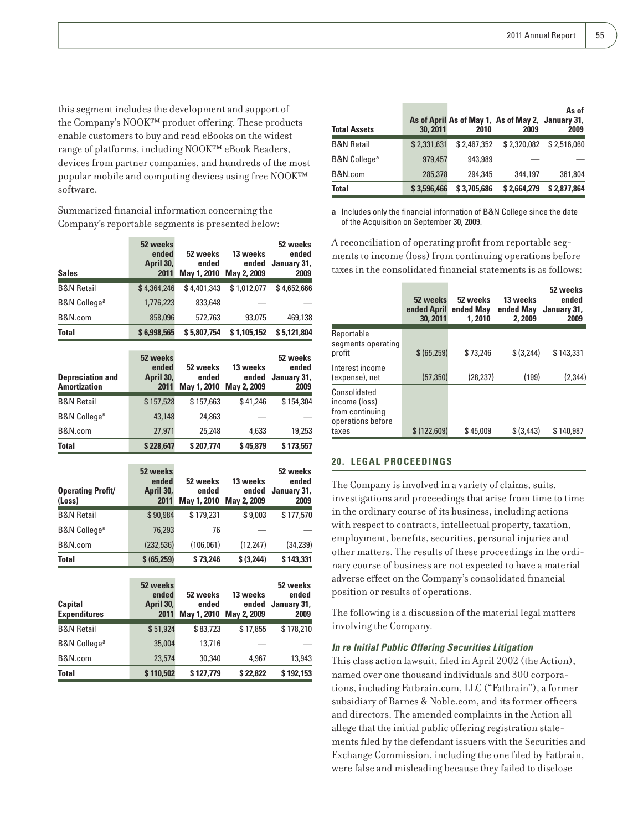this segment includes the development and support of the Company's NOOK™ product offering. These products enable customers to buy and read eBooks on the widest range of platforms, including NOOK™ eBook Readers, devices from partner companies, and hundreds of the most popular mobile and computing devices using free NOOK™ software.

Summarized financial information concerning the Company's reportable segments is presented below:

| <b>Sales</b>                                   | 52 weeks<br>ended<br>April 30,<br>2011 | 52 weeks<br>ended<br>May 1, 2010 | 13 weeks<br>ended<br>May 2, 2009 | 52 weeks<br>ended<br>January 31,<br>2009 |
|------------------------------------------------|----------------------------------------|----------------------------------|----------------------------------|------------------------------------------|
| <b>B&amp;N Retail</b>                          | \$4,364,246                            | \$4,401,343                      | \$1.012.077                      | \$4,652,666                              |
| <b>B&amp;N College<sup>a</sup></b>             | 1,776,223                              | 833.648                          |                                  |                                          |
| B&N.com                                        | 858,096                                | 572.763                          | 93.075                           | 469,138                                  |
| <b>Total</b>                                   | \$6,998,565                            | \$5,807.754                      | \$1.105.152                      | \$5.121.804                              |
| <b>Depreciation and</b><br><b>Amortization</b> | 52 weeks<br>ended<br>April 30,<br>2011 | 52 weeks<br>ended<br>May 1, 2010 | 13 weeks<br>ended<br>May 2, 2009 | 52 weeks<br>ended<br>January 31,<br>2009 |
| <b>B&amp;N Retail</b>                          | \$157.528                              | \$157.663                        | \$41.246                         | \$154.304                                |

| Total        | \$228,647 | \$207.774           | \$45,879 | \$173,557       |
|--------------|-----------|---------------------|----------|-----------------|
| B&N.com      | 27.971    | 25,248              | 4.633    | 19,253          |
| B&N Collegeª | 43.148    | 24,863              |          |                 |
| DOIN NEIGH   | 0.137,020 | <b>JUU.</b> 137.000 | 41,240 ق | <b>DIJ4,004</b> |

| <b>Operating Profit/</b><br>(Loss)    | 52 weeks<br>ended<br>April 30,<br>2011 | 52 weeks<br>ended<br>May 1, 2010 | 13 weeks<br>ended<br>May 2, 2009 | 52 weeks<br>ended<br>January 31,<br>2009 |
|---------------------------------------|----------------------------------------|----------------------------------|----------------------------------|------------------------------------------|
| <b>B&amp;N Retail</b>                 | \$90,984                               | \$179,231                        | \$9,003                          | \$177,570                                |
| <b>B&amp;N College<sup>a</sup></b>    | 76,293                                 | 76                               |                                  |                                          |
| B&N.com                               | (232, 536)                             | (106, 061)                       | (12, 247)                        | (34, 239)                                |
| <b>Total</b>                          | \$ (65,259)                            | \$73,246                         | \$ (3,244)                       | \$143,331                                |
| <b>Capital</b><br><b>Expenditures</b> | 52 weeks<br>ended<br>April 30,<br>2011 | 52 weeks<br>ended<br>May 1, 2010 | 13 weeks<br>ended<br>May 2, 2009 | 52 weeks<br>ended<br>January 31,<br>2009 |
| <b>B&amp;N Retail</b>                 | \$51,924                               | \$83,723                         | \$17,855                         | \$178,210                                |
| <b>B&amp;N College<sup>a</sup></b>    | 35,004                                 | 13,716                           |                                  |                                          |
|                                       |                                        |                                  |                                  |                                          |
| B&N.com                               | 23,574                                 | 30,340                           | 4,967                            | 13,943                                   |

| <b>Total Assets</b>                | 30, 2011    | 2010        | As of April As of May 1, As of May 2, January 31,<br>2009 | As of<br>2009 |
|------------------------------------|-------------|-------------|-----------------------------------------------------------|---------------|
| <b>B&amp;N Retail</b>              | \$2,331,631 | \$2,467,352 | \$2,320,082                                               | \$2,516,060   |
| <b>B&amp;N College<sup>a</sup></b> | 979.457     | 943.989     |                                                           |               |
| B&N.com                            | 285,378     | 294.345     | 344,197                                                   | 361.804       |
| <b>Total</b>                       | \$3,596,466 | \$3,705,686 | \$2,664,279                                               | \$2,877,864   |

**a** Includes only the financial information of B&N College since the date of the Acquisition on September 30, 2009.

A reconciliation of operating profit from reportable segments to income (loss) from continuing operations before taxes in the consolidated financial statements is as follows:

|                                                                                | 52 weeks<br>ended April<br>30, 2011 | 52 weeks<br>ended May<br>1.2010 | 13 weeks<br>ended May<br>2, 2009 | 52 weeks<br>ended<br>January 31,<br>2009 |
|--------------------------------------------------------------------------------|-------------------------------------|---------------------------------|----------------------------------|------------------------------------------|
| Reportable<br>segments operating<br>profit                                     | \$ (65, 259)                        | \$73.246                        | \$ (3.244)                       | \$143,331                                |
| Interest income<br>(expense), net                                              | (57, 350)                           | (28.237)                        | (199)                            | (2,344)                                  |
| Consolidated<br>income (loss)<br>from continuing<br>operations before<br>taxes | \$(122.609)                         | \$45,009                        | \$ (3, 443)                      | \$140.987                                |

## **20. LEGAL PROCEEDINGS**

The Company is involved in a variety of claims, suits, investigations and proceedings that arise from time to time in the ordinary course of its business, including actions with respect to contracts, intellectual property, taxation, employment, benefits, securities, personal injuries and other matters. The results of these proceedings in the ordinary course of business are not expected to have a material adverse effect on the Company's consolidated financial position or results of operations.

The following is a discussion of the material legal matters involving the Company.

## *In re Initial Public Offering Securities Litigation*

This class action lawsuit, filed in April 2002 (the Action), named over one thousand individuals and 300 corporations, including Fatbrain.com, LLC ("Fatbrain"), a former subsidiary of Barnes & Noble.com, and its former officers and directors. The amended complaints in the Action all allege that the initial public offering registration statements filed by the defendant issuers with the Securities and Exchange Commission, including the one filed by Fatbrain, were false and misleading because they failed to disclose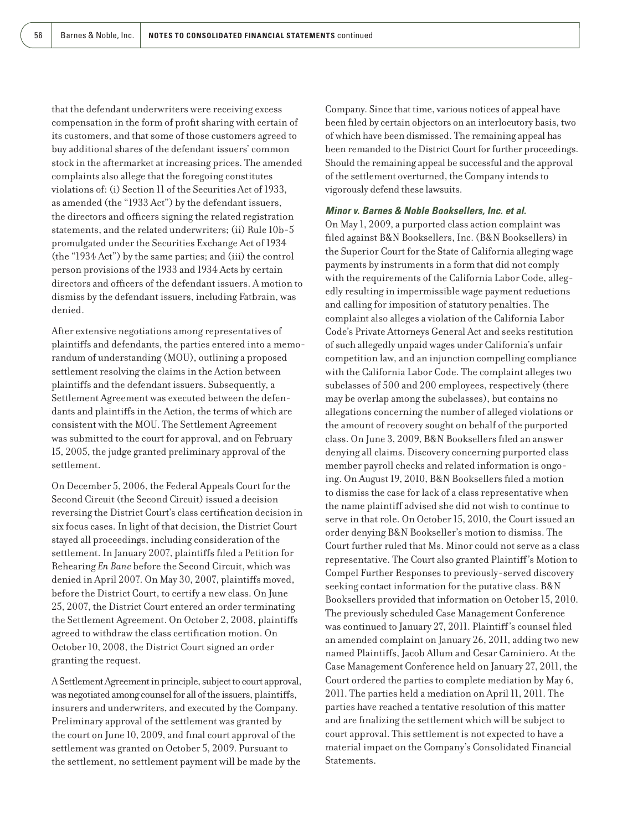that the defendant underwriters were receiving excess compensation in the form of profit sharing with certain of its customers, and that some of those customers agreed to buy additional shares of the defendant issuers' common stock in the aftermarket at increasing prices. The amended complaints also allege that the foregoing constitutes violations of: (i) Section 11 of the Securities Act of 1933, as amended (the "1933 Act") by the defendant issuers, the directors and officers signing the related registration statements, and the related underwriters; (ii) Rule 10b-5 promulgated under the Securities Exchange Act of 1934 (the "1934 Act") by the same parties; and (iii) the control person provisions of the 1933 and 1934 Acts by certain directors and officers of the defendant issuers. A motion to dismiss by the defendant issuers, including Fatbrain, was denied.

After extensive negotiations among representatives of plaintiffs and defendants, the parties entered into a memorandum of understanding (MOU), outlining a proposed settlement resolving the claims in the Action between plaintiffs and the defendant issuers. Subsequently, a Settlement Agreement was executed between the defendants and plaintiffs in the Action, the terms of which are consistent with the MOU. The Settlement Agreement was submitted to the court for approval, and on February 15, 2005, the judge granted preliminary approval of the settlement.

On December 5, 2006, the Federal Appeals Court for the Second Circuit (the Second Circuit) issued a decision reversing the District Court's class certification decision in six focus cases. In light of that decision, the District Court stayed all proceedings, including consideration of the settlement. In January 2007, plaintiffs filed a Petition for Rehearing *En Banc* before the Second Circuit, which was denied in April 2007. On May 30, 2007, plaintiffs moved, before the District Court, to certify a new class. On June 25, 2007, the District Court entered an order terminating the Settlement Agreement. On October 2, 2008, plaintiffs agreed to withdraw the class certification motion. On October 10, 2008, the District Court signed an order granting the request.

A Settlement Agreement in principle, subject to court approval, was negotiated among counsel for all of the issuers, plaintiffs, insurers and underwriters, and executed by the Company. Preliminary approval of the settlement was granted by the court on June 10, 2009, and final court approval of the settlement was granted on October 5, 2009. Pursuant to the settlement, no settlement payment will be made by the

Company. Since that time, various notices of appeal have been filed by certain objectors on an interlocutory basis, two of which have been dismissed. The remaining appeal has been remanded to the District Court for further proceedings. Should the remaining appeal be successful and the approval of the settlement overturned, the Company intends to vigorously defend these lawsuits.

#### *Minor v. Barnes & Noble Booksellers, Inc. et al.*

On May 1, 2009, a purported class action complaint was filed against B&N Booksellers, Inc. (B&N Booksellers) in the Superior Court for the State of California alleging wage payments by instruments in a form that did not comply with the requirements of the California Labor Code, allegedly resulting in impermissible wage payment reductions and calling for imposition of statutory penalties. The complaint also alleges a violation of the California Labor Code's Private Attorneys General Act and seeks restitution of such allegedly unpaid wages under California's unfair competition law, and an injunction compelling compliance with the California Labor Code. The complaint alleges two subclasses of 500 and 200 employees, respectively (there may be overlap among the subclasses), but contains no allegations concerning the number of alleged violations or the amount of recovery sought on behalf of the purported class. On June 3, 2009, B&N Booksellers filed an answer denying all claims. Discovery concerning purported class member payroll checks and related information is ongoing. On August 19, 2010, B&N Booksellers filed a motion to dismiss the case for lack of a class representative when the name plaintiff advised she did not wish to continue to serve in that role. On October 15, 2010, the Court issued an order denying B&N Bookseller's motion to dismiss. The Court further ruled that Ms. Minor could not serve as a class representative. The Court also granted Plaintiff 's Motion to Compel Further Responses to previously-served discovery seeking contact information for the putative class. B&N Booksellers provided that information on October 15, 2010. The previously scheduled Case Management Conference was continued to January 27, 2011. Plaintiff's counsel filed an amended complaint on January 26, 2011, adding two new named Plaintiffs, Jacob Allum and Cesar Caminiero. At the Case Management Conference held on January 27, 2011, the Court ordered the parties to complete mediation by May 6, 2011. The parties held a mediation on April 11, 2011. The parties have reached a tentative resolution of this matter and are finalizing the settlement which will be subject to court approval. This settlement is not expected to have a material impact on the Company's Consolidated Financial Statements.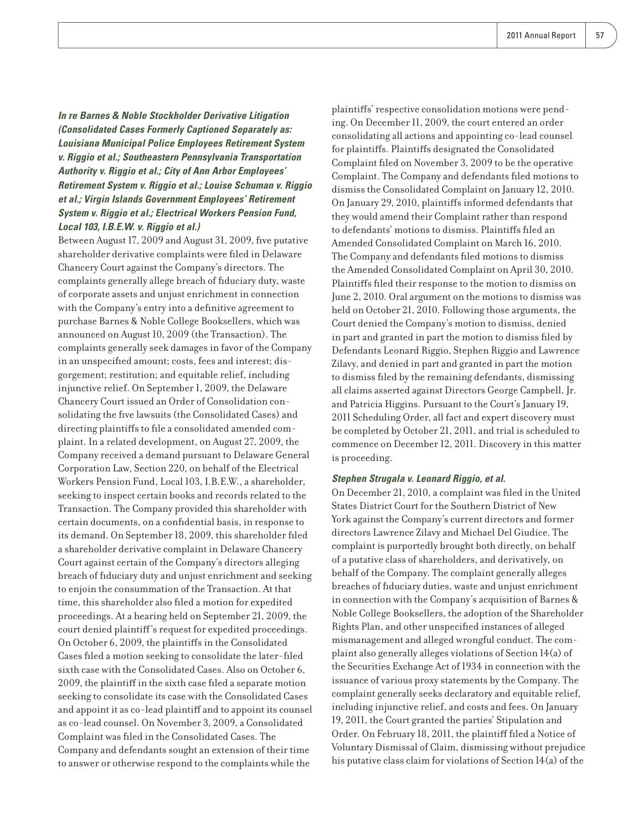*In re Barnes & Noble Stockholder Derivative Litigation (Consolidated Cases Formerly Captioned Separately as: Louisiana Municipal Police Employees Retirement System v. Riggio et al.; Southeastern Pennsylvania Transportation Authority v. Riggio et al.; City of Ann Arbor Employees' Retirement System v. Riggio et al.; Louise Schuman v. Riggio et al.; Virgin Islands Government Employees' Retirement System v. Riggio et al.; Electrical Workers Pension Fund, Local 103, I.B.E.W. v. Riggio et al.)*

Between August 17, 2009 and August 31, 2009, five putative shareholder derivative complaints were filed in Delaware Chancery Court against the Company's directors. The complaints generally allege breach of fiduciary duty, waste of corporate assets and unjust enrichment in connection with the Company's entry into a definitive agreement to purchase Barnes & Noble College Booksellers, which was announced on August 10, 2009 (the Transaction). The complaints generally seek damages in favor of the Company in an unspecified amount; costs, fees and interest; disgorgement; restitution; and equitable relief, including injunctive relief. On September 1, 2009, the Delaware Chancery Court issued an Order of Consolidation consolidating the five lawsuits (the Consolidated Cases) and directing plaintiffs to file a consolidated amended complaint. In a related development, on August 27, 2009, the Company received a demand pursuant to Delaware General Corporation Law, Section 220, on behalf of the Electrical Workers Pension Fund, Local 103, I.B.E.W., a shareholder, seeking to inspect certain books and records related to the Transaction. The Company provided this shareholder with certain documents, on a confidential basis, in response to its demand. On September 18, 2009, this shareholder filed a shareholder derivative complaint in Delaware Chancery Court against certain of the Company's directors alleging breach of fiduciary duty and unjust enrichment and seeking to enjoin the consummation of the Transaction. At that time, this shareholder also filed a motion for expedited proceedings. At a hearing held on September 21, 2009, the court denied plaintiff 's request for expedited proceedings. On October 6, 2009, the plaintiffs in the Consolidated Cases filed a motion seeking to consolidate the later-filed sixth case with the Consolidated Cases. Also on October 6, 2009, the plaintiff in the sixth case filed a separate motion seeking to consolidate its case with the Consolidated Cases and appoint it as co-lead plaintiff and to appoint its counsel as co-lead counsel. On November 3, 2009, a Consolidated Complaint was filed in the Consolidated Cases. The Company and defendants sought an extension of their time to answer or otherwise respond to the complaints while the

plaintiffs' respective consolidation motions were pending. On December 11, 2009, the court entered an order consolidating all actions and appointing co-lead counsel for plaintiffs. Plaintiffs designated the Consolidated Complaint filed on November 3, 2009 to be the operative Complaint. The Company and defendants filed motions to dismiss the Consolidated Complaint on January 12, 2010. On January 29, 2010, plaintiffs informed defendants that they would amend their Complaint rather than respond to defendants' motions to dismiss. Plaintiffs filed an Amended Consolidated Complaint on March 16, 2010. The Company and defendants filed motions to dismiss the Amended Consolidated Complaint on April 30, 2010. Plaintiffs filed their response to the motion to dismiss on June 2, 2010. Oral argument on the motions to dismiss was held on October 21, 2010. Following those arguments, the Court denied the Company's motion to dismiss, denied in part and granted in part the motion to dismiss filed by Defendants Leonard Riggio, Stephen Riggio and Lawrence Zilavy, and denied in part and granted in part the motion to dismiss filed by the remaining defendants, dismissing all claims asserted against Directors George Campbell, Jr. and Patricia Higgins. Pursuant to the Court's January 19, 2011 Scheduling Order, all fact and expert discovery must be completed by October 21, 2011, and trial is scheduled to commence on December 12, 2011. Discovery in this matter is proceeding.

#### *Stephen Strugala v. Leonard Riggio, et al.*

On December 21, 2010, a complaint was filed in the United States District Court for the Southern District of New York against the Company's current directors and former directors Lawrence Zilavy and Michael Del Giudice. The complaint is purportedly brought both directly, on behalf of a putative class of shareholders, and derivatively, on behalf of the Company. The complaint generally alleges breaches of fiduciary duties, waste and unjust enrichment in connection with the Company's acquisition of Barnes & Noble College Booksellers, the adoption of the Shareholder Rights Plan, and other unspecified instances of alleged mismanagement and alleged wrongful conduct. The complaint also generally alleges violations of Section 14(a) of the Securities Exchange Act of 1934 in connection with the issuance of various proxy statements by the Company. The complaint generally seeks declaratory and equitable relief, including injunctive relief, and costs and fees. On January 19, 2011, the Court granted the parties' Stipulation and Order. On February 18, 2011, the plaintiff filed a Notice of Voluntary Dismissal of Claim, dismissing without prejudice his putative class claim for violations of Section 14(a) of the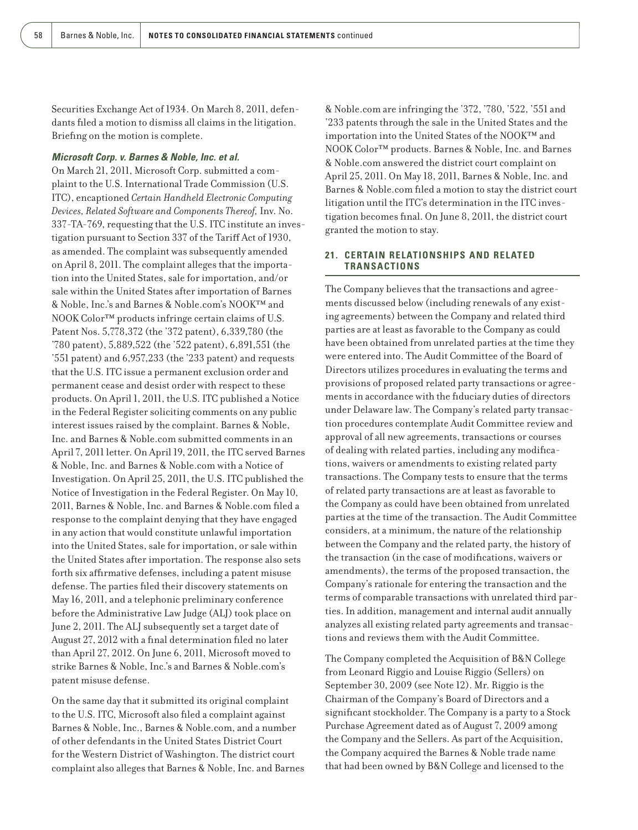Securities Exchange Act of 1934. On March 8, 2011, defendants filed a motion to dismiss all claims in the litigation. Briefing on the motion is complete.

## *Microsoft Corp. v. Barnes & Noble, Inc. et al.*

On March 21, 2011, Microsoft Corp. submitted a complaint to the U.S. International Trade Commission (U.S. ITC), encaptioned *Certain Handheld Electronic Computing Devices, Related Software and Components Thereof,* Inv. No. 337-TA-769, requesting that the U.S. ITC institute an investigation pursuant to Section 337 of the Tariff Act of 1930, as amended. The complaint was subsequently amended on April 8, 2011. The complaint alleges that the importation into the United States, sale for importation, and/or sale within the United States after importation of Barnes & Noble, Inc.'s and Barnes & Noble.com's NOOK™ and NOOK Color™ products infringe certain claims of U.S. Patent Nos. 5,778,372 (the '372 patent), 6,339,780 (the '780 patent), 5,889,522 (the '522 patent), 6,891,551 (the '551 patent) and 6,957,233 (the '233 patent) and requests that the U.S. ITC issue a permanent exclusion order and permanent cease and desist order with respect to these products. On April 1, 2011, the U.S. ITC published a Notice in the Federal Register soliciting comments on any public interest issues raised by the complaint. Barnes & Noble, Inc. and Barnes & Noble.com submitted comments in an April 7, 2011 letter. On April 19, 2011, the ITC served Barnes & Noble, Inc. and Barnes & Noble.com with a Notice of Investigation. On April 25, 2011, the U.S. ITC published the Notice of Investigation in the Federal Register. On May 10, 2011, Barnes & Noble, Inc. and Barnes & Noble.com filed a response to the complaint denying that they have engaged in any action that would constitute unlawful importation into the United States, sale for importation, or sale within the United States after importation. The response also sets forth six affirmative defenses, including a patent misuse defense. The parties filed their discovery statements on May 16, 2011, and a telephonic preliminary conference before the Administrative Law Judge (ALJ) took place on June 2, 2011. The ALJ subsequently set a target date of August 27, 2012 with a final determination filed no later than April 27, 2012. On June 6, 2011, Microsoft moved to strike Barnes & Noble, Inc.'s and Barnes & Noble.com's patent misuse defense.

On the same day that it submitted its original complaint to the U.S. ITC, Microsoft also filed a complaint against Barnes & Noble, Inc., Barnes & Noble.com, and a number of other defendants in the United States District Court for the Western District of Washington. The district court complaint also alleges that Barnes & Noble, Inc. and Barnes & Noble.com are infringing the '372, '780, '522, '551 and '233 patents through the sale in the United States and the importation into the United States of the NOOK™ and NOOK Color™ products. Barnes & Noble, Inc. and Barnes & Noble.com answered the district court complaint on April 25, 2011. On May 18, 2011, Barnes & Noble, Inc. and Barnes & Noble.com filed a motion to stay the district court litigation until the ITC's determination in the ITC investigation becomes final. On June 8, 2011, the district court granted the motion to stay.

### **21. CERTAIN RELATIONSHIPS AND RELATED TRANSACTIONS**

The Company believes that the transactions and agreements discussed below (including renewals of any existing agreements) between the Company and related third parties are at least as favorable to the Company as could have been obtained from unrelated parties at the time they were entered into. The Audit Committee of the Board of Directors utilizes procedures in evaluating the terms and provisions of proposed related party transactions or agreements in accordance with the fiduciary duties of directors under Delaware law. The Company's related party transaction procedures contemplate Audit Committee review and approval of all new agreements, transactions or courses of dealing with related parties, including any modifications, waivers or amendments to existing related party transactions. The Company tests to ensure that the terms of related party transactions are at least as favorable to the Company as could have been obtained from unrelated parties at the time of the transaction. The Audit Committee considers, at a minimum, the nature of the relationship between the Company and the related party, the history of the transaction (in the case of modifications, waivers or amendments), the terms of the proposed transaction, the Company's rationale for entering the transaction and the terms of comparable transactions with unrelated third parties. In addition, management and internal audit annually analyzes all existing related party agreements and transactions and reviews them with the Audit Committee.

The Company completed the Acquisition of B&N College from Leonard Riggio and Louise Riggio (Sellers) on September 30, 2009 (see Note 12). Mr. Riggio is the Chairman of the Company's Board of Directors and a significant stockholder. The Company is a party to a Stock Purchase Agreement dated as of August 7, 2009 among the Company and the Sellers. As part of the Acquisition, the Company acquired the Barnes & Noble trade name that had been owned by B&N College and licensed to the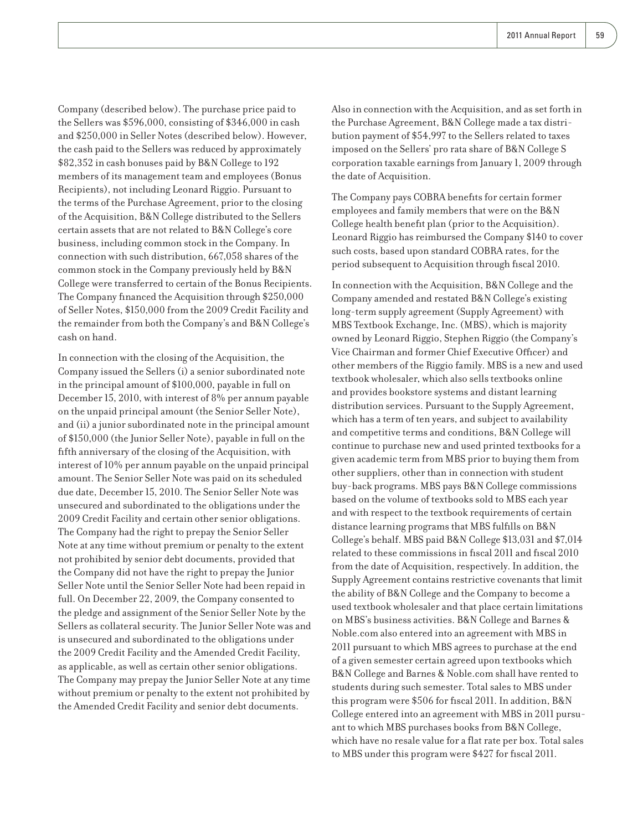Company (described below). The purchase price paid to the Sellers was \$596,000, consisting of \$346,000 in cash and \$250,000 in Seller Notes (described below). However, the cash paid to the Sellers was reduced by approximately \$82,352 in cash bonuses paid by B&N College to 192 members of its management team and employees (Bonus Recipients), not including Leonard Riggio. Pursuant to the terms of the Purchase Agreement, prior to the closing of the Acquisition, B&N College distributed to the Sellers certain assets that are not related to B&N College's core business, including common stock in the Company. In connection with such distribution, 667,058 shares of the common stock in the Company previously held by B&N College were transferred to certain of the Bonus Recipients. The Company financed the Acquisition through \$250,000 of Seller Notes, \$150,000 from the 2009 Credit Facility and the remainder from both the Company's and B&N College's cash on hand.

In connection with the closing of the Acquisition, the Company issued the Sellers (i) a senior subordinated note in the principal amount of \$100,000, payable in full on December 15, 2010, with interest of 8% per annum payable on the unpaid principal amount (the Senior Seller Note), and (ii) a junior subordinated note in the principal amount of \$150,000 (the Junior Seller Note), payable in full on the fifth anniversary of the closing of the Acquisition, with interest of 10% per annum payable on the unpaid principal amount. The Senior Seller Note was paid on its scheduled due date, December 15, 2010. The Senior Seller Note was unsecured and subordinated to the obligations under the 2009 Credit Facility and certain other senior obligations. The Company had the right to prepay the Senior Seller Note at any time without premium or penalty to the extent not prohibited by senior debt documents, provided that the Company did not have the right to prepay the Junior Seller Note until the Senior Seller Note had been repaid in full. On December 22, 2009, the Company consented to the pledge and assignment of the Senior Seller Note by the Sellers as collateral security. The Junior Seller Note was and is unsecured and subordinated to the obligations under the 2009 Credit Facility and the Amended Credit Facility, as applicable, as well as certain other senior obligations. The Company may prepay the Junior Seller Note at any time without premium or penalty to the extent not prohibited by the Amended Credit Facility and senior debt documents.

Also in connection with the Acquisition, and as set forth in the Purchase Agreement, B&N College made a tax distribution payment of \$54,997 to the Sellers related to taxes imposed on the Sellers' pro rata share of B&N College S corporation taxable earnings from January 1, 2009 through the date of Acquisition.

The Company pays COBRA benefits for certain former employees and family members that were on the B&N College health benefit plan (prior to the Acquisition). Leonard Riggio has reimbursed the Company \$140 to cover such costs, based upon standard COBRA rates, for the period subsequent to Acquisition through fiscal 2010.

In connection with the Acquisition, B&N College and the Company amended and restated B&N College's existing long-term supply agreement (Supply Agreement) with MBS Textbook Exchange, Inc. (MBS), which is majority owned by Leonard Riggio, Stephen Riggio (the Company's Vice Chairman and former Chief Executive Officer) and other members of the Riggio family. MBS is a new and used textbook wholesaler, which also sells textbooks online and provides bookstore systems and distant learning distribution services. Pursuant to the Supply Agreement, which has a term of ten years, and subject to availability and competitive terms and conditions, B&N College will continue to purchase new and used printed textbooks for a given academic term from MBS prior to buying them from other suppliers, other than in connection with student buy-back programs. MBS pays B&N College commissions based on the volume of textbooks sold to MBS each year and with respect to the textbook requirements of certain distance learning programs that MBS fulfills on B&N College's behalf. MBS paid B&N College \$13,031 and \$7,014 related to these commissions in fiscal 2011 and fiscal 2010 from the date of Acquisition, respectively. In addition, the Supply Agreement contains restrictive covenants that limit the ability of B&N College and the Company to become a used textbook wholesaler and that place certain limitations on MBS's business activities. B&N College and Barnes & Noble.com also entered into an agreement with MBS in 2011 pursuant to which MBS agrees to purchase at the end of a given semester certain agreed upon textbooks which B&N College and Barnes & Noble.com shall have rented to students during such semester. Total sales to MBS under this program were \$506 for fiscal 2011. In addition, B&N College entered into an agreement with MBS in 2011 pursuant to which MBS purchases books from B&N College, which have no resale value for a flat rate per box. Total sales to MBS under this program were \$427 for fiscal 2011.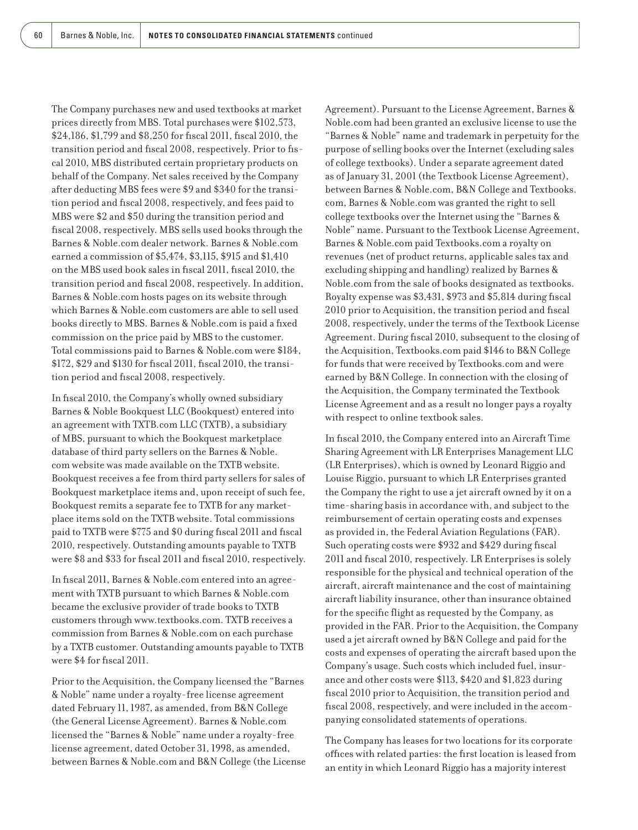The Company purchases new and used textbooks at market prices directly from MBS. Total purchases were \$102,573, \$24,186, \$1,799 and \$8,250 for fiscal 2011, fiscal 2010, the transition period and fiscal 2008, respectively. Prior to fiscal 2010, MBS distributed certain proprietary products on behalf of the Company. Net sales received by the Company after deducting MBS fees were \$9 and \$340 for the transition period and fiscal 2008, respectively, and fees paid to MBS were \$2 and \$50 during the transition period and fiscal 2008, respectively. MBS sells used books through the Barnes & Noble.com dealer network. Barnes & Noble.com earned a commission of \$5,474, \$3,115, \$915 and \$1,410 on the MBS used book sales in fiscal 2011, fiscal 2010, the transition period and fiscal 2008, respectively. In addition, Barnes & Noble.com hosts pages on its website through which Barnes & Noble.com customers are able to sell used books directly to MBS. Barnes & Noble.com is paid a fixed commission on the price paid by MBS to the customer. Total commissions paid to Barnes & Noble.com were \$184, \$172, \$29 and \$130 for fiscal 2011, fiscal 2010, the transition period and fiscal 2008, respectively.

In fiscal 2010, the Company's wholly owned subsidiary Barnes & Noble Bookquest LLC (Bookquest) entered into an agreement with TXTB.com LLC (TXTB), a subsidiary of MBS, pursuant to which the Bookquest marketplace database of third party sellers on the Barnes & Noble. com website was made available on the TXTB website. Bookquest receives a fee from third party sellers for sales of Bookquest marketplace items and, upon receipt of such fee, Bookquest remits a separate fee to TXTB for any marketplace items sold on the TXTB website. Total commissions paid to TXTB were \$775 and \$0 during fiscal 2011 and fiscal 2010, respectively. Outstanding amounts payable to TXTB were \$8 and \$33 for fiscal 2011 and fiscal 2010, respectively.

In fiscal 2011, Barnes & Noble.com entered into an agreement with TXTB pursuant to which Barnes & Noble.com became the exclusive provider of trade books to TXTB customers through www.textbooks.com. TXTB receives a commission from Barnes & Noble.com on each purchase by a TXTB customer. Outstanding amounts payable to TXTB were \$4 for fiscal 2011.

Prior to the Acquisition, the Company licensed the "Barnes & Noble" name under a royalty-free license agreement dated February 11, 1987, as amended, from B&N College (the General License Agreement). Barnes & Noble.com licensed the "Barnes & Noble" name under a royalty-free license agreement, dated October 31, 1998, as amended, between Barnes & Noble.com and B&N College (the License Agreement). Pursuant to the License Agreement, Barnes & Noble.com had been granted an exclusive license to use the "Barnes & Noble" name and trademark in perpetuity for the purpose of selling books over the Internet (excluding sales of college textbooks). Under a separate agreement dated as of January 31, 2001 (the Textbook License Agreement), between Barnes & Noble.com, B&N College and Textbooks. com, Barnes & Noble.com was granted the right to sell college textbooks over the Internet using the "Barnes & Noble" name. Pursuant to the Textbook License Agreement, Barnes & Noble.com paid Textbooks.com a royalty on revenues (net of product returns, applicable sales tax and excluding shipping and handling) realized by Barnes & Noble.com from the sale of books designated as textbooks. Royalty expense was  $$3,431, $973$  and  $$5,814$  during fiscal 2010 prior to Acquisition, the transition period and fiscal 2008, respectively, under the terms of the Textbook License Agreement. During fiscal 2010, subsequent to the closing of the Acquisition, Textbooks.com paid \$146 to B&N College for funds that were received by Textbooks.com and were earned by B&N College. In connection with the closing of the Acquisition, the Company terminated the Textbook License Agreement and as a result no longer pays a royalty with respect to online textbook sales.

In fiscal 2010, the Company entered into an Aircraft Time Sharing Agreement with LR Enterprises Management LLC (LR Enterprises), which is owned by Leonard Riggio and Louise Riggio, pursuant to which LR Enterprises granted the Company the right to use a jet aircraft owned by it on a time-sharing basis in accordance with, and subject to the reimbursement of certain operating costs and expenses as provided in, the Federal Aviation Regulations (FAR). Such operating costs were \$932 and \$429 during fiscal 2011 and fiscal 2010, respectively. LR Enterprises is solely responsible for the physical and technical operation of the aircraft, aircraft maintenance and the cost of maintaining aircraft liability insurance, other than insurance obtained for the specific flight as requested by the Company, as provided in the FAR. Prior to the Acquisition, the Company used a jet aircraft owned by B&N College and paid for the costs and expenses of operating the aircraft based upon the Company's usage. Such costs which included fuel, insurance and other costs were \$113, \$420 and \$1,823 during fiscal 2010 prior to Acquisition, the transition period and fiscal 2008, respectively, and were included in the accompanying consolidated statements of operations.

The Company has leases for two locations for its corporate offices with related parties: the first location is leased from an entity in which Leonard Riggio has a majority interest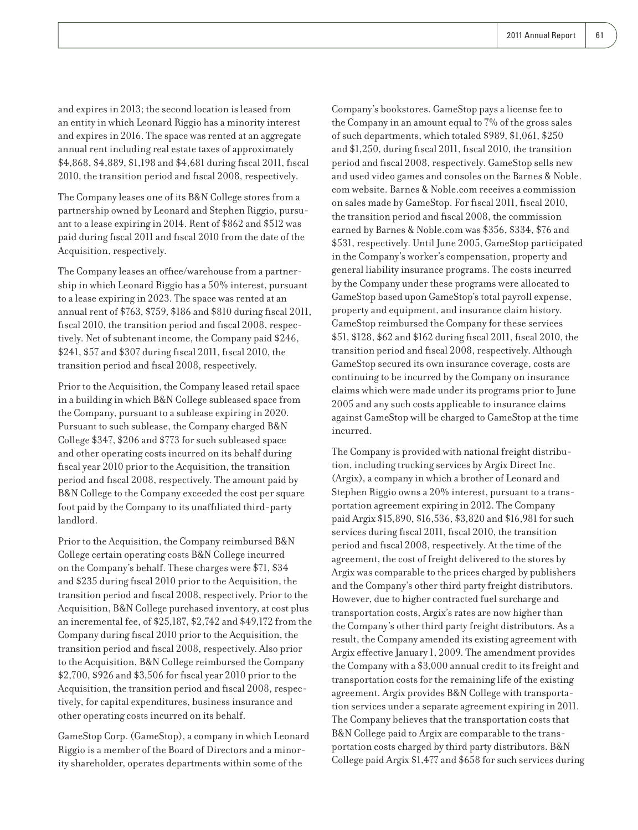and expires in 2013; the second location is leased from an entity in which Leonard Riggio has a minority interest and expires in 2016. The space was rented at an aggregate annual rent including real estate taxes of approximately  $$4,868, $4,889, $1,198 \text{ and } $4,681 \text{ during fiscal 2011, fiscal }$ 2010, the transition period and fiscal 2008, respectively.

The Company leases one of its B&N College stores from a partnership owned by Leonard and Stephen Riggio, pursuant to a lease expiring in 2014. Rent of \$862 and \$512 was paid during fiscal 2011 and fiscal 2010 from the date of the Acquisition, respectively.

The Company leases an office/warehouse from a partnership in which Leonard Riggio has a 50% interest, pursuant to a lease expiring in 2023. The space was rented at an annual rent of \$763, \$759, \$186 and \$810 during fiscal  $2011$ , fiscal 2010, the transition period and fiscal 2008, respectively. Net of subtenant income, the Company paid \$246, \$241, \$57 and \$307 during fiscal 2011, fiscal 2010, the transition period and fiscal 2008, respectively.

Prior to the Acquisition, the Company leased retail space in a building in which B&N College subleased space from the Company, pursuant to a sublease expiring in 2020. Pursuant to such sublease, the Company charged B&N College \$347, \$206 and \$773 for such subleased space and other operating costs incurred on its behalf during fiscal year 2010 prior to the Acquisition, the transition period and fiscal 2008, respectively. The amount paid by B&N College to the Company exceeded the cost per square foot paid by the Company to its unaffiliated third-party landlord.

Prior to the Acquisition, the Company reimbursed B&N College certain operating costs B&N College incurred on the Company's behalf. These charges were \$71, \$34 and \$235 during fiscal 2010 prior to the Acquisition, the transition period and fiscal 2008, respectively. Prior to the Acquisition, B&N College purchased inventory, at cost plus an incremental fee, of \$25,187, \$2,742 and \$49,172 from the Company during fiscal 2010 prior to the Acquisition, the transition period and fiscal 2008, respectively. Also prior to the Acquisition, B&N College reimbursed the Company \$2,700, \$926 and \$3,506 for fiscal year 2010 prior to the Acquisition, the transition period and fiscal 2008, respectively, for capital expenditures, business insurance and other operating costs incurred on its behalf.

GameStop Corp. (GameStop), a company in which Leonard Riggio is a member of the Board of Directors and a minority shareholder, operates departments within some of the

Company's bookstores. GameStop pays a license fee to the Company in an amount equal to 7% of the gross sales of such departments, which totaled \$989, \$1,061, \$250 and \$1,250, during fiscal 2011, fiscal 2010, the transition period and fiscal 2008, respectively. GameStop sells new and used video games and consoles on the Barnes & Noble. com website. Barnes & Noble.com receives a commission on sales made by GameStop. For fiscal 2011, fiscal 2010, the transition period and fiscal 2008, the commission earned by Barnes & Noble.com was \$356, \$334, \$76 and \$531, respectively. Until June 2005, GameStop participated in the Company's worker's compensation, property and general liability insurance programs. The costs incurred by the Company under these programs were allocated to GameStop based upon GameStop's total payroll expense, property and equipment, and insurance claim history. GameStop reimbursed the Company for these services  $$51, $128, $62 \text{ and } $162 \text{ during fiscal 2011, fiscal 2010, the}$ transition period and fiscal 2008, respectively. Although GameStop secured its own insurance coverage, costs are continuing to be incurred by the Company on insurance claims which were made under its programs prior to June 2005 and any such costs applicable to insurance claims against GameStop will be charged to GameStop at the time incurred.

The Company is provided with national freight distribution, including trucking services by Argix Direct Inc. (Argix), a company in which a brother of Leonard and Stephen Riggio owns a 20% interest, pursuant to a transportation agreement expiring in 2012. The Company paid Argix \$15,890, \$16,536, \$3,820 and \$16,981 for such services during fiscal 2011, fiscal 2010, the transition period and fiscal 2008, respectively. At the time of the agreement, the cost of freight delivered to the stores by Argix was comparable to the prices charged by publishers and the Company's other third party freight distributors. However, due to higher contracted fuel surcharge and transportation costs, Argix's rates are now higher than the Company's other third party freight distributors. As a result, the Company amended its existing agreement with Argix effective January 1, 2009. The amendment provides the Company with a \$3,000 annual credit to its freight and transportation costs for the remaining life of the existing agreement. Argix provides B&N College with transportation services under a separate agreement expiring in 2011. The Company believes that the transportation costs that B&N College paid to Argix are comparable to the transportation costs charged by third party distributors. B&N College paid Argix \$1,477 and \$658 for such services during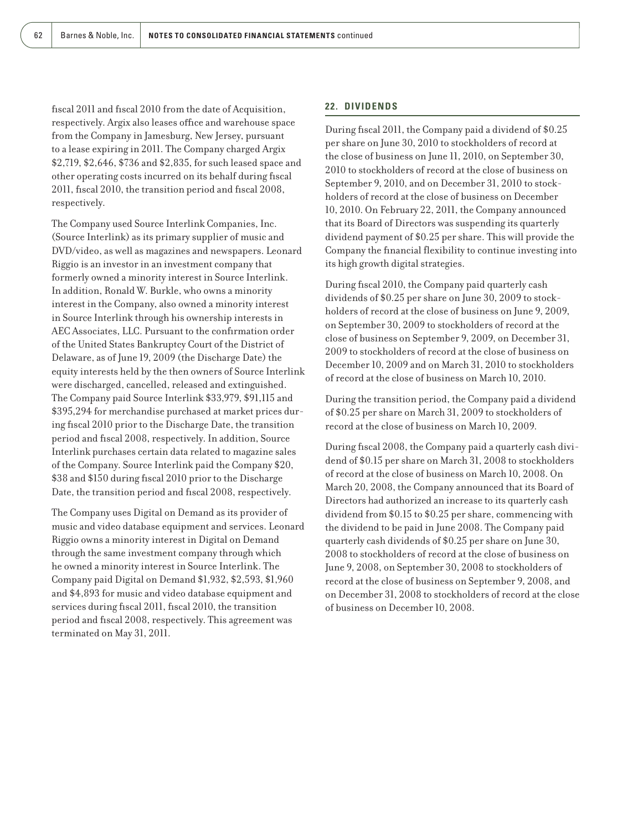fiscal 2011 and fiscal 2010 from the date of Acquisition, respectively. Argix also leases office and warehouse space from the Company in Jamesburg, New Jersey, pursuant to a lease expiring in 2011. The Company charged Argix \$2,719, \$2,646, \$736 and \$2,835, for such leased space and other operating costs incurred on its behalf during fiscal 2011, fiscal 2010, the transition period and fiscal 2008, respectively.

The Company used Source Interlink Companies, Inc. (Source Interlink) as its primary supplier of music and DVD/video, as well as magazines and newspapers. Leonard Riggio is an investor in an investment company that formerly owned a minority interest in Source Interlink. In addition, Ronald W. Burkle, who owns a minority interest in the Company, also owned a minority interest in Source Interlink through his ownership interests in AEC Associates, LLC. Pursuant to the confirmation order of the United States Bankruptcy Court of the District of Delaware, as of June 19, 2009 (the Discharge Date) the equity interests held by the then owners of Source Interlink were discharged, cancelled, released and extinguished. The Company paid Source Interlink \$33,979, \$91,115 and \$395,294 for merchandise purchased at market prices during fiscal 2010 prior to the Discharge Date, the transition period and fiscal 2008, respectively. In addition, Source Interlink purchases certain data related to magazine sales of the Company. Source Interlink paid the Company \$20, \$38 and \$150 during fiscal 2010 prior to the Discharge Date, the transition period and fiscal 2008, respectively.

The Company uses Digital on Demand as its provider of music and video database equipment and services. Leonard Riggio owns a minority interest in Digital on Demand through the same investment company through which he owned a minority interest in Source Interlink. The Company paid Digital on Demand \$1,932, \$2,593, \$1,960 and \$4,893 for music and video database equipment and services during fiscal 2011, fiscal 2010, the transition period and fiscal 2008, respectively. This agreement was terminated on May 31, 2011.

#### **22. DIVIDENDS**

During fiscal 2011, the Company paid a dividend of \$0.25 per share on June 30, 2010 to stockholders of record at the close of business on June 11, 2010, on September 30, 2010 to stockholders of record at the close of business on September 9, 2010, and on December 31, 2010 to stockholders of record at the close of business on December 10, 2010. On February 22, 2011, the Company announced that its Board of Directors was suspending its quarterly dividend payment of \$0.25 per share. This will provide the Company the financial flexibility to continue investing into its high growth digital strategies.

During fiscal 2010, the Company paid quarterly cash dividends of \$0.25 per share on June 30, 2009 to stockholders of record at the close of business on June 9, 2009, on September 30, 2009 to stockholders of record at the close of business on September 9, 2009, on December 31, 2009 to stockholders of record at the close of business on December 10, 2009 and on March 31, 2010 to stockholders of record at the close of business on March 10, 2010.

During the transition period, the Company paid a dividend of \$0.25 per share on March 31, 2009 to stockholders of record at the close of business on March 10, 2009.

During fiscal 2008, the Company paid a quarterly cash dividend of \$0.15 per share on March 31, 2008 to stockholders of record at the close of business on March 10, 2008. On March 20, 2008, the Company announced that its Board of Directors had authorized an increase to its quarterly cash dividend from \$0.15 to \$0.25 per share, commencing with the dividend to be paid in June 2008. The Company paid quarterly cash dividends of \$0.25 per share on June 30, 2008 to stockholders of record at the close of business on June 9, 2008, on September 30, 2008 to stockholders of record at the close of business on September 9, 2008, and on December 31, 2008 to stockholders of record at the close of business on December 10, 2008.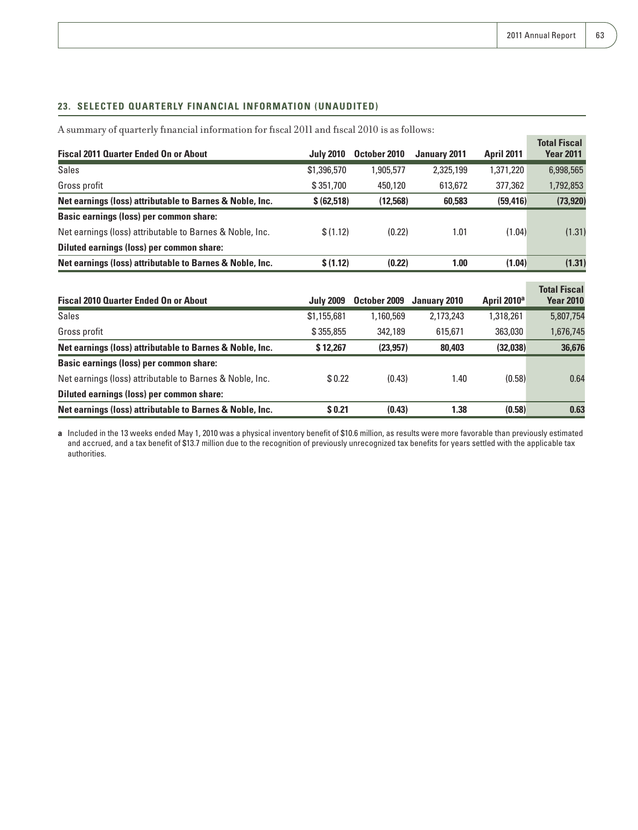## **23. SELECTED QUARTERLY FINANCIAL INFORMATION (UNAUDITED)**

A summary of quarterly financial information for fiscal 2011 and fiscal 2010 is as follows:

| <b>Fiscal 2011 Quarter Ended On or About</b>             |                  |              |              |                         | <b>Total Fiscal</b> |
|----------------------------------------------------------|------------------|--------------|--------------|-------------------------|---------------------|
|                                                          | <b>July 2010</b> | October 2010 | January 2011 | <b>April 2011</b>       | <b>Year 2011</b>    |
| <b>Sales</b>                                             | \$1,396,570      | 1,905,577    | 2,325,199    | 1,371,220               | 6,998,565           |
| Gross profit                                             | \$351,700        | 450,120      | 613,672      | 377,362                 | 1,792,853           |
| Net earnings (loss) attributable to Barnes & Noble, Inc. | \$ (62, 518)     | (12, 568)    | 60,583       | (59, 416)               | (73, 920)           |
| Basic earnings (loss) per common share:                  |                  |              |              |                         |                     |
| Net earnings (loss) attributable to Barnes & Noble, Inc. | \$(1.12)         | (0.22)       | 1.01         | (1.04)                  | (1.31)              |
| Diluted earnings (loss) per common share:                |                  |              |              |                         |                     |
| Net earnings (loss) attributable to Barnes & Noble, Inc. | \$(1.12)         | (0.22)       | 1.00         | (1.04)                  | (1.31)              |
|                                                          |                  |              |              |                         |                     |
|                                                          |                  |              |              |                         | <b>Total Fiscal</b> |
| <b>Fiscal 2010 Quarter Ended On or About</b>             | <b>July 2009</b> | October 2009 | January 2010 | April 2010 <sup>a</sup> | <b>Year 2010</b>    |
| <b>Sales</b>                                             | \$1,155,681      | 1,160,569    | 2,173,243    | 1,318,261               | 5,807,754           |
| Gross profit                                             | \$355,855        | 342,189      | 615,671      | 363,030                 | 1,676,745           |
| Net earnings (loss) attributable to Barnes & Noble, Inc. | \$12,267         | (23, 957)    | 80,403       | (32,038)                | 36,676              |
| Basic earnings (loss) per common share:                  |                  |              |              |                         |                     |
| Net earnings (loss) attributable to Barnes & Noble, Inc. | \$0.22           | (0.43)       | 1.40         | (0.58)                  | 0.64                |
| Diluted earnings (loss) per common share:                |                  |              |              |                         |                     |
| Net earnings (loss) attributable to Barnes & Noble, Inc. | \$0.21           | (0.43)       | 1.38         | (0.58)                  | 0.63                |

**a** Included in the 13 weeks ended May 1, 2010 was a physical inventory benefi t of \$10.6 million, as results were more favorable than previously estimated and accrued, and a tax benefit of \$13.7 million due to the recognition of previously unrecognized tax benefits for years settled with the applicable tax authorities.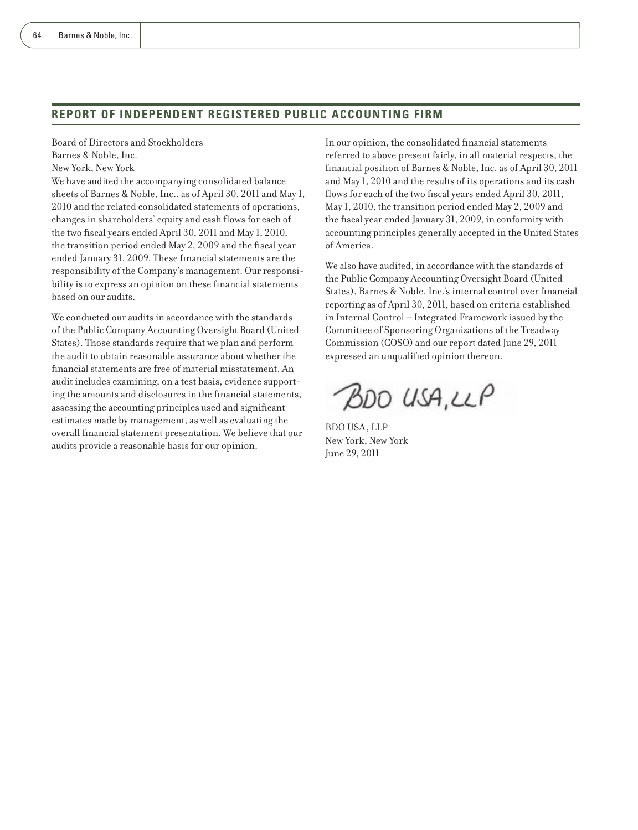## **REPORT OF INDEPENDENT REGISTERED PUBLIC ACCOUNTING FIRM**

Board of Directors and Stockholders

Barnes & Noble, Inc.

New York, New York

We have audited the accompanying consolidated balance sheets of Barnes & Noble, Inc., as of April 30, 2011 and May 1, 2010 and the related consolidated statements of operations, changes in shareholders' equity and cash flows for each of the two fiscal years ended April 30, 2011 and May 1, 2010, the transition period ended May 2, 2009 and the fiscal year ended January 31, 2009. These financial statements are the responsibility of the Company's management. Our responsibility is to express an opinion on these financial statements based on our audits.

We conducted our audits in accordance with the standards of the Public Company Accounting Oversight Board (United States). Those standards require that we plan and perform the audit to obtain reasonable assurance about whether the financial statements are free of material misstatement. An audit includes examining, on a test basis, evidence supporting the amounts and disclosures in the financial statements, assessing the accounting principles used and significant estimates made by management, as well as evaluating the overall financial statement presentation. We believe that our audits provide a reasonable basis for our opinion.

In our opinion, the consolidated financial statements referred to above present fairly, in all material respects, the financial position of Barnes & Noble, Inc. as of April 30, 2011 and May 1, 2010 and the results of its operations and its cash flows for each of the two fiscal years ended April 30, 2011, May 1, 2010, the transition period ended May 2, 2009 and the fiscal year ended January 31, 2009, in conformity with accounting principles generally accepted in the United States of America.

We also have audited, in accordance with the standards of the Public Company Accounting Oversight Board (United States), Barnes & Noble, Inc.'s internal control over financial reporting as of April 30, 2011, based on criteria established in Internal Control – Integrated Framework issued by the Committee of Sponsoring Organizations of the Treadway Commission (COSO) and our report dated June 29, 2011 expressed an unqualified opinion thereon.

BDO USA,LLP

BDO USA, LLP New York, New York June 29, 2011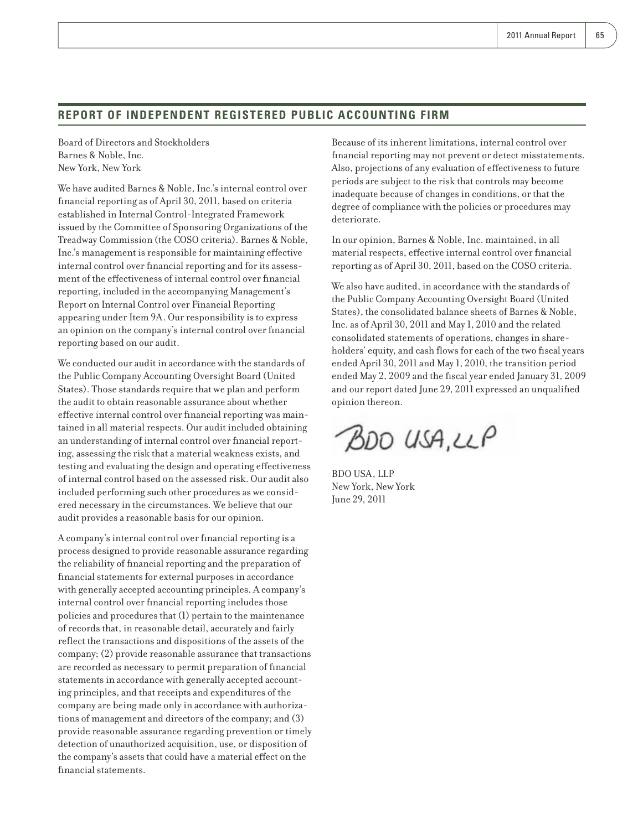## **REPORT OF INDEPENDENT REGISTERED PUBLIC ACCOUNTING FIRM**

Board of Directors and Stockholders Barnes & Noble, Inc. New York, New York

We have audited Barnes & Noble, Inc.'s internal control over financial reporting as of April 30, 2011, based on criteria established in Internal Control-Integrated Framework issued by the Committee of Sponsoring Organizations of the Treadway Commission (the COSO criteria). Barnes & Noble, Inc.'s management is responsible for maintaining effective internal control over financial reporting and for its assessment of the effectiveness of internal control over financial reporting, included in the accompanying Management's Report on Internal Control over Financial Reporting appearing under Item 9A. Our responsibility is to express an opinion on the company's internal control over financial reporting based on our audit.

We conducted our audit in accordance with the standards of the Public Company Accounting Oversight Board (United States). Those standards require that we plan and perform the audit to obtain reasonable assurance about whether effective internal control over financial reporting was maintained in all material respects. Our audit included obtaining an understanding of internal control over financial reporting, assessing the risk that a material weakness exists, and testing and evaluating the design and operating effectiveness of internal control based on the assessed risk. Our audit also included performing such other procedures as we considered necessary in the circumstances. We believe that our audit provides a reasonable basis for our opinion.

A company's internal control over financial reporting is a process designed to provide reasonable assurance regarding the reliability of financial reporting and the preparation of financial statements for external purposes in accordance with generally accepted accounting principles. A company's internal control over financial reporting includes those policies and procedures that (1) pertain to the maintenance of records that, in reasonable detail, accurately and fairly reflect the transactions and dispositions of the assets of the company; (2) provide reasonable assurance that transactions are recorded as necessary to permit preparation of financial statements in accordance with generally accepted accounting principles, and that receipts and expenditures of the company are being made only in accordance with authorizations of management and directors of the company; and (3) provide reasonable assurance regarding prevention or timely detection of unauthorized acquisition, use, or disposition of the company's assets that could have a material effect on the financial statements.

Because of its inherent limitations, internal control over financial reporting may not prevent or detect misstatements. Also, projections of any evaluation of effectiveness to future periods are subject to the risk that controls may become inadequate because of changes in conditions, or that the degree of compliance with the policies or procedures may deteriorate.

In our opinion, Barnes & Noble, Inc. maintained, in all material respects, effective internal control over financial reporting as of April 30, 2011, based on the COSO criteria.

We also have audited, in accordance with the standards of the Public Company Accounting Oversight Board (United States), the consolidated balance sheets of Barnes & Noble, Inc. as of April 30, 2011 and May 1, 2010 and the related consolidated statements of operations, changes in shareholders' equity, and cash flows for each of the two fiscal years ended April 30, 2011 and May 1, 2010, the transition period ended May 2, 2009 and the fiscal year ended January 31, 2009 and our report dated June 29, 2011 expressed an unqualified opinion thereon.

BDO USA,LLP

BDO USA, LLP New York, New York June 29, 2011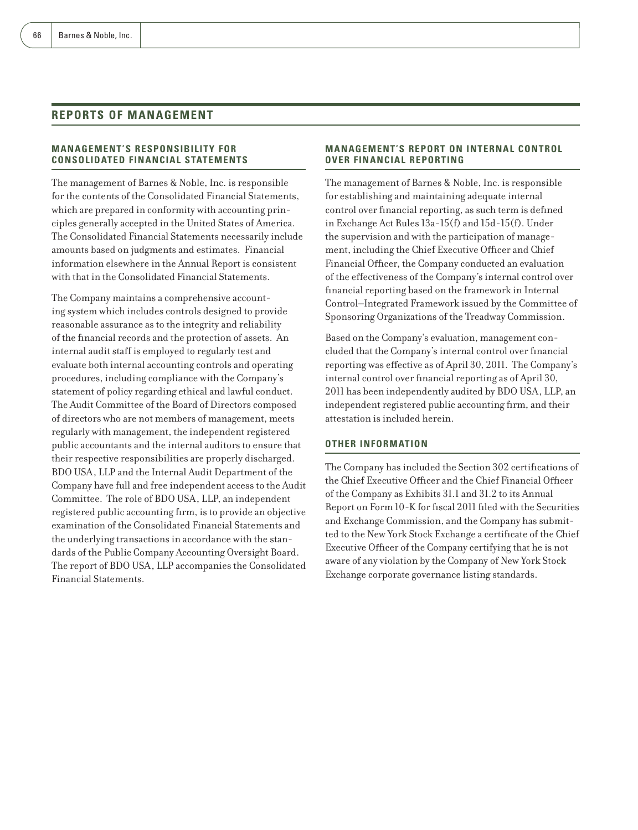## **REPORTS OF MANAGEMENT**

## **MANAGEMENT'S RESPONSIBILITY FOR CONSOLIDATED FINANCIAL STATEMENTS**

The management of Barnes & Noble, Inc. is responsible for the contents of the Consolidated Financial Statements, which are prepared in conformity with accounting principles generally accepted in the United States of America. The Consolidated Financial Statements necessarily include amounts based on judgments and estimates. Financial information elsewhere in the Annual Report is consistent with that in the Consolidated Financial Statements.

The Company maintains a comprehensive accounting system which includes controls designed to provide reasonable assurance as to the integrity and reliability of the financial records and the protection of assets. An internal audit staff is employed to regularly test and evaluate both internal accounting controls and operating procedures, including compliance with the Company's statement of policy regarding ethical and lawful conduct. The Audit Committee of the Board of Directors composed of directors who are not members of management, meets regularly with management, the independent registered public accountants and the internal auditors to ensure that their respective responsibilities are properly discharged. BDO USA, LLP and the Internal Audit Department of the Company have full and free independent access to the Audit Committee. The role of BDO USA, LLP, an independent registered public accounting firm, is to provide an objective examination of the Consolidated Financial Statements and the underlying transactions in accordance with the standards of the Public Company Accounting Oversight Board. The report of BDO USA, LLP accompanies the Consolidated Financial Statements.

## **MANAGEMENT'S REPORT ON INTERNAL CONTROL OVER FINANCIAL REPORTING**

The management of Barnes & Noble, Inc. is responsible for establishing and maintaining adequate internal control over financial reporting, as such term is defined in Exchange Act Rules 13a-15(f) and 15d-15(f). Under the supervision and with the participation of management, including the Chief Executive Officer and Chief Financial Officer, the Company conducted an evaluation of the effectiveness of the Company's internal control over financial reporting based on the framework in Internal Control–Integrated Framework issued by the Committee of Sponsoring Organizations of the Treadway Commission.

Based on the Company's evaluation, management concluded that the Company's internal control over financial reporting was effective as of April 30, 2011. The Company's internal control over financial reporting as of April 30, 2011 has been independently audited by BDO USA, LLP, an independent registered public accounting firm, and their attestation is included herein.

## **OTHER INFORMATION**

The Company has included the Section 302 certifications of the Chief Executive Officer and the Chief Financial Officer of the Company as Exhibits 31.1 and 31.2 to its Annual Report on Form 10-K for fiscal 2011 filed with the Securities and Exchange Commission, and the Company has submitted to the New York Stock Exchange a certificate of the Chief Executive Officer of the Company certifying that he is not aware of any violation by the Company of New York Stock Exchange corporate governance listing standards.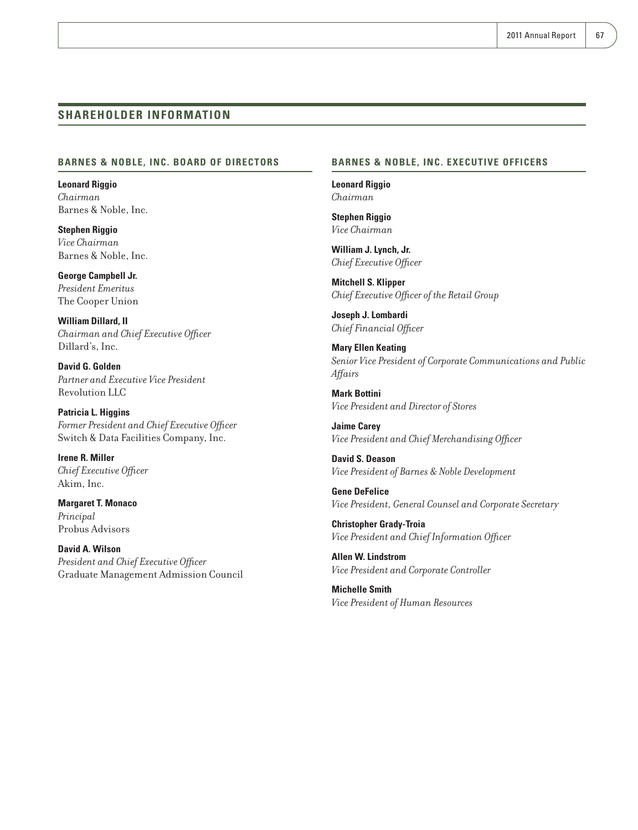## **SHAREHOLDER INFORMATION**

## **BARNES & NOBLE, INC. BOARD OF DIRECTORS**

**Leonard Riggio** *Chairman* Barnes & Noble, Inc.

**Stephen Riggio** *Vice Chairman* Barnes & Noble, Inc.

**George Campbell Jr.** *President Emeritus* The Cooper Union

**William Dillard, II** *Chairman and Chief Executive Officer* Dillard's, Inc.

**David G. Golden** *Partner and Executive Vice President* Revolution LLC

**Patricia L. Higgins** Former President and Chief Executive Officer Switch & Data Facilities Company, Inc.

**Irene R. Miller** *Chief Executive Officer* Akim, Inc.

**Margaret T. Monaco** *Principal* Probus Advisors

**David A. Wilson President and Chief Executive Officer** Graduate Management Admission Council

## **BARNES & NOBLE, INC. EXECUTIVE OFFICERS**

**Leonard Riggio** *Chairman*

**Stephen Riggio** *Vice Chairman*

**William J. Lynch, Jr.** *Chief Executive Officer* 

**Mitchell S. Klipper** *Chief Executive Offi cer of the Retail Group*

**Joseph J. Lombardi** *Chief Financial Offi cer*

**Mary Ellen Keating** *Senior Vice President of Corporate Communications and Public Aff airs*

**Mark Bottini** *Vice President and Director of Stores*

**Jaime Carey** *Vice President and Chief Merchandising Offi cer*

**David S. Deason** *Vice President of Barnes & Noble Development*

**Gene DeFelice** *Vice President, General Counsel and Corporate Secretary*

**Christopher Grady-Troia** *Vice President and Chief Information Offi cer*

**Allen W. Lindstrom** *Vice President and Corporate Controller*

**Michelle Smith** *Vice President of Human Resources*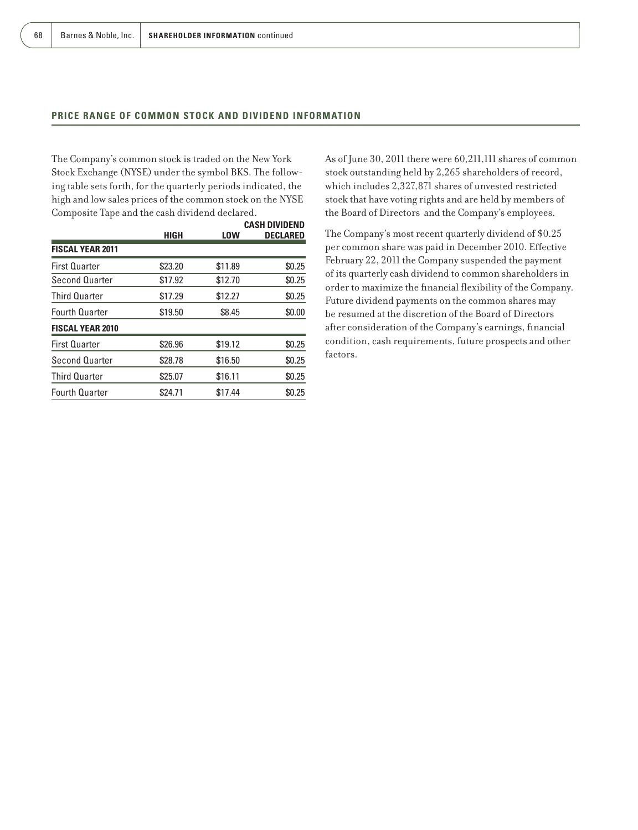## **PRICE RANGE OF COMMON STOCK AND DIVIDEND INFORMATION**

The Company's common stock is traded on the New York Stock Exchange (NYSE) under the symbol BKS. The following table sets forth, for the quarterly periods indicated, the high and low sales prices of the common stock on the NYSE Composite Tape and the cash dividend declared.

|         |         | <b>CASH DIVIDEND</b> |
|---------|---------|----------------------|
|         |         | <b>DECLARED</b>      |
|         |         |                      |
| \$23.20 | \$11.89 | \$0.25               |
| \$17.92 | \$12.70 | \$0.25               |
| \$17.29 | \$12.27 | \$0.25               |
| \$19.50 | \$8.45  | \$0.00               |
|         |         |                      |
| \$26.96 | \$19.12 | \$0.25               |
| \$28.78 | \$16.50 | \$0.25               |
| \$25.07 | \$16.11 | \$0.25               |
| \$24.71 | \$17.44 | \$0.25               |
|         | HIGH    | <b>LOW</b>           |

As of June 30, 2011 there were 60,211,111 shares of common stock outstanding held by 2,265 shareholders of record, which includes 2,327,871 shares of unvested restricted stock that have voting rights and are held by members of the Board of Directors and the Company's employees.

The Company's most recent quarterly dividend of \$0.25 per common share was paid in December 2010. Effective February 22, 2011 the Company suspended the payment of its quarterly cash dividend to common shareholders in order to maximize the financial flexibility of the Company. Future dividend payments on the common shares may be resumed at the discretion of the Board of Directors after consideration of the Company's earnings, financial condition, cash requirements, future prospects and other factors.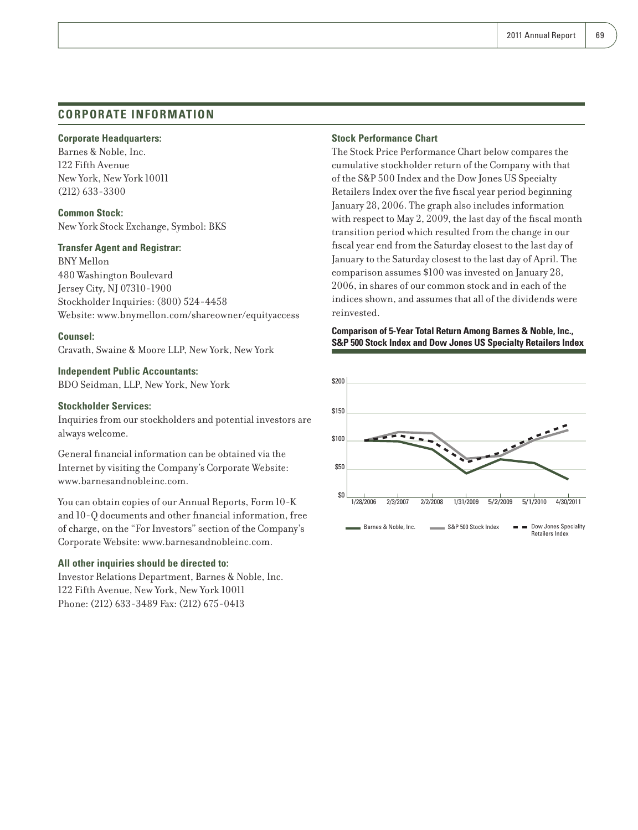## **CORPORATE INFORMATION**

#### **Corporate Headquarters:**

Barnes & Noble, Inc. 122 Fifth Avenue New York, New York 10011 (212) 633-3300

**Common Stock:** New York Stock Exchange, Symbol: BKS

## **Transfer Agent and Registrar:**

BNY Mellon 480 Washington Boulevard Jersey City, NJ 07310-1900 Stockholder Inquiries: (800) 524-4458 Website: www.bnymellon.com/shareowner/equityaccess

#### **Counsel:**

Cravath, Swaine & Moore LLP, New York, New York

## **Independent Public Accountants:**

BDO Seidman, LLP, New York, New York

## **Stockholder Services:**

Inquiries from our stockholders and potential investors are always welcome.

General financial information can be obtained via the Internet by visiting the Company's Corporate Website: www.barnesandnobleinc.com.

You can obtain copies of our Annual Reports, Form 10-K and 10-Q documents and other financial information, free of charge, on the "For Investors" section of the Company's Corporate Website: www.barnesandnobleinc.com.

### **All other inquiries should be directed to:**

Investor Relations Department, Barnes & Noble, Inc. 122 Fifth Avenue, New York, New York 10011 Phone: (212) 633-3489 Fax: (212) 675-0413

## **Stock Performance Chart**

The Stock Price Performance Chart below compares the cumulative stockholder return of the Company with that of the S&P 500 Index and the Dow Jones US Specialty Retailers Index over the five fiscal year period beginning January 28, 2006. The graph also includes information with respect to May  $2, 2009$ , the last day of the fiscal month transition period which resulted from the change in our fiscal year end from the Saturday closest to the last day of January to the Saturday closest to the last day of April. The comparison assumes \$100 was invested on January 28, 2006, in shares of our common stock and in each of the indices shown, and assumes that all of the dividends were reinvested.

## **Comparison of 5-Year Total Return Among Barnes & Noble, Inc., S&P 500 Stock Index and Dow Jones US Specialty Retailers Index**

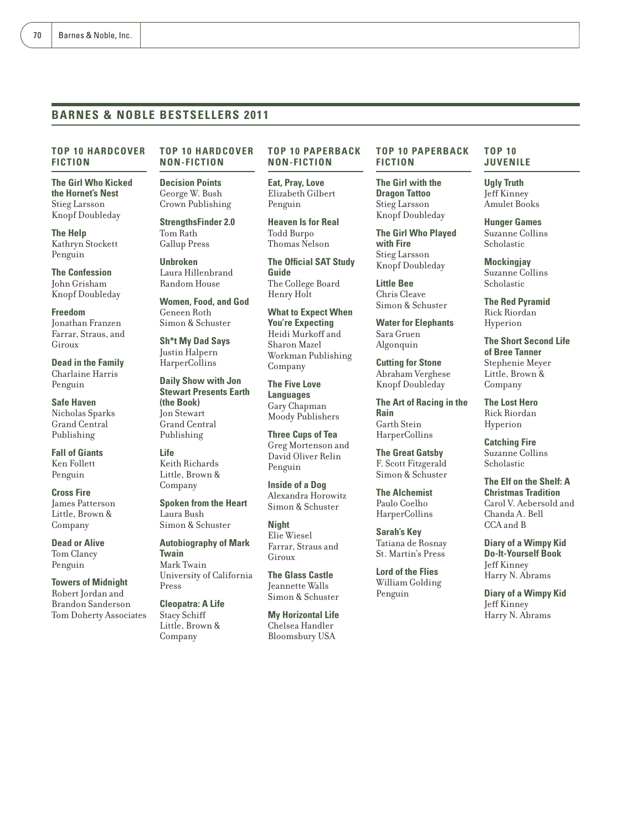# **BARNES & NOBLE BESTSELLERS 2011**

#### **TOP 10 HARDCOVER FICTION**

**The Girl Who Kicked the Hornet's Nest** Stieg Larsson Knopf Doubleday

**The Help** Kathryn Stockett Penguin

**The Confession** John Grisham Knopf Doubleday

**Freedom** Jonathan Franzen Farrar, Straus, and Giroux

**Dead in the Family** Charlaine Harris Penguin

**Safe Haven** Nicholas Sparks Grand Central Publishing

**Fall of Giants** Ken Follett Penguin

**Cross Fire** James Patterson Little, Brown & Company

**Dead or Alive** Tom Clancy Penguin

**Towers of Midnight** Robert Jordan and Brandon Sanderson Tom Doherty Associates

### **TOP 10 HARDCOVER NON-FICTION**

**Decision Points** George W. Bush Crown Publishing

**StrengthsFinder 2.0** Tom Rath Gallup Press

**Unbroken** Laura Hillenbrand Random House

**Women, Food, and God** Geneen Roth Simon & Schuster

**Sh\*t My Dad Says** Justin Halpern **HarperCollins** 

**Daily Show with Jon Stewart Presents Earth (the Book)** Jon Stewart Grand Central Publishing

**Life** Keith Richards Little, Brown & Company

**Spoken from the Heart** Laura Bush Simon & Schuster

**Autobiography of Mark Twain** Mark Twain University of California Press

**Cleopatra: A Life** Stacy Schiff Little, Brown & Company

### **TOP 10 PAPERBACK NON-FICTION**

**Eat, Pray, Love** Elizabeth Gilbert Penguin

**Heaven Is for Real** Todd Burpo Thomas Nelson

**The Official SAT Study Guide** The College Board

Henry Holt

Company

**What to Expect When You're Expecting** Heidi Murkoff and Sharon Mazel Workman Publishing

**The Five Love Languages** Gary Chapman Moody Publishers

**Three Cups of Tea** Greg Mortenson and David Oliver Relin Penguin

**Inside of a Dog** Alexandra Horowitz Simon & Schuster

**Night** Elie Wiesel Farrar, Straus and Giroux

**The Glass Castle** Jeannette Walls Simon & Schuster

**My Horizontal Life** Chelsea Handler Bloomsbury USA

#### **TOP 10 PAPERBACK FICTION**

**The Girl with the Dragon Tattoo** Stieg Larsson Knopf Doubleday

**The Girl Who Played with Fire** Stieg Larsson Knopf Doubleday

**Little Bee** Chris Cleave Simon & Schuster

**Water for Elephants** Sara Gruen Algonquin

**Cutting for Stone** Abraham Verghese Knopf Doubleday

**The Art of Racing in the Rain** Garth Stein HarperCollins

**The Great Gatsby** F. Scott Fitzgerald Simon & Schuster

**The Alchemist** Paulo Coelho HarperCollins

**Sarah's Key** Tatiana de Rosnay St. Martin's Press

**Lord of the Flies** William Golding Penguin

#### **TOP 10 JUVENILE**

**Ugly Truth** Jeff Kinney Amulet Books

**Hunger Games** Suzanne Collins Scholastic

**Mockingjay** Suzanne Collins Scholastic

**The Red Pyramid** Rick Riordan Hyperion

**The Short Second Life of Bree Tanner** Stephenie Meyer Little, Brown & Company

**The Lost Hero** Rick Riordan Hyperion

**Catching Fire** Suzanne Collins Scholastic

**The Elf on the Shelf: A Christmas Tradition** Carol V. Aebersold and Chanda A. Bell CCA and B

**Diary of a Wimpy Kid Do-It-Yourself Book** Jeff Kinney Harry N. Abrams

**Diary of a Wimpy Kid** Jeff Kinney Harry N. Abrams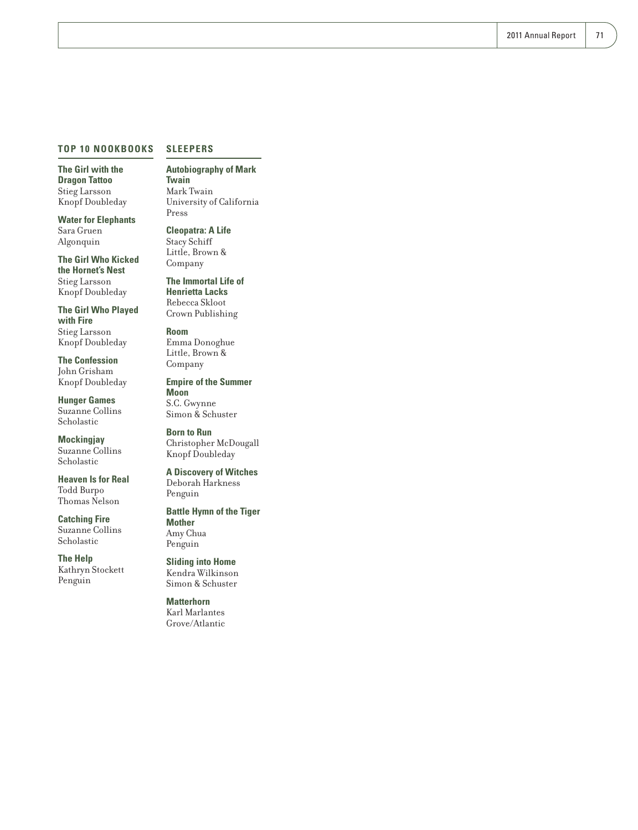## **TOP 10 NOOKBOOKS**

## **SLEEPERS**

**The Girl with the Dragon Tattoo** Stieg Larsson Knopf Doubleday

**Water for Elephants** Sara Gruen Algonquin

**The Girl Who Kicked the Hornet's Nest** Stieg Larsson Knopf Doubleday

**The Girl Who Played with Fire** Stieg Larsson Knopf Doubleday

**The Confession** John Grisham Knopf Doubleday

**Hunger Games** Suzanne Collins Scholastic

**Mockingjay** Suzanne Collins Scholastic

**Heaven Is for Real** Todd Burpo Thomas Nelson

**Catching Fire** Suzanne Collins Scholastic

**The Help** Kathryn Stockett Penguin

**Autobiography of Mark Twain** Mark Twain University of California Press

**Cleopatra: A Life** Stacy Schiff Little, Brown & Company

**The Immortal Life of Henrietta Lacks** Rebecca Skloot Crown Publishing

**Room** Emma Donoghue Little, Brown & Company

**Empire of the Summer Moon**

S.C. Gwynne Simon & Schuster

**Born to Run** Christopher McDougall Knopf Doubleday

**A Discovery of Witches** Deborah Harkness Penguin

**Battle Hymn of the Tiger Mother** Amy Chua Penguin

**Sliding into Home** Kendra Wilkinson Simon & Schuster

**Matterhorn** Karl Marlantes

Grove/Atlantic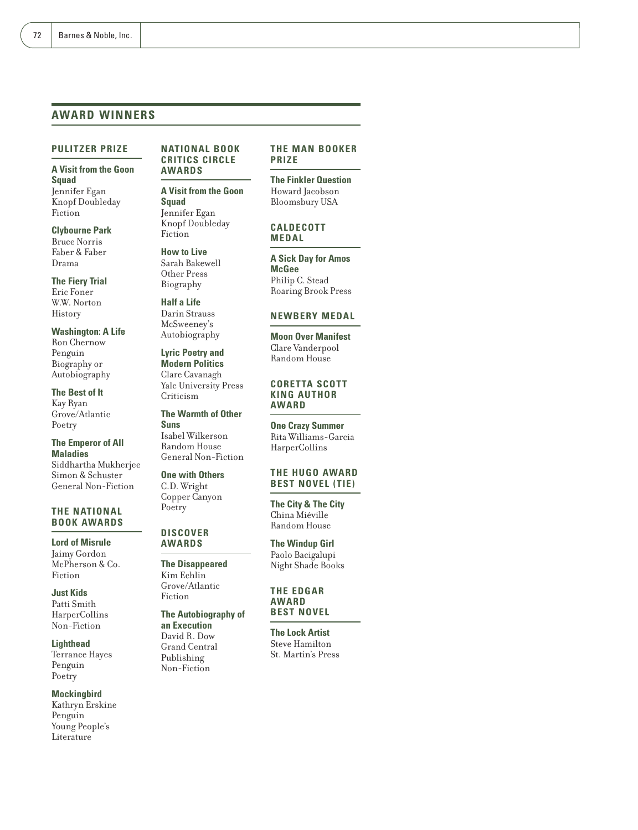## **PULITZER PRIZE**

**A Visit from the Goon Squad** Jennifer Egan Knopf Doubleday Fiction

**Clybourne Park** Bruce Norris Faber & Faber Drama

**The Fiery Trial** Eric Foner W.W. Norton History

**Washington: A Life** Ron Chernow Penguin Biography or Autobiography

**The Best of It** Kay Ryan Grove/Atlantic Poetry

**The Emperor of All Maladies** Siddhartha Mukherjee Simon & Schuster General Non-Fiction

## **THE NATIONAL BOOK AWARDS**

**Lord of Misrule** Jaimy Gordon McPherson & Co. Fiction

**Just Kids** Patti Smith **HarperCollins** Non-Fiction

**Lighthead** Terrance Hayes Penguin Poetry

**Mockingbird** Kathryn Erskine Penguin Young People's Literature

**NATIONAL BOOK CRITICS CIRCLE AWARDS**

> **A Visit from the Goon Squad** Jennifer Egan Knopf Doubleday Fiction

**How to Live** Sarah Bakewell Other Press Biography

**Half a Life** Darin Strauss McSweeney's Autobiography

**Lyric Poetry and Modern Politics** Clare Cavanagh Yale University Press Criticism

**The Warmth of Other Suns** Isabel Wilkerson Random House General Non-Fiction

**One with Others** C.D. Wright Copper Canyon Poetry

## **DISCOVER AWARDS**

**The Disappeared** Kim Echlin Grove/Atlantic Fiction

**The Autobiography of an Execution** David R. Dow Grand Central Publishing Non-Fiction

## **THE MAN BOOKER PRIZE**

**CALDECOTT MEDAL**

Philip C. Stead

## **NEWBERY MEDAL**

**Moon Over Manifest**

**One Crazy Summer** Rita Williams-Garcia HarperCollins

Random House

Paolo Bacigalupi

**The Finkler Question** Howard Jacobson Bloomsbury USA

**A Sick Day for Amos McGee**

Roaring Brook Press

Clare Vanderpool Random House

## **CORETTA SCOTT KING AUTHOR AWARD**

## **THE HUGO AWARD BEST NOVEL (TIE)**

**The City & The City** China Miéville

**The Windup Girl**

Night Shade Books

**THE EDGAR AWARD BEST NOVEL**

**The Lock Artist** Steve Hamilton St. Martin's Press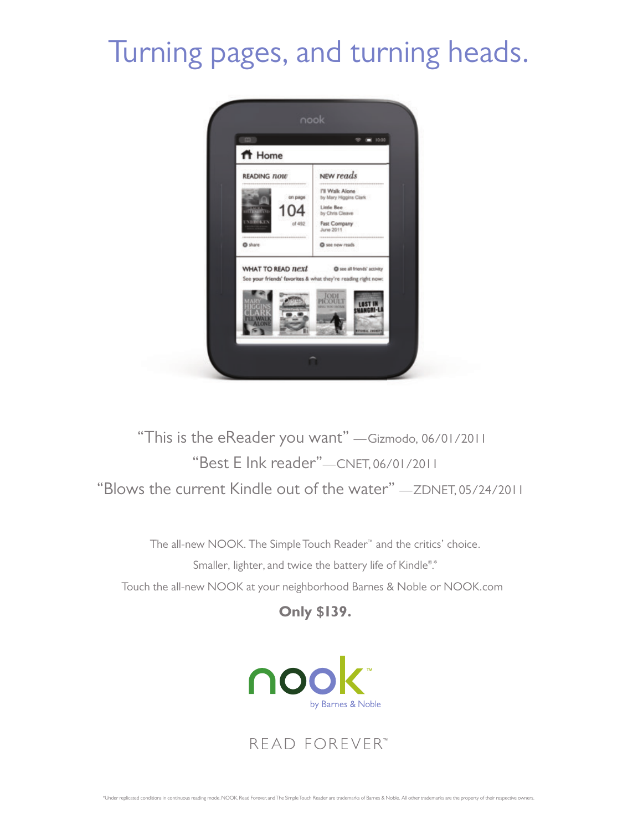# Turning pages, and turning heads.



"This is the eReader you want" — Gizmodo, 06/01/2011 "Best E Ink reader"— CNET, 06/01/2011 "Blows the current Kindle out of the water" — ZDNET, 05/24/2011

The all-new NOOK. The Simple Touch Reader™ and the critics' choice.

Smaller, lighter, and twice the battery life of Kindle<sup>®</sup>.\*

Touch the all-new NOOK at your neighborhood Barnes & Noble or NOOK.com

**Only \$139.**



# READ FOREVER<sup>®</sup>

\*Under replicated conditions in continuous reading mode. NOOK, Read Forever, and The Simple Touch Reader are trademarks of Barnes & Noble. All other trademarks are the property of their respective owners.